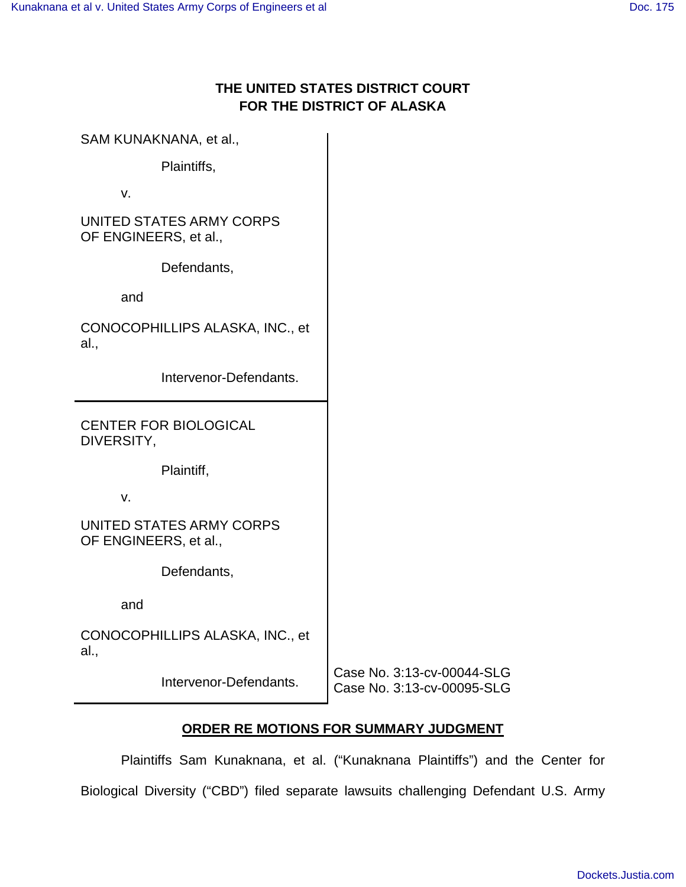# **THE UNITED STATES DISTRICT COURT FOR THE DISTRICT OF ALASKA**

| SAM KUNAKNANA, et al.,                            |                                                          |
|---------------------------------------------------|----------------------------------------------------------|
| Plaintiffs,                                       |                                                          |
| V.                                                |                                                          |
| UNITED STATES ARMY CORPS<br>OF ENGINEERS, et al., |                                                          |
| Defendants,                                       |                                                          |
| and                                               |                                                          |
| CONOCOPHILLIPS ALASKA, INC., et<br>al.,           |                                                          |
| Intervenor-Defendants.                            |                                                          |
| <b>CENTER FOR BIOLOGICAL</b><br>DIVERSITY,        |                                                          |
| Plaintiff,                                        |                                                          |
| v.                                                |                                                          |
| UNITED STATES ARMY CORPS<br>OF ENGINEERS, et al., |                                                          |
| Defendants,                                       |                                                          |
| and                                               |                                                          |
| CONOCOPHILLIPS ALASKA, INC., et<br>al.,           |                                                          |
| Intervenor-Defendants.                            | Case No. 3:13-cv-00044-SLG<br>Case No. 3:13-cv-00095-SLG |

# **ORDER RE MOTIONS FOR SUMMARY JUDGMENT**

Plaintiffs Sam Kunaknana, et al. ("Kunaknana Plaintiffs") and the Center for Biological Diversity ("CBD") filed separate lawsuits challenging Defendant U.S. Army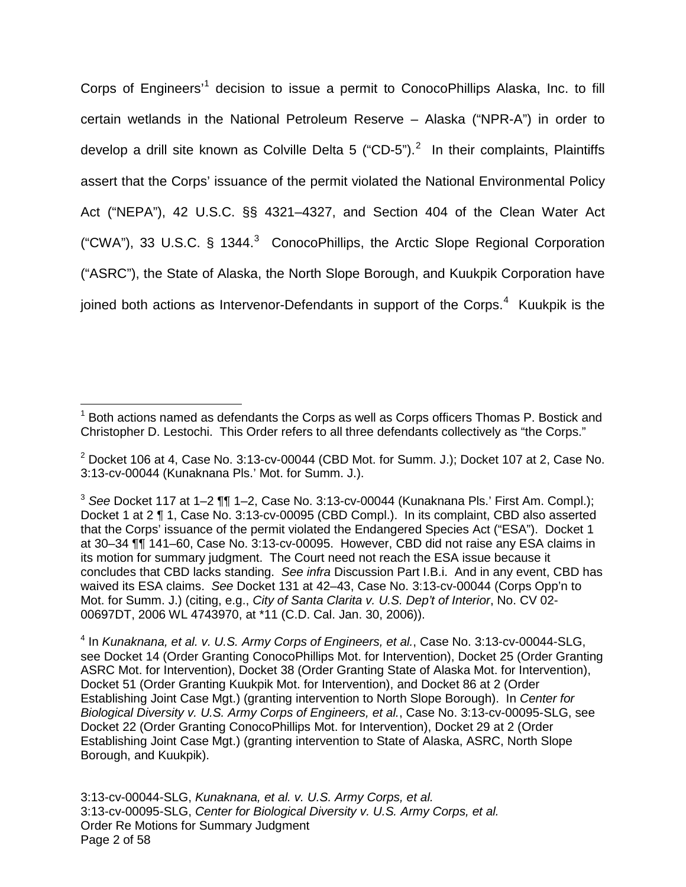Corps of Engineers<sup>[1](#page-1-0)</sup> decision to issue a permit to ConocoPhillips Alaska, Inc. to fill certain wetlands in the National Petroleum Reserve – Alaska ("NPR-A") in order to develop a drill site known as Colville Delta 5 ("CD-5").<sup>[2](#page-1-1)</sup> In their complaints, Plaintiffs assert that the Corps' issuance of the permit violated the National Environmental Policy Act ("NEPA"), 42 U.S.C. §§ 4321–4327, and Section 404 of the Clean Water Act ("CWA"), [3](#page-1-2)3 U.S.C. § 1344.<sup>3</sup> ConocoPhillips, the Arctic Slope Regional Corporation ("ASRC"), the State of Alaska, the North Slope Borough, and Kuukpik Corporation have joined both actions as Intervenor-Defendants in support of the Corps.<sup>[4](#page-1-3)</sup> Kuukpik is the

<u>.</u>

<span id="page-1-0"></span> $<sup>1</sup>$  Both actions named as defendants the Corps as well as Corps officers Thomas P. Bostick and</sup> Christopher D. Lestochi. This Order refers to all three defendants collectively as "the Corps."

<span id="page-1-1"></span> $2$  Docket 106 at 4, Case No. 3:13-cv-00044 (CBD Mot. for Summ. J.); Docket 107 at 2, Case No. 3:13-cv-00044 (Kunaknana Pls.' Mot. for Summ. J.).

<span id="page-1-2"></span> $3$  See Docket 117 at 1–2  $\P$  $\P$  1–2, Case No. 3:13-cv-00044 (Kunaknana Pls.' First Am. Compl.); Docket 1 at 2 ¶ 1, Case No. 3:13-cv-00095 (CBD Compl.). In its complaint, CBD also asserted that the Corps' issuance of the permit violated the Endangered Species Act ("ESA"). Docket 1 at 30–34 ¶¶ 141–60, Case No. 3:13-cv-00095. However, CBD did not raise any ESA claims in its motion for summary judgment. The Court need not reach the ESA issue because it concludes that CBD lacks standing. See infra Discussion Part I.B.i. And in any event, CBD has waived its ESA claims. See Docket 131 at 42–43, Case No. 3:13-cv-00044 (Corps Opp'n to Mot. for Summ. J.) (citing, e.g., City of Santa Clarita v. U.S. Dep't of Interior, No. CV 02-00697DT, 2006 WL 4743970, at \*11 (C.D. Cal. Jan. 30, 2006)).

<span id="page-1-3"></span><sup>&</sup>lt;sup>4</sup> In Kunaknana, et al. v. U.S. Army Corps of Engineers, et al., Case No. 3:13-cv-00044-SLG, see Docket 14 (Order Granting ConocoPhillips Mot. for Intervention), Docket 25 (Order Granting ASRC Mot. for Intervention), Docket 38 (Order Granting State of Alaska Mot. for Intervention), Docket 51 (Order Granting Kuukpik Mot. for Intervention), and Docket 86 at 2 (Order Establishing Joint Case Mgt.) (granting intervention to North Slope Borough). In Center for Biological Diversity v. U.S. Army Corps of Engineers, et al., Case No. 3:13-cv-00095-SLG, see Docket 22 (Order Granting ConocoPhillips Mot. for Intervention), Docket 29 at 2 (Order Establishing Joint Case Mgt.) (granting intervention to State of Alaska, ASRC, North Slope Borough, and Kuukpik).

<sup>3:13-</sup>cv-00044-SLG, Kunaknana, et al. v. U.S. Army Corps, et al. 3:13-cv-00095-SLG, Center for Biological Diversity v. U.S. Army Corps, et al. Order Re Motions for Summary Judgment Page 2 of 58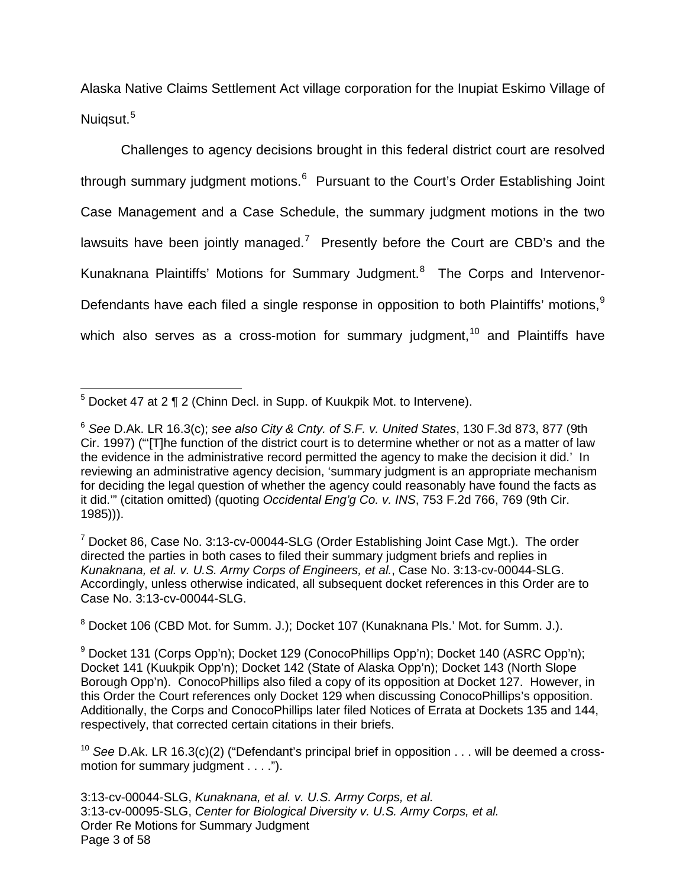Alaska Native Claims Settlement Act village corporation for the Inupiat Eskimo Village of Nuiqsut.<sup>[5](#page-2-0)</sup>

Challenges to agency decisions brought in this federal district court are resolved through summary judgment motions.<sup>[6](#page-2-1)</sup> Pursuant to the Court's Order Establishing Joint Case Management and a Case Schedule, the summary judgment motions in the two lawsuits have been jointly managed.<sup>[7](#page-2-2)</sup> Presently before the Court are CBD's and the Kunaknana Plaintiffs' Motions for Summary Judgment.<sup>[8](#page-2-3)</sup> The Corps and Intervenor-Defendants have each filed a single response in opposition to both Plaintiffs' motions,<sup>[9](#page-2-4)</sup> which also serves as a cross-motion for summary judgment,  $10^{\circ}$  $10^{\circ}$  and Plaintiffs have

<span id="page-2-3"></span><sup>8</sup> Docket 106 (CBD Mot. for Summ. J.); Docket 107 (Kunaknana Pls.' Mot. for Summ. J.).

<span id="page-2-0"></span> $5$  Docket 47 at 2  $\P$  2 (Chinn Decl. in Supp. of Kuukpik Mot. to Intervene).  $\overline{a}$ 

<span id="page-2-1"></span><sup>&</sup>lt;sup>6</sup> See D.Ak. LR 16.3(c); see also City & Cnty. of S.F. v. United States, 130 F.3d 873, 877 (9th Cir. 1997) ("'[T]he function of the district court is to determine whether or not as a matter of law the evidence in the administrative record permitted the agency to make the decision it did.' In reviewing an administrative agency decision, 'summary judgment is an appropriate mechanism for deciding the legal question of whether the agency could reasonably have found the facts as it did.'" (citation omitted) (quoting Occidental Eng'g Co. v. INS, 753 F.2d 766, 769 (9th Cir. 1985))).

<span id="page-2-2"></span> $7$  Docket 86, Case No. 3:13-cv-00044-SLG (Order Establishing Joint Case Mgt.). The order directed the parties in both cases to filed their summary judgment briefs and replies in Kunaknana, et al. v. U.S. Army Corps of Engineers, et al., Case No. 3:13-cv-00044-SLG. Accordingly, unless otherwise indicated, all subsequent docket references in this Order are to Case No. 3:13-cv-00044-SLG.

<span id="page-2-4"></span><sup>&</sup>lt;sup>9</sup> Docket 131 (Corps Opp'n); Docket 129 (ConocoPhillips Opp'n); Docket 140 (ASRC Opp'n); Docket 141 (Kuukpik Opp'n); Docket 142 (State of Alaska Opp'n); Docket 143 (North Slope Borough Opp'n). ConocoPhillips also filed a copy of its opposition at Docket 127. However, in this Order the Court references only Docket 129 when discussing ConocoPhillips's opposition. Additionally, the Corps and ConocoPhillips later filed Notices of Errata at Dockets 135 and 144, respectively, that corrected certain citations in their briefs.

<span id="page-2-5"></span><sup>&</sup>lt;sup>10</sup> See D.Ak. LR 16.3(c)(2) ("Defendant's principal brief in opposition  $\dots$  will be deemed a crossmotion for summary judgment . . . .").

<sup>3:13-</sup>cv-00044-SLG, Kunaknana, et al. v. U.S. Army Corps, et al. 3:13-cv-00095-SLG, Center for Biological Diversity v. U.S. Army Corps, et al. Order Re Motions for Summary Judgment Page 3 of 58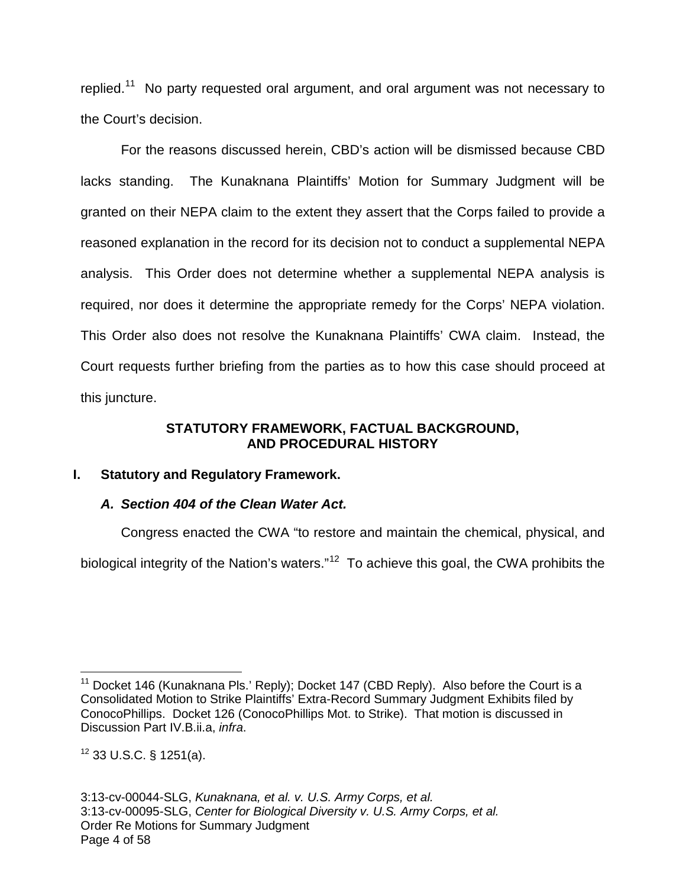replied.<sup>[11](#page-3-0)</sup> No party requested oral argument, and oral argument was not necessary to the Court's decision.

For the reasons discussed herein, CBD's action will be dismissed because CBD lacks standing. The Kunaknana Plaintiffs' Motion for Summary Judgment will be granted on their NEPA claim to the extent they assert that the Corps failed to provide a reasoned explanation in the record for its decision not to conduct a supplemental NEPA analysis. This Order does not determine whether a supplemental NEPA analysis is required, nor does it determine the appropriate remedy for the Corps' NEPA violation. This Order also does not resolve the Kunaknana Plaintiffs' CWA claim. Instead, the Court requests further briefing from the parties as to how this case should proceed at this juncture.

#### **STATUTORY FRAMEWORK, FACTUAL BACKGROUND, AND PROCEDURAL HISTORY**

## **I. Statutory and Regulatory Framework.**

## **A. Section 404 of the Clean Water Act.**

Congress enacted the CWA "to restore and maintain the chemical, physical, and biological integrity of the Nation's waters."<sup>[12](#page-3-1)</sup> To achieve this goal, the CWA prohibits the

<span id="page-3-0"></span> $11$  Docket 146 (Kunaknana Pls.' Reply); Docket 147 (CBD Reply). Also before the Court is a Consolidated Motion to Strike Plaintiffs' Extra-Record Summary Judgment Exhibits filed by ConocoPhillips. Docket 126 (ConocoPhillips Mot. to Strike). That motion is discussed in Discussion Part IV.B.ii.a, infra. 1

<span id="page-3-1"></span> $12$  33 U.S.C. § 1251(a).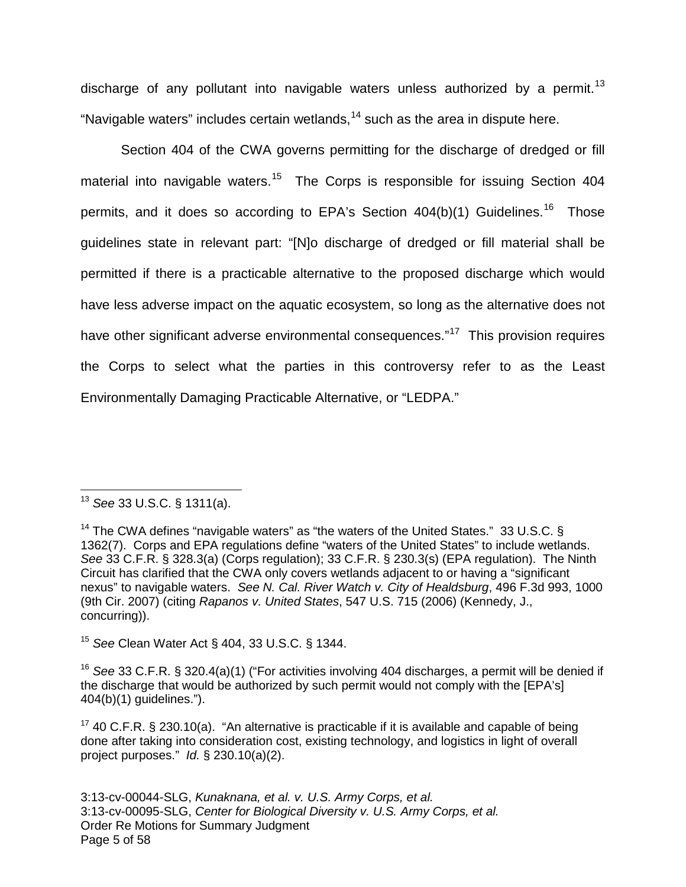discharge of any pollutant into navigable waters unless authorized by a permit.<sup>[13](#page-4-0)</sup> "Navigable waters" includes certain wetlands,  $14$  such as the area in dispute here.

Section 404 of the CWA governs permitting for the discharge of dredged or fill material into navigable waters.<sup>[15](#page-4-2)</sup> The Corps is responsible for issuing Section 404 permits, and it does so according to EPA's Section  $404(b)(1)$  Guidelines.<sup>[16](#page-4-3)</sup> Those guidelines state in relevant part: "[N]o discharge of dredged or fill material shall be permitted if there is a practicable alternative to the proposed discharge which would have less adverse impact on the aquatic ecosystem, so long as the alternative does not have other significant adverse environmental consequences."<sup>[17](#page-4-4)</sup> This provision requires the Corps to select what the parties in this controversy refer to as the Least Environmentally Damaging Practicable Alternative, or "LEDPA."

1

<span id="page-4-2"></span><sup>15</sup> See Clean Water Act § 404, 33 U.S.C. § 1344.

<span id="page-4-3"></span><sup>16</sup> See 33 C.F.R. § 320.4(a)(1) ("For activities involving 404 discharges, a permit will be denied if the discharge that would be authorized by such permit would not comply with the [EPA's] 404(b)(1) guidelines.").

<span id="page-4-0"></span> $13$  See 33 U.S.C. § 1311(a).

<span id="page-4-1"></span><sup>&</sup>lt;sup>14</sup> The CWA defines "navigable waters" as "the waters of the United States." 33 U.S.C. § 1362(7). Corps and EPA regulations define "waters of the United States" to include wetlands. See 33 C.F.R. § 328.3(a) (Corps regulation); 33 C.F.R. § 230.3(s) (EPA regulation). The Ninth Circuit has clarified that the CWA only covers wetlands adjacent to or having a "significant nexus" to navigable waters. See N. Cal. River Watch v. City of Healdsburg, 496 F.3d 993, 1000 (9th Cir. 2007) (citing Rapanos v. United States, 547 U.S. 715 (2006) (Kennedy, J., concurring)).

<span id="page-4-4"></span><sup>&</sup>lt;sup>17</sup> 40 C.F.R. § 230.10(a). "An alternative is practicable if it is available and capable of being done after taking into consideration cost, existing technology, and logistics in light of overall project purposes." Id. § 230.10(a)(2).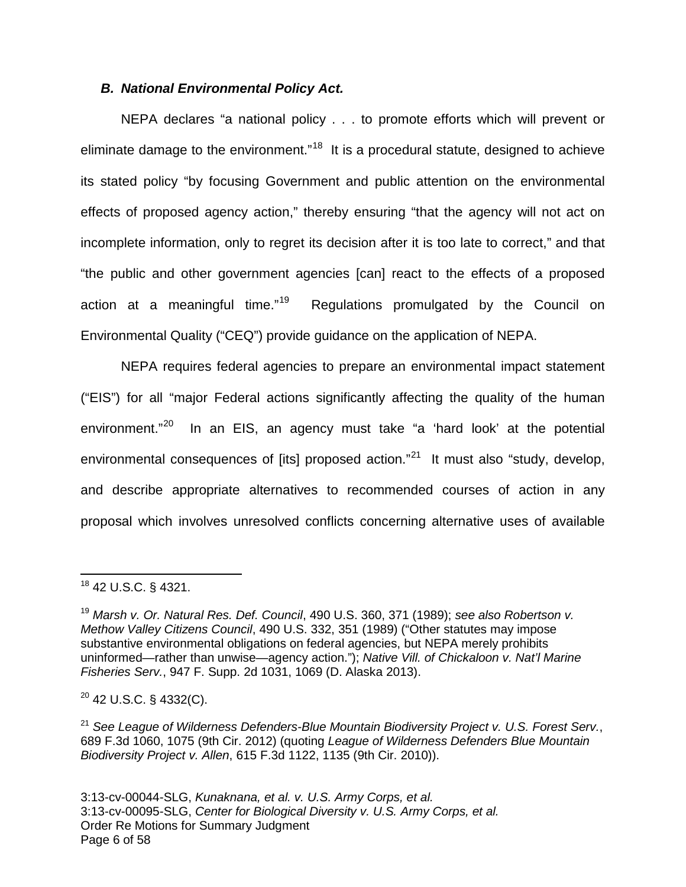#### **B. National Environmental Policy Act.**

NEPA declares "a national policy . . . to promote efforts which will prevent or eliminate damage to the environment."<sup>[18](#page-5-0)</sup> It is a procedural statute, designed to achieve its stated policy "by focusing Government and public attention on the environmental effects of proposed agency action," thereby ensuring "that the agency will not act on incomplete information, only to regret its decision after it is too late to correct," and that "the public and other government agencies [can] react to the effects of a proposed action at a meaningful time."<sup>[19](#page-5-1)</sup> Regulations promulgated by the Council on Environmental Quality ("CEQ") provide guidance on the application of NEPA.

NEPA requires federal agencies to prepare an environmental impact statement ("EIS") for all "major Federal actions significantly affecting the quality of the human environment."<sup>[20](#page-5-2)</sup> In an EIS, an agency must take "a 'hard look' at the potential environmental consequences of [its] proposed action."<sup>[21](#page-5-3)</sup> It must also "study, develop, and describe appropriate alternatives to recommended courses of action in any proposal which involves unresolved conflicts concerning alternative uses of available

 $\overline{a}$ 

<span id="page-5-2"></span> $20$  42 U.S.C. § 4332(C).

<span id="page-5-0"></span><sup>18</sup> 42 U.S.C. § 4321.

<span id="page-5-1"></span> $19$  Marsh v. Or. Natural Res. Def. Council, 490 U.S. 360, 371 (1989); see also Robertson v. Methow Valley Citizens Council, 490 U.S. 332, 351 (1989) ("Other statutes may impose substantive environmental obligations on federal agencies, but NEPA merely prohibits uninformed—rather than unwise—agency action."); Native Vill. of Chickaloon v. Nat'l Marine Fisheries Serv., 947 F. Supp. 2d 1031, 1069 (D. Alaska 2013).

<span id="page-5-3"></span> $21$  See League of Wilderness Defenders-Blue Mountain Biodiversity Project v. U.S. Forest Serv., 689 F.3d 1060, 1075 (9th Cir. 2012) (quoting League of Wilderness Defenders Blue Mountain Biodiversity Project v. Allen, 615 F.3d 1122, 1135 (9th Cir. 2010)).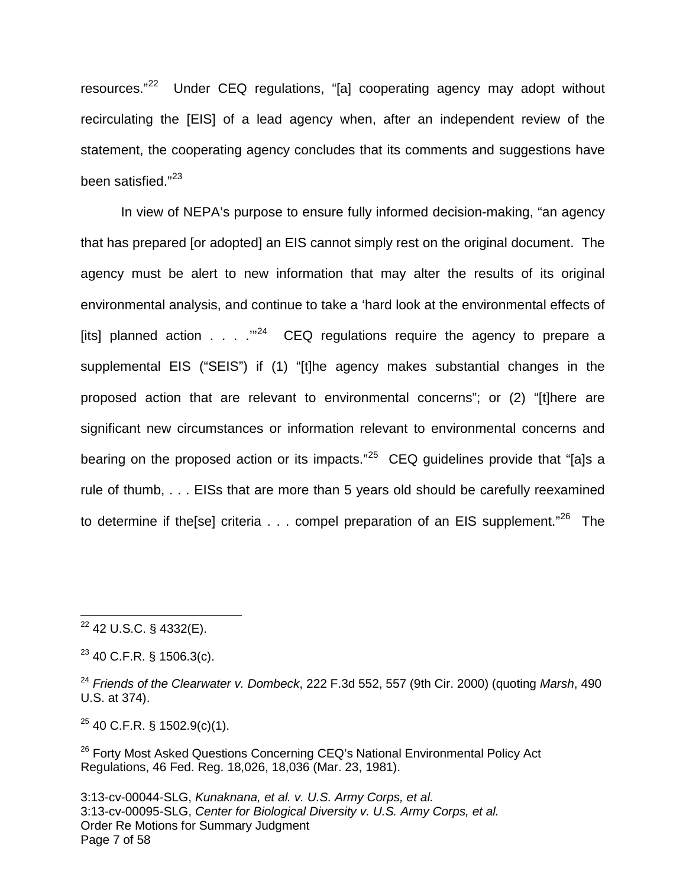resources."[22](#page-6-0) Under CEQ regulations, "[a] cooperating agency may adopt without recirculating the [EIS] of a lead agency when, after an independent review of the statement, the cooperating agency concludes that its comments and suggestions have been satisfied."<sup>[23](#page-6-1)</sup>

In view of NEPA's purpose to ensure fully informed decision-making, "an agency that has prepared [or adopted] an EIS cannot simply rest on the original document. The agency must be alert to new information that may alter the results of its original environmental analysis, and continue to take a 'hard look at the environmental effects of [its] planned action . . . .'"[24](#page-6-2) CEQ regulations require the agency to prepare a supplemental EIS ("SEIS") if (1) "[t]he agency makes substantial changes in the proposed action that are relevant to environmental concerns"; or (2) "[t]here are significant new circumstances or information relevant to environmental concerns and bearing on the proposed action or its impacts."<sup>[25](#page-6-3)</sup> CEQ guidelines provide that "[a]s a rule of thumb, . . . EISs that are more than 5 years old should be carefully reexamined to determine if the[se] criteria  $\dots$  compel preparation of an EIS supplement."<sup>[26](#page-6-4)</sup> The

 $\overline{a}$ 

<span id="page-6-3"></span> $25$  40 C.F.R. § 1502.9(c)(1).

<span id="page-6-4"></span><sup>26</sup> Forty Most Asked Questions Concerning CEQ's National Environmental Policy Act Regulations, 46 Fed. Reg. 18,026, 18,036 (Mar. 23, 1981).

<span id="page-6-0"></span><sup>22</sup> 42 U.S.C. § 4332(E).

<span id="page-6-1"></span> $23$  40 C.F.R. § 1506.3(c).

<span id="page-6-2"></span> $24$  Friends of the Clearwater v. Dombeck, 222 F.3d 552, 557 (9th Cir. 2000) (quoting Marsh, 490 U.S. at 374).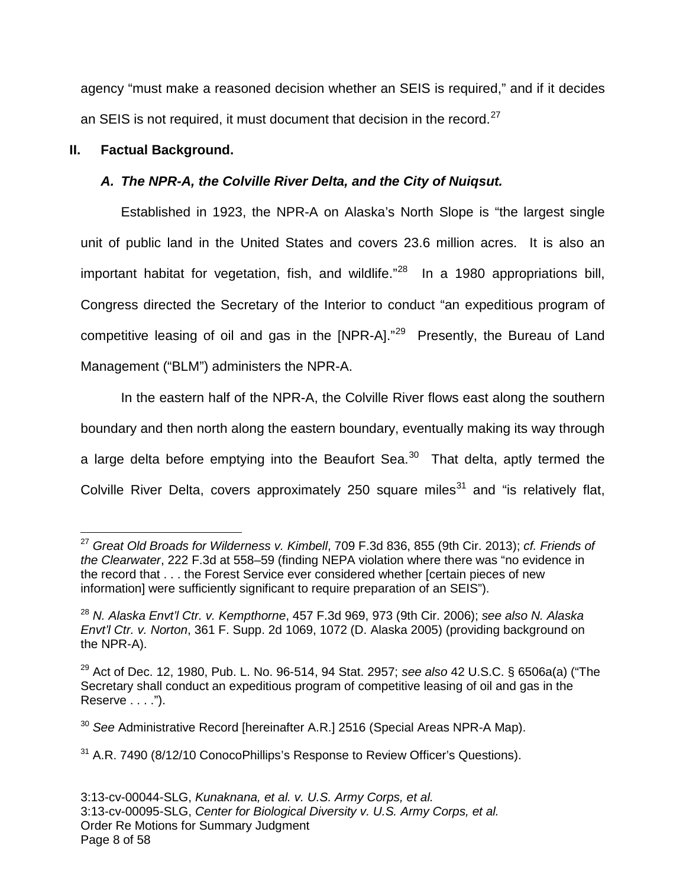agency "must make a reasoned decision whether an SEIS is required," and if it decides an SEIS is not required, it must document that decision in the record. $27$ 

# **II. Factual Background.**

# **A. The NPR-A, the Colville River Delta, and the City of Nuiqsut.**

Established in 1923, the NPR-A on Alaska's North Slope is "the largest single unit of public land in the United States and covers 23.6 million acres. It is also an important habitat for vegetation, fish, and wildlife."<sup>[28](#page-7-1)</sup> In a 1980 appropriations bill, Congress directed the Secretary of the Interior to conduct "an expeditious program of competitive leasing of oil and gas in the  $[NPR-A].$ <sup>[29](#page-7-2)</sup> Presently, the Bureau of Land Management ("BLM") administers the NPR-A.

In the eastern half of the NPR-A, the Colville River flows east along the southern boundary and then north along the eastern boundary, eventually making its way through a large delta before emptying into the Beaufort Sea.<sup>[30](#page-7-3)</sup> That delta, aptly termed the Colville River Delta, covers approximately 250 square miles<sup>[31](#page-7-4)</sup> and "is relatively flat,

<span id="page-7-3"></span><sup>30</sup> See Administrative Record [hereinafter A.R.] 2516 (Special Areas NPR-A Map).

<span id="page-7-0"></span> $^{27}$  Great Old Broads for Wilderness v. Kimbell, 709 F.3d 836, 855 (9th Cir. 2013); cf. Friends of the Clearwater, 222 F.3d at 558–59 (finding NEPA violation where there was "no evidence in the record that . . . the Forest Service ever considered whether [certain pieces of new information] were sufficiently significant to require preparation of an SEIS"). 1

<span id="page-7-1"></span> $^{28}$  N. Alaska Envt'l Ctr. v. Kempthorne, 457 F.3d 969, 973 (9th Cir. 2006); see also N. Alaska Envt'l Ctr. v. Norton, 361 F. Supp. 2d 1069, 1072 (D. Alaska 2005) (providing background on the NPR-A).

<span id="page-7-2"></span> $29$  Act of Dec. 12, 1980, Pub. L. No. 96-514, 94 Stat. 2957; see also 42 U.S.C. § 6506a(a) ("The Secretary shall conduct an expeditious program of competitive leasing of oil and gas in the Reserve . . . .").

<span id="page-7-4"></span><sup>&</sup>lt;sup>31</sup> A.R. 7490 (8/12/10 ConocoPhillips's Response to Review Officer's Questions).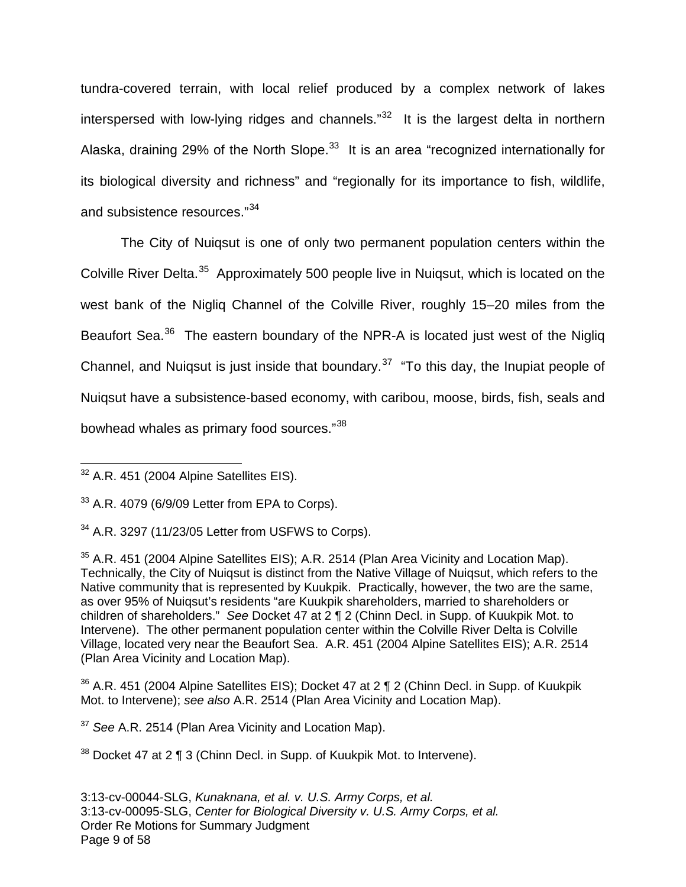tundra-covered terrain, with local relief produced by a complex network of lakes interspersed with low-lying ridges and channels."<sup>[32](#page-8-0)</sup> It is the largest delta in northern Alaska, draining 29% of the North Slope.<sup>[33](#page-8-1)</sup> It is an area "recognized internationally for its biological diversity and richness" and "regionally for its importance to fish, wildlife, and subsistence resources."<sup>[34](#page-8-2)</sup>

The City of Nuiqsut is one of only two permanent population centers within the Colville River Delta.<sup>[35](#page-8-3)</sup> Approximately 500 people live in Nuigsut, which is located on the west bank of the Nigliq Channel of the Colville River, roughly 15–20 miles from the Beaufort Sea.<sup>[36](#page-8-4)</sup> The eastern boundary of the NPR-A is located just west of the Nigliq Channel, and Nuiqsut is just inside that boundary. $37$  "To this day, the Inupiat people of Nuiqsut have a subsistence-based economy, with caribou, moose, birds, fish, seals and bowhead whales as primary food sources."[38](#page-8-6)

<span id="page-8-4"></span> $36$  A.R. 451 (2004 Alpine Satellites EIS); Docket 47 at 2 ¶ 2 (Chinn Decl. in Supp. of Kuukpik Mot. to Intervene); see also A.R. 2514 (Plan Area Vicinity and Location Map).

<span id="page-8-5"></span> $37$  See A.R. 2514 (Plan Area Vicinity and Location Map).

<span id="page-8-6"></span><sup>38</sup> Docket 47 at 2 ¶ 3 (Chinn Decl. in Supp. of Kuukpik Mot. to Intervene).

<span id="page-8-0"></span> $32$  A.R. 451 (2004 Alpine Satellites EIS).  $\overline{a}$ 

<span id="page-8-1"></span> $33$  A.R. 4079 (6/9/09 Letter from EPA to Corps).

<span id="page-8-2"></span> $34$  A.R. 3297 (11/23/05 Letter from USFWS to Corps).

<span id="page-8-3"></span> $35$  A.R. 451 (2004 Alpine Satellites EIS); A.R. 2514 (Plan Area Vicinity and Location Map). Technically, the City of Nuiqsut is distinct from the Native Village of Nuiqsut, which refers to the Native community that is represented by Kuukpik. Practically, however, the two are the same, as over 95% of Nuiqsut's residents "are Kuukpik shareholders, married to shareholders or children of shareholders." See Docket 47 at 2 ¶ 2 (Chinn Decl. in Supp. of Kuukpik Mot. to Intervene). The other permanent population center within the Colville River Delta is Colville Village, located very near the Beaufort Sea. A.R. 451 (2004 Alpine Satellites EIS); A.R. 2514 (Plan Area Vicinity and Location Map).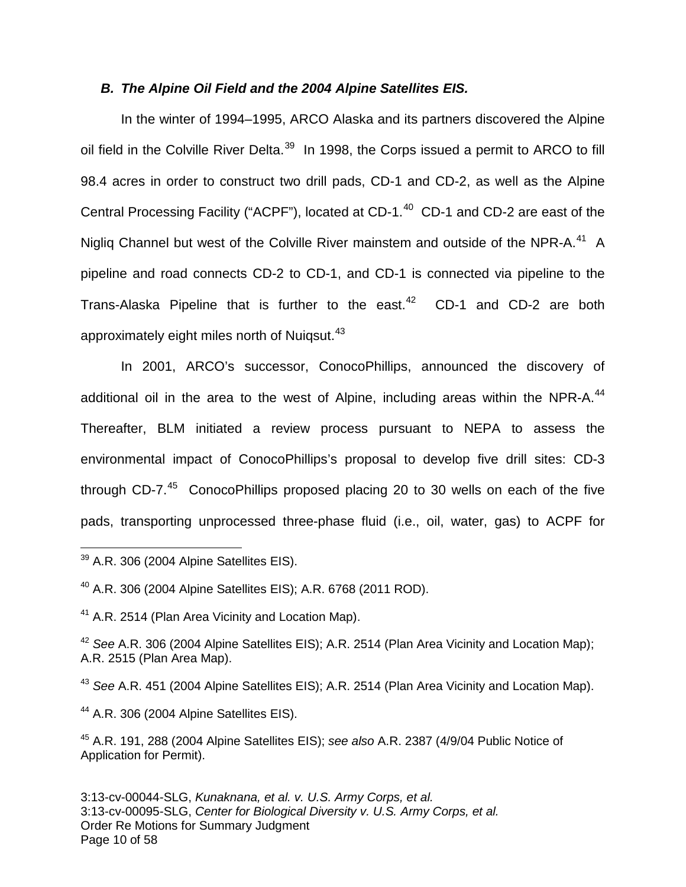#### **B. The Alpine Oil Field and the 2004 Alpine Satellites EIS.**

In the winter of 1994–1995, ARCO Alaska and its partners discovered the Alpine oil field in the Colville River Delta. $^{39}$  $^{39}$  $^{39}$  In 1998, the Corps issued a permit to ARCO to fill 98.4 acres in order to construct two drill pads, CD-1 and CD-2, as well as the Alpine Central Processing Facility ("ACPF"), located at CD-1. $^{40}$  $^{40}$  $^{40}$  CD-1 and CD-2 are east of the Nigliq Channel but west of the Colville River mainstem and outside of the NPR-A.<sup>[41](#page-9-2)</sup> A pipeline and road connects CD-2 to CD-1, and CD-1 is connected via pipeline to the Trans-Alaska Pipeline that is further to the east. [42](#page-9-3) CD-1 and CD-2 are both approximately eight miles north of Nuiqsut.<sup>[43](#page-9-4)</sup>

In 2001, ARCO's successor, ConocoPhillips, announced the discovery of additional oil in the area to the west of Alpine, including areas within the NPR-A. $^{44}$  $^{44}$  $^{44}$ Thereafter, BLM initiated a review process pursuant to NEPA to assess the environmental impact of ConocoPhillips's proposal to develop five drill sites: CD-3 through CD-7.<sup>[45](#page-9-6)</sup> ConocoPhillips proposed placing 20 to 30 wells on each of the five pads, transporting unprocessed three-phase fluid (i.e., oil, water, gas) to ACPF for

<span id="page-9-4"></span><sup>43</sup> See A.R. 451 (2004 Alpine Satellites EIS); A.R. 2514 (Plan Area Vicinity and Location Map).

<span id="page-9-5"></span><sup>44</sup> A.R. 306 (2004 Alpine Satellites EIS).

<span id="page-9-0"></span> $39$  A.R. 306 (2004 Alpine Satellites EIS). 1

<span id="page-9-1"></span><sup>40</sup> A.R. 306 (2004 Alpine Satellites EIS); A.R. 6768 (2011 ROD).

<span id="page-9-2"></span><sup>&</sup>lt;sup>41</sup> A.R. 2514 (Plan Area Vicinity and Location Map).

<span id="page-9-3"></span><sup>&</sup>lt;sup>42</sup> See A.R. 306 (2004 Alpine Satellites EIS); A.R. 2514 (Plan Area Vicinity and Location Map); A.R. 2515 (Plan Area Map).

<span id="page-9-6"></span><sup>45</sup> A.R. 191, 288 (2004 Alpine Satellites EIS); see also A.R. 2387 (4/9/04 Public Notice of Application for Permit).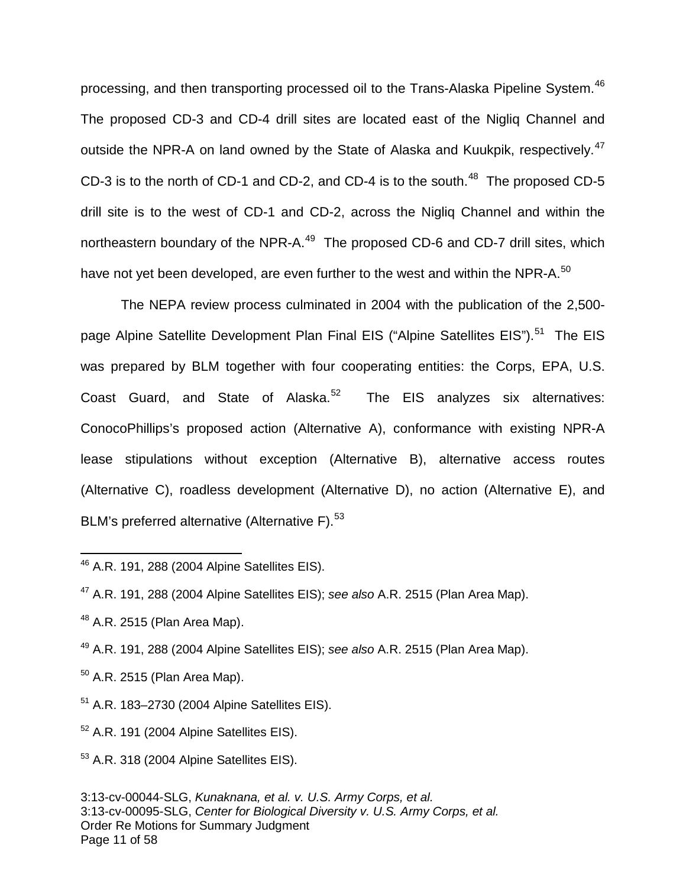processing, and then transporting processed oil to the Trans-Alaska Pipeline System.<sup>[46](#page-10-0)</sup> The proposed CD-3 and CD-4 drill sites are located east of the Nigliq Channel and outside the NPR-A on land owned by the State of Alaska and Kuukpik, respectively.<sup>[47](#page-10-1)</sup> CD-3 is to the north of CD-1 and CD-2, and CD-4 is to the south.<sup>[48](#page-10-2)</sup> The proposed CD-5 drill site is to the west of CD-1 and CD-2, across the Nigliq Channel and within the northeastern boundary of the NPR-A.<sup>[49](#page-10-3)</sup> The proposed CD-6 and CD-7 drill sites, which have not yet been developed, are even further to the west and within the NPR-A.<sup>[50](#page-10-4)</sup>

The NEPA review process culminated in 2004 with the publication of the 2,500- page Alpine Satellite Development Plan Final EIS ("Alpine Satellites EIS").<sup>[51](#page-10-5)</sup> The EIS was prepared by BLM together with four cooperating entities: the Corps, EPA, U.S. Coast Guard, and State of Alaska.<sup>[52](#page-10-6)</sup> The EIS analyzes six alternatives: ConocoPhillips's proposed action (Alternative A), conformance with existing NPR-A lease stipulations without exception (Alternative B), alternative access routes (Alternative C), roadless development (Alternative D), no action (Alternative E), and BLM's preferred alternative (Alternative F). $^{53}$  $^{53}$  $^{53}$ 

 $\overline{a}$ 

<span id="page-10-3"></span><sup>49</sup> A.R. 191, 288 (2004 Alpine Satellites EIS); see also A.R. 2515 (Plan Area Map).

- <span id="page-10-4"></span> $50$  A.R. 2515 (Plan Area Map).
- <span id="page-10-5"></span><sup>51</sup> A.R. 183–2730 (2004 Alpine Satellites EIS).

<span id="page-10-6"></span><sup>52</sup> A.R. 191 (2004 Alpine Satellites EIS).

<span id="page-10-7"></span><sup>53</sup> A.R. 318 (2004 Alpine Satellites EIS).

<span id="page-10-0"></span><sup>46</sup> A.R. 191, 288 (2004 Alpine Satellites EIS).

<span id="page-10-1"></span> $47$  A.R. 191, 288 (2004 Alpine Satellites EIS); see also A.R. 2515 (Plan Area Map).

<span id="page-10-2"></span> $48$  A.R. 2515 (Plan Area Map).

<sup>3:13-</sup>cv-00044-SLG, Kunaknana, et al. v. U.S. Army Corps, et al. 3:13-cv-00095-SLG, Center for Biological Diversity v. U.S. Army Corps, et al. Order Re Motions for Summary Judgment Page 11 of 58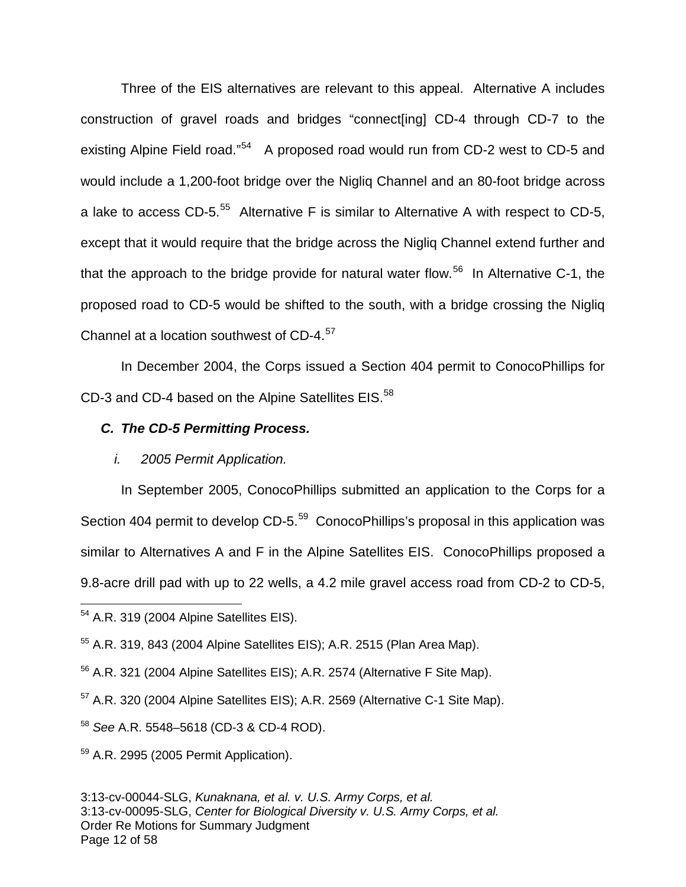Three of the EIS alternatives are relevant to this appeal. Alternative A includes construction of gravel roads and bridges "connect[ing] CD-4 through CD-7 to the existing Alpine Field road."<sup>[54](#page-11-0)</sup> A proposed road would run from CD-2 west to CD-5 and would include a 1,200-foot bridge over the Nigliq Channel and an 80-foot bridge across a lake to access CD-5. $55$  Alternative F is similar to Alternative A with respect to CD-5, except that it would require that the bridge across the Nigliq Channel extend further and that the approach to the bridge provide for natural water flow.<sup>[56](#page-11-2)</sup> In Alternative C-1, the proposed road to CD-5 would be shifted to the south, with a bridge crossing the Nigliq Channel at a location southwest of CD-4. $57$ 

In December 2004, the Corps issued a Section 404 permit to ConocoPhillips for CD-3 and CD-4 based on the Alpine Satellites EIS. $58$ 

## **C. The CD-5 Permitting Process.**

#### i. 2005 Permit Application.

In September 2005, ConocoPhillips submitted an application to the Corps for a Section 404 permit to develop CD-5.<sup>[59](#page-11-5)</sup> ConocoPhillips's proposal in this application was similar to Alternatives A and F in the Alpine Satellites EIS. ConocoPhillips proposed a 9.8-acre drill pad with up to 22 wells, a 4.2 mile gravel access road from CD-2 to CD-5,

1

<span id="page-11-0"></span><sup>54</sup> A.R. 319 (2004 Alpine Satellites EIS).

<span id="page-11-1"></span><sup>55</sup> A.R. 319, 843 (2004 Alpine Satellites EIS); A.R. 2515 (Plan Area Map).

<span id="page-11-2"></span><sup>&</sup>lt;sup>56</sup> A.R. 321 (2004 Alpine Satellites EIS); A.R. 2574 (Alternative F Site Map).

<span id="page-11-3"></span><sup>57</sup> A.R. 320 (2004 Alpine Satellites EIS); A.R. 2569 (Alternative C-1 Site Map).

<span id="page-11-4"></span><sup>58</sup> See A.R. 5548–5618 (CD-3 & CD-4 ROD).

<span id="page-11-5"></span> $59$  A.R. 2995 (2005 Permit Application).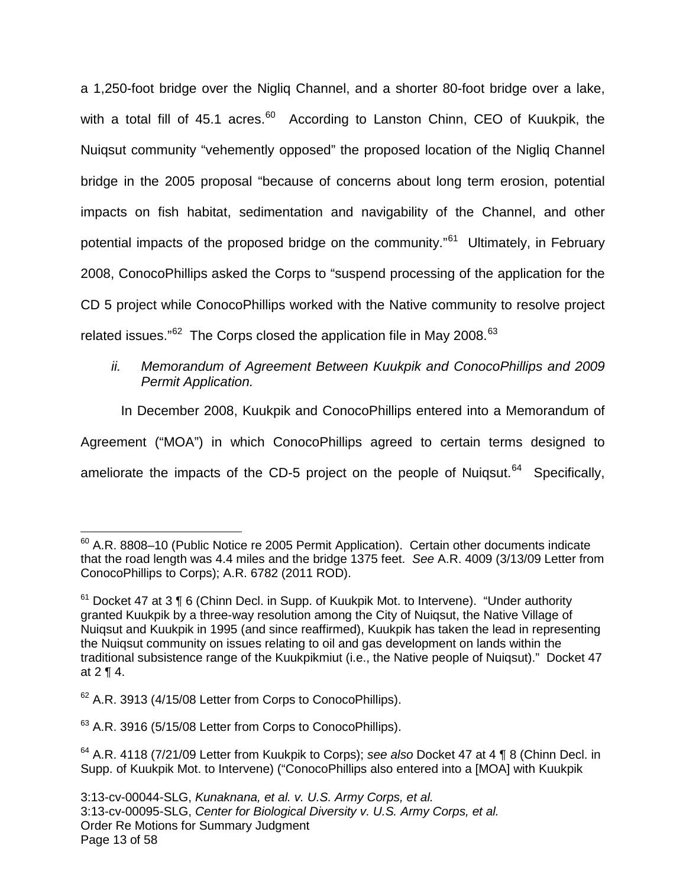a 1,250-foot bridge over the Nigliq Channel, and a shorter 80-foot bridge over a lake, with a total fill of 45.1 acres.<sup>[60](#page-12-0)</sup> According to Lanston Chinn, CEO of Kuukpik, the Nuiqsut community "vehemently opposed" the proposed location of the Nigliq Channel bridge in the 2005 proposal "because of concerns about long term erosion, potential impacts on fish habitat, sedimentation and navigability of the Channel, and other potential impacts of the proposed bridge on the community."<sup>[61](#page-12-1)</sup> Ultimately, in February 2008, ConocoPhillips asked the Corps to "suspend processing of the application for the CD 5 project while ConocoPhillips worked with the Native community to resolve project related issues."<sup>[62](#page-12-2)</sup> The Corps closed the application file in May 2008.<sup>[63](#page-12-3)</sup>

### ii. Memorandum of Agreement Between Kuukpik and ConocoPhillips and 2009 Permit Application.

In December 2008, Kuukpik and ConocoPhillips entered into a Memorandum of Agreement ("MOA") in which ConocoPhillips agreed to certain terms designed to ameliorate the impacts of the CD-5 project on the people of Nuiqsut.<sup>[64](#page-12-4)</sup> Specifically,

 $\overline{a}$ 

<span id="page-12-3"></span><sup>63</sup> A.R. 3916 (5/15/08 Letter from Corps to ConocoPhillips).

<span id="page-12-0"></span> $60$  A.R. 8808–10 (Public Notice re 2005 Permit Application). Certain other documents indicate that the road length was 4.4 miles and the bridge 1375 feet. See A.R. 4009 (3/13/09 Letter from ConocoPhillips to Corps); A.R. 6782 (2011 ROD).

<span id="page-12-1"></span> $61$  Docket 47 at 3 ¶ 6 (Chinn Decl. in Supp. of Kuukpik Mot. to Intervene). "Under authority granted Kuukpik by a three-way resolution among the City of Nuiqsut, the Native Village of Nuiqsut and Kuukpik in 1995 (and since reaffirmed), Kuukpik has taken the lead in representing the Nuiqsut community on issues relating to oil and gas development on lands within the traditional subsistence range of the Kuukpikmiut (i.e., the Native people of Nuiqsut)." Docket 47 at 2 ¶ 4.

<span id="page-12-2"></span> $62$  A.R. 3913 (4/15/08 Letter from Corps to ConocoPhillips).

<span id="page-12-4"></span> $64$  A.R. 4118 (7/21/09 Letter from Kuukpik to Corps); see also Docket 47 at 4 ¶ 8 (Chinn Decl. in Supp. of Kuukpik Mot. to Intervene) ("ConocoPhillips also entered into a [MOA] with Kuukpik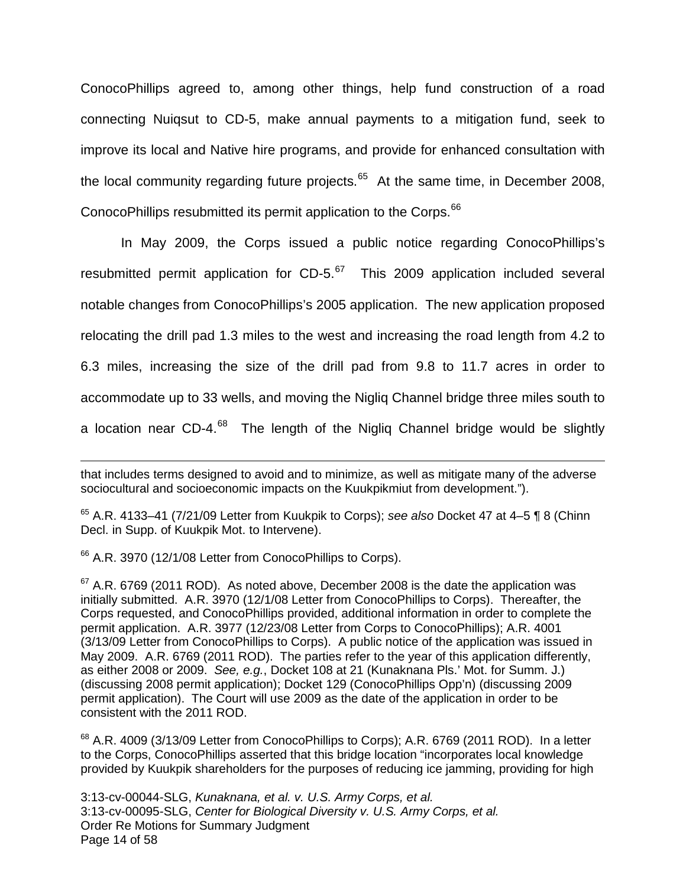ConocoPhillips agreed to, among other things, help fund construction of a road connecting Nuiqsut to CD-5, make annual payments to a mitigation fund, seek to improve its local and Native hire programs, and provide for enhanced consultation with the local community regarding future projects.<sup>[65](#page-13-0)</sup> At the same time, in December 2008, ConocoPhillips resubmitted its permit application to the Corps.<sup>[66](#page-13-1)</sup>

In May 2009, the Corps issued a public notice regarding ConocoPhillips's resubmitted permit application for  $CD-5.^{67}$  $CD-5.^{67}$  $CD-5.^{67}$  This 2009 application included several notable changes from ConocoPhillips's 2005 application. The new application proposed relocating the drill pad 1.3 miles to the west and increasing the road length from 4.2 to 6.3 miles, increasing the size of the drill pad from 9.8 to 11.7 acres in order to accommodate up to 33 wells, and moving the Nigliq Channel bridge three miles south to a location near CD-4. $^{68}$  $^{68}$  $^{68}$  The length of the Nigliq Channel bridge would be slightly

<span id="page-13-0"></span> $65$  A.R. 4133–41 (7/21/09 Letter from Kuukpik to Corps); see also Docket 47 at 4–5  $\P$  8 (Chinn Decl. in Supp. of Kuukpik Mot. to Intervene).

<span id="page-13-1"></span><sup>66</sup> A.R. 3970 (12/1/08 Letter from ConocoPhillips to Corps).

 $\overline{a}$ 

<span id="page-13-2"></span> $67$  A.R. 6769 (2011 ROD). As noted above, December 2008 is the date the application was initially submitted. A.R. 3970 (12/1/08 Letter from ConocoPhillips to Corps). Thereafter, the Corps requested, and ConocoPhillips provided, additional information in order to complete the permit application. A.R. 3977 (12/23/08 Letter from Corps to ConocoPhillips); A.R. 4001 (3/13/09 Letter from ConocoPhillips to Corps). A public notice of the application was issued in May 2009. A.R. 6769 (2011 ROD). The parties refer to the year of this application differently, as either 2008 or 2009. See, e.g., Docket 108 at 21 (Kunaknana Pls.' Mot. for Summ. J.) (discussing 2008 permit application); Docket 129 (ConocoPhillips Opp'n) (discussing 2009 permit application). The Court will use 2009 as the date of the application in order to be consistent with the 2011 ROD.

<span id="page-13-3"></span> $68$  A.R. 4009 (3/13/09 Letter from ConocoPhillips to Corps); A.R. 6769 (2011 ROD). In a letter to the Corps, ConocoPhillips asserted that this bridge location "incorporates local knowledge provided by Kuukpik shareholders for the purposes of reducing ice jamming, providing for high

3:13-cv-00044-SLG, Kunaknana, et al. v. U.S. Army Corps, et al. 3:13-cv-00095-SLG, Center for Biological Diversity v. U.S. Army Corps, et al. Order Re Motions for Summary Judgment Page 14 of 58

that includes terms designed to avoid and to minimize, as well as mitigate many of the adverse sociocultural and socioeconomic impacts on the Kuukpikmiut from development.").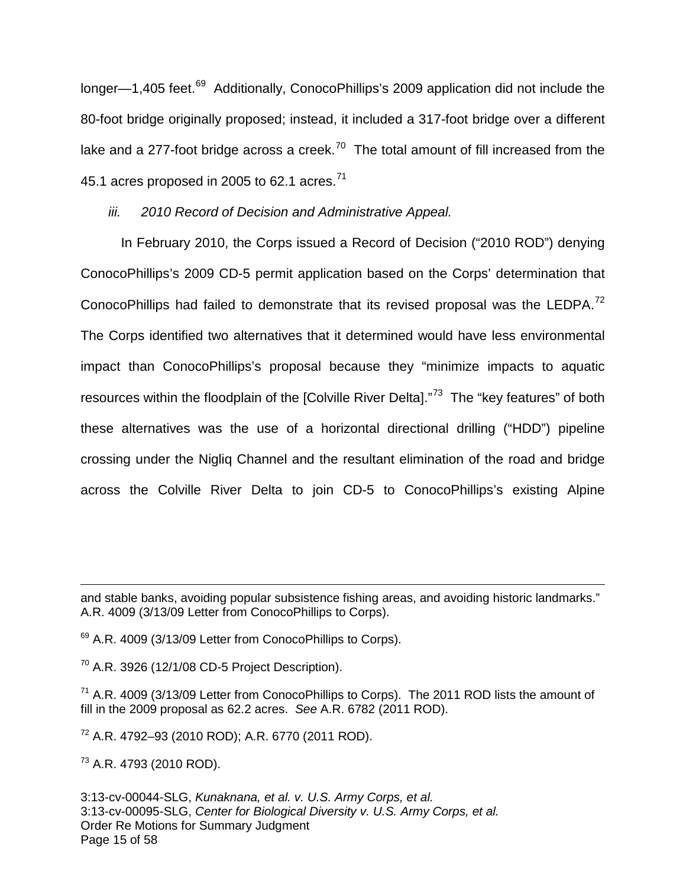longer—1,405 feet.<sup>[69](#page-14-0)</sup> Additionally, ConocoPhillips's 2009 application did not include the 80-foot bridge originally proposed; instead, it included a 317-foot bridge over a different lake and a 277-foot bridge across a creek.<sup>[70](#page-14-1)</sup> The total amount of fill increased from the 45.1 acres proposed in 2005 to 62.1 acres.<sup>[71](#page-14-2)</sup>

iii. 2010 Record of Decision and Administrative Appeal.

In February 2010, the Corps issued a Record of Decision ("2010 ROD") denying ConocoPhillips's 2009 CD-5 permit application based on the Corps' determination that ConocoPhillips had failed to demonstrate that its revised proposal was the LEDPA.<sup>[72](#page-14-3)</sup> The Corps identified two alternatives that it determined would have less environmental impact than ConocoPhillips's proposal because they "minimize impacts to aquatic resources within the floodplain of the [Colville River Delta]."<sup>[73](#page-14-4)</sup> The "key features" of both these alternatives was the use of a horizontal directional drilling ("HDD") pipeline crossing under the Nigliq Channel and the resultant elimination of the road and bridge across the Colville River Delta to join CD-5 to ConocoPhillips's existing Alpine

<span id="page-14-1"></span> $70$  A.R. 3926 (12/1/08 CD-5 Project Description).

<span id="page-14-2"></span><sup>71</sup> A.R. 4009 (3/13/09 Letter from ConocoPhillips to Corps). The 2011 ROD lists the amount of fill in the 2009 proposal as 62.2 acres. See A.R. 6782 (2011 ROD).

<span id="page-14-3"></span><sup>72</sup> A.R. 4792–93 (2010 ROD); A.R. 6770 (2011 ROD).

<span id="page-14-4"></span><sup>73</sup> A.R. 4793 (2010 ROD).

 $\overline{a}$ 

3:13-cv-00044-SLG, Kunaknana, et al. v. U.S. Army Corps, et al. 3:13-cv-00095-SLG, Center for Biological Diversity v. U.S. Army Corps, et al. Order Re Motions for Summary Judgment Page 15 of 58

and stable banks, avoiding popular subsistence fishing areas, and avoiding historic landmarks." A.R. 4009 (3/13/09 Letter from ConocoPhillips to Corps).

<span id="page-14-0"></span> $69$  A.R. 4009 (3/13/09 Letter from ConocoPhillips to Corps).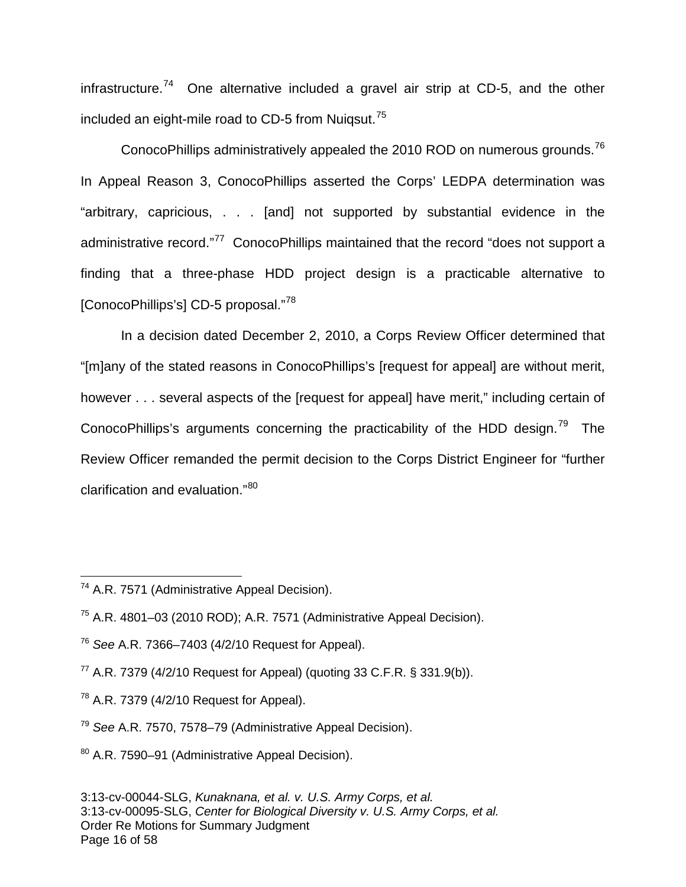infrastructure.<sup>[74](#page-15-0)</sup> One alternative included a gravel air strip at CD-5, and the other included an eight-mile road to CD-5 from Nuigsut.<sup>[75](#page-15-1)</sup>

ConocoPhillips administratively appealed the 2010 ROD on numerous grounds.<sup>[76](#page-15-2)</sup> In Appeal Reason 3, ConocoPhillips asserted the Corps' LEDPA determination was "arbitrary, capricious, . . . [and] not supported by substantial evidence in the administrative record."<sup>[77](#page-15-3)</sup> ConocoPhillips maintained that the record "does not support a finding that a three-phase HDD project design is a practicable alternative to [ConocoPhillips's] CD-5 proposal."[78](#page-15-4)

In a decision dated December 2, 2010, a Corps Review Officer determined that "[m]any of the stated reasons in ConocoPhillips's [request for appeal] are without merit, however . . . several aspects of the [request for appeal] have merit," including certain of ConocoPhillips's arguments concerning the practicability of the HDD design.<sup>[79](#page-15-5)</sup> The Review Officer remanded the permit decision to the Corps District Engineer for "further clarification and evaluation."<sup>[80](#page-15-6)</sup>

 $\overline{a}$ 

<span id="page-15-0"></span><sup>74</sup> A.R. 7571 (Administrative Appeal Decision).

<span id="page-15-1"></span><sup>75</sup> A.R. 4801–03 (2010 ROD); A.R. 7571 (Administrative Appeal Decision).

<span id="page-15-2"></span> $76$  See A.R. 7366–7403 (4/2/10 Request for Appeal).

<span id="page-15-3"></span> $77$  A.R. 7379 (4/2/10 Request for Appeal) (quoting 33 C.F.R. § 331.9(b)).

<span id="page-15-4"></span> $78$  A.R. 7379 (4/2/10 Request for Appeal).

<span id="page-15-5"></span><sup>79</sup> See A.R. 7570, 7578–79 (Administrative Appeal Decision).

<span id="page-15-6"></span><sup>80</sup> A.R. 7590–91 (Administrative Appeal Decision).

<sup>3:13-</sup>cv-00044-SLG, Kunaknana, et al. v. U.S. Army Corps, et al. 3:13-cv-00095-SLG, Center for Biological Diversity v. U.S. Army Corps, et al. Order Re Motions for Summary Judgment Page 16 of 58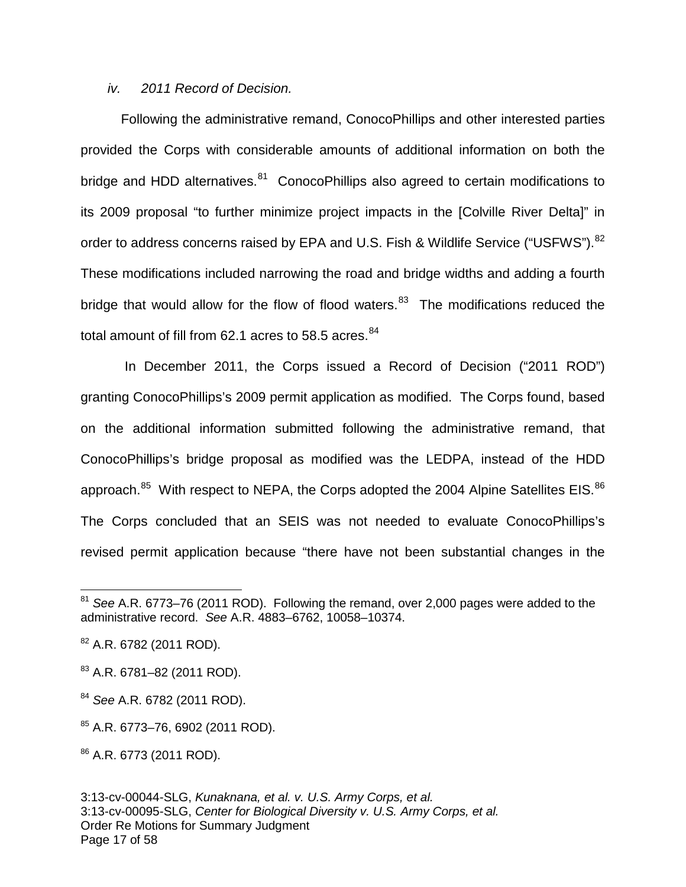#### iv. 2011 Record of Decision.

Following the administrative remand, ConocoPhillips and other interested parties provided the Corps with considerable amounts of additional information on both the bridge and HDD alternatives.<sup>[81](#page-16-0)</sup> ConocoPhillips also agreed to certain modifications to its 2009 proposal "to further minimize project impacts in the [Colville River Delta]" in order to address concerns raised by EPA and U.S. Fish & Wildlife Service ("USFWS").<sup>[82](#page-16-1)</sup> These modifications included narrowing the road and bridge widths and adding a fourth bridge that would allow for the flow of flood waters.<sup>[83](#page-16-2)</sup> The modifications reduced the total amount of fill from 62.1 acres to 58.5 acres. $84$ 

 In December 2011, the Corps issued a Record of Decision ("2011 ROD") granting ConocoPhillips's 2009 permit application as modified. The Corps found, based on the additional information submitted following the administrative remand, that ConocoPhillips's bridge proposal as modified was the LEDPA, instead of the HDD approach.<sup>[85](#page-16-4)</sup> With respect to NEPA, the Corps adopted the 2004 Alpine Satellites EIS.<sup>[86](#page-16-5)</sup> The Corps concluded that an SEIS was not needed to evaluate ConocoPhillips's revised permit application because "there have not been substantial changes in the

 $\overline{a}$ 

<span id="page-16-0"></span> $81$  See A.R. 6773–76 (2011 ROD). Following the remand, over 2,000 pages were added to the administrative record. See A.R. 4883–6762, 10058–10374.

<span id="page-16-1"></span><sup>&</sup>lt;sup>82</sup> A.R. 6782 (2011 ROD).

<span id="page-16-2"></span><sup>83</sup> A.R. 6781–82 (2011 ROD).

<span id="page-16-3"></span><sup>&</sup>lt;sup>84</sup> See A.R. 6782 (2011 ROD).

<span id="page-16-4"></span><sup>85</sup> A.R. 6773–76, 6902 (2011 ROD).

<span id="page-16-5"></span><sup>86</sup> A.R. 6773 (2011 ROD).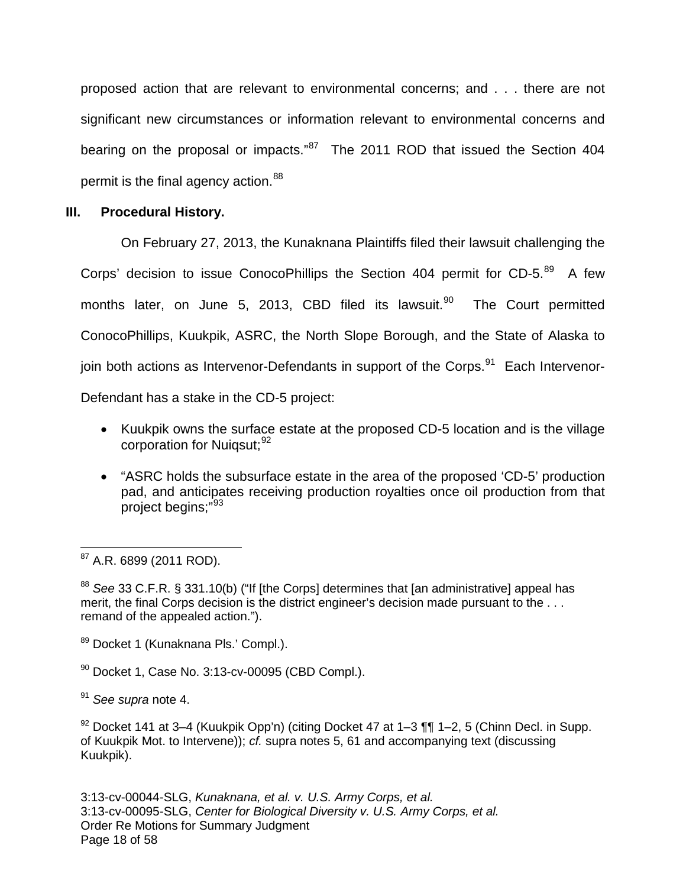proposed action that are relevant to environmental concerns; and . . . there are not significant new circumstances or information relevant to environmental concerns and bearing on the proposal or impacts."<sup>[87](#page-17-0)</sup> The 2011 ROD that issued the Section 404 permit is the final agency action.<sup>[88](#page-17-1)</sup>

#### **III. Procedural History.**

On February 27, 2013, the Kunaknana Plaintiffs filed their lawsuit challenging the Corps' decision to issue ConocoPhillips the Section 404 permit for CD-5. $^{89}$  $^{89}$  $^{89}$  A few months later, on June 5, 2013, CBD filed its lawsuit.<sup>[90](#page-17-3)</sup> The Court permitted ConocoPhillips, Kuukpik, ASRC, the North Slope Borough, and the State of Alaska to join both actions as Intervenor-Defendants in support of the Corps.<sup>[91](#page-17-4)</sup> Each Intervenor-Defendant has a stake in the CD-5 project:

- Kuukpik owns the surface estate at the proposed CD-5 location and is the village corporation for Nuiqsut; <sup>[92](#page-17-5)</sup>
- "ASRC holds the subsurface estate in the area of the proposed 'CD-5' production pad, and anticipates receiving production royalties once oil production from that project begins;"<sup>[93](#page-17-6)</sup>

<span id="page-17-6"></span><span id="page-17-0"></span><sup>87</sup> A.R. 6899 (2011 ROD).  $\overline{a}$ 

<span id="page-17-1"></span>88 See 33 C.F.R. § 331.10(b) ("If [the Corps] determines that [an administrative] appeal has merit, the final Corps decision is the district engineer's decision made pursuant to the . . . remand of the appealed action.").

- <span id="page-17-2"></span>89 Docket 1 (Kunaknana Pls.' Compl.).
- <span id="page-17-3"></span> $90$  Docket 1, Case No. 3:13-cv-00095 (CBD Compl.).
- <span id="page-17-4"></span> $91$  See supra note 4.

<span id="page-17-5"></span> $92$  Docket 141 at 3–4 (Kuukpik Opp'n) (citing Docket 47 at 1–3 ¶¶ 1–2, 5 (Chinn Decl. in Supp. of Kuukpik Mot. to Intervene)); cf. supra notes 5, 61 and accompanying text (discussing Kuukpik).

3:13-cv-00044-SLG, Kunaknana, et al. v. U.S. Army Corps, et al. 3:13-cv-00095-SLG, Center for Biological Diversity v. U.S. Army Corps, et al. Order Re Motions for Summary Judgment Page 18 of 58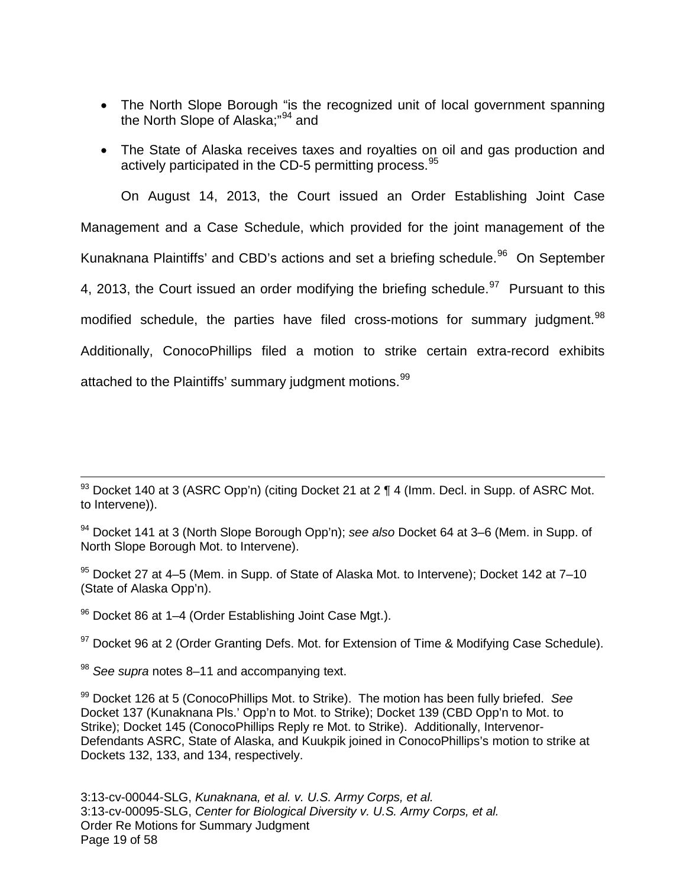- The North Slope Borough "is the recognized unit of local government spanning the North Slope of Alaska;"[94](#page-18-0) and
- The State of Alaska receives taxes and royalties on oil and gas production and actively participated in the CD-5 permitting process.<sup>[95](#page-18-1)</sup>

On August 14, 2013, the Court issued an Order Establishing Joint Case Management and a Case Schedule, which provided for the joint management of the Kunaknana Plaintiffs' and CBD's actions and set a briefing schedule.<sup>[96](#page-18-2)</sup> On September 4, 2013, the Court issued an order modifying the briefing schedule.  $97$  Pursuant to this modified schedule, the parties have filed cross-motions for summary judgment.<sup>[98](#page-18-4)</sup> Additionally, ConocoPhillips filed a motion to strike certain extra-record exhibits attached to the Plaintiffs' summary judgment motions.<sup>[99](#page-18-5)</sup>

<span id="page-18-2"></span>96 Docket 86 at 1–4 (Order Establishing Joint Case Mgt.).

<span id="page-18-3"></span><sup>97</sup> Docket 96 at 2 (Order Granting Defs. Mot. for Extension of Time & Modifying Case Schedule).

<span id="page-18-4"></span> $98$  See supra notes 8–11 and accompanying text.

 $\overline{a}$ 

 $93$  Docket 140 at 3 (ASRC Opp'n) (citing Docket 21 at 2 ¶ 4 (Imm. Decl. in Supp. of ASRC Mot. to Intervene)).

<span id="page-18-0"></span><sup>94</sup> Docket 141 at 3 (North Slope Borough Opp'n); see also Docket 64 at 3–6 (Mem. in Supp. of North Slope Borough Mot. to Intervene).

<span id="page-18-1"></span><sup>95</sup> Docket 27 at 4–5 (Mem. in Supp. of State of Alaska Mot. to Intervene); Docket 142 at 7–10 (State of Alaska Opp'n).

<span id="page-18-5"></span> $99$  Docket 126 at 5 (ConocoPhillips Mot. to Strike). The motion has been fully briefed. See Docket 137 (Kunaknana Pls.' Opp'n to Mot. to Strike); Docket 139 (CBD Opp'n to Mot. to Strike); Docket 145 (ConocoPhillips Reply re Mot. to Strike). Additionally, Intervenor-Defendants ASRC, State of Alaska, and Kuukpik joined in ConocoPhillips's motion to strike at Dockets 132, 133, and 134, respectively.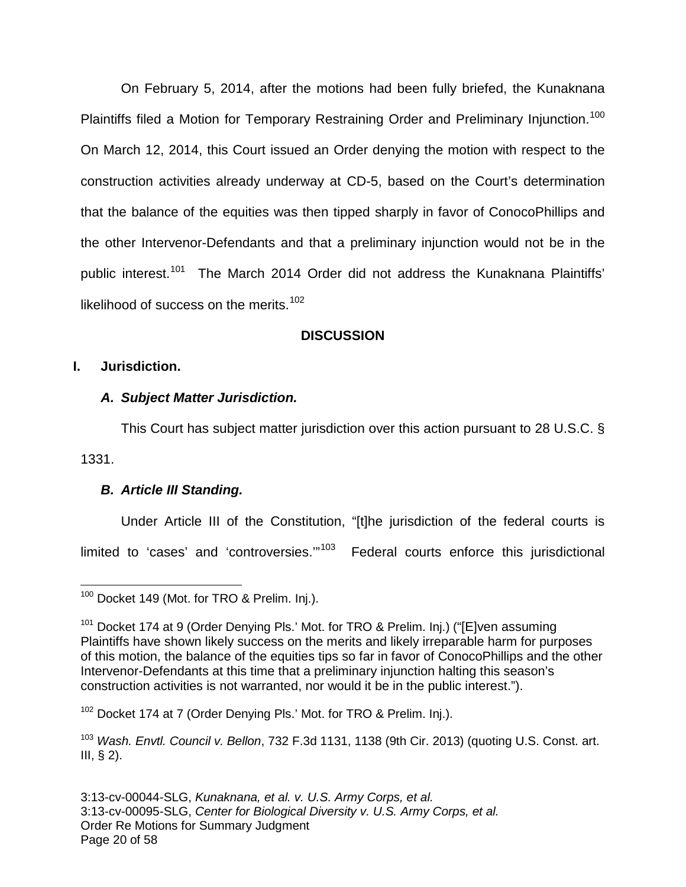On February 5, 2014, after the motions had been fully briefed, the Kunaknana Plaintiffs filed a Motion for Temporary Restraining Order and Preliminary Injunction.<sup>[100](#page-19-0)</sup> On March 12, 2014, this Court issued an Order denying the motion with respect to the construction activities already underway at CD-5, based on the Court's determination that the balance of the equities was then tipped sharply in favor of ConocoPhillips and the other Intervenor-Defendants and that a preliminary injunction would not be in the public interest.<sup>[101](#page-19-1)</sup> The March 2014 Order did not address the Kunaknana Plaintiffs' likelihood of success on the merits. $102$ 

## **DISCUSSION**

### **I. Jurisdiction.**

### **A. Subject Matter Jurisdiction.**

This Court has subject matter jurisdiction over this action pursuant to 28 U.S.C. §

1331.

## **B. Article III Standing.**

Under Article III of the Constitution, "[t]he jurisdiction of the federal courts is

limited to 'cases' and 'controversies."<sup>[103](#page-19-3)</sup> Federal courts enforce this jurisdictional

<span id="page-19-2"></span><sup>102</sup> Docket 174 at 7 (Order Denying Pls.' Mot. for TRO & Prelim. Inj.).

<span id="page-19-3"></span> $103$  Wash. Envtl. Council v. Bellon, 732 F.3d 1131, 1138 (9th Cir. 2013) (quoting U.S. Const. art. III,  $\S$  2).

<span id="page-19-0"></span><sup>&</sup>lt;sup>100</sup> Docket 149 (Mot. for TRO & Prelim. Inj.). 1

<span id="page-19-1"></span><sup>&</sup>lt;sup>101</sup> Docket 174 at 9 (Order Denying Pls.' Mot. for TRO & Prelim. Inj.) ("[E]ven assuming Plaintiffs have shown likely success on the merits and likely irreparable harm for purposes of this motion, the balance of the equities tips so far in favor of ConocoPhillips and the other Intervenor-Defendants at this time that a preliminary injunction halting this season's construction activities is not warranted, nor would it be in the public interest.").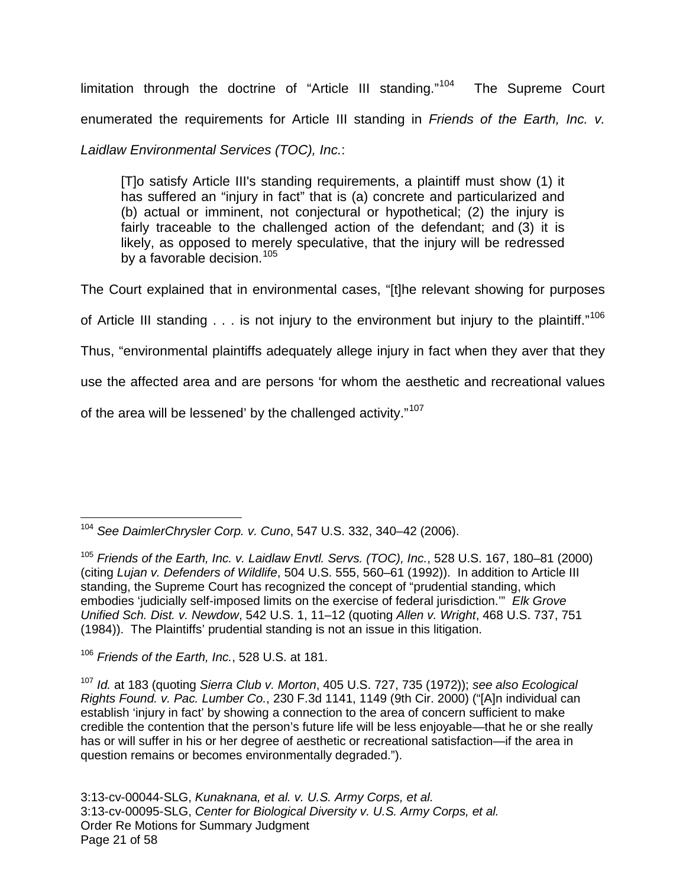limitation through the doctrine of "Article III standing."<sup>[104](#page-20-0)</sup> The Supreme Court enumerated the requirements for Article III standing in Friends of the Earth, Inc. v.

## Laidlaw Environmental Services (TOC), Inc.:

[T]o satisfy Article III's standing requirements, a plaintiff must show (1) it has suffered an "injury in fact" that is (a) concrete and particularized and (b) actual or imminent, not conjectural or hypothetical; (2) the injury is fairly traceable to the challenged action of the defendant; and (3) it is likely, as opposed to merely speculative, that the injury will be redressed by a favorable decision.<sup>[105](#page-20-1)</sup>

The Court explained that in environmental cases, "[t]he relevant showing for purposes of Article III standing  $\ldots$  is not injury to the environment but injury to the plaintiff."<sup>[106](#page-20-2)</sup> Thus, "environmental plaintiffs adequately allege injury in fact when they aver that they use the affected area and are persons 'for whom the aesthetic and recreational values of the area will be lessened' by the challenged activity."<sup>[107](#page-20-3)</sup>

<span id="page-20-0"></span><sup>104</sup> See DaimlerChrysler Corp. v. Cuno, 547 U.S. 332, 340–42 (2006).  $\overline{a}$ 

<span id="page-20-1"></span> $105$  Friends of the Earth, Inc. v. Laidlaw Envtl. Servs. (TOC), Inc., 528 U.S. 167, 180-81 (2000) (citing Lujan v. Defenders of Wildlife, 504 U.S. 555, 560–61 (1992)). In addition to Article III standing, the Supreme Court has recognized the concept of "prudential standing, which embodies 'judicially self-imposed limits on the exercise of federal jurisdiction."" Elk Grove Unified Sch. Dist. v. Newdow, 542 U.S. 1, 11–12 (quoting Allen v. Wright, 468 U.S. 737, 751 (1984)). The Plaintiffs' prudential standing is not an issue in this litigation.

<span id="page-20-2"></span> $106$  Friends of the Earth, Inc., 528 U.S. at 181.

<span id="page-20-3"></span> $107$  Id. at 183 (quoting Sierra Club v. Morton, 405 U.S. 727, 735 (1972)); see also Ecological Rights Found. v. Pac. Lumber Co., 230 F.3d 1141, 1149 (9th Cir. 2000) ("[A]n individual can establish 'injury in fact' by showing a connection to the area of concern sufficient to make credible the contention that the person's future life will be less enjoyable—that he or she really has or will suffer in his or her degree of aesthetic or recreational satisfaction—if the area in question remains or becomes environmentally degraded.").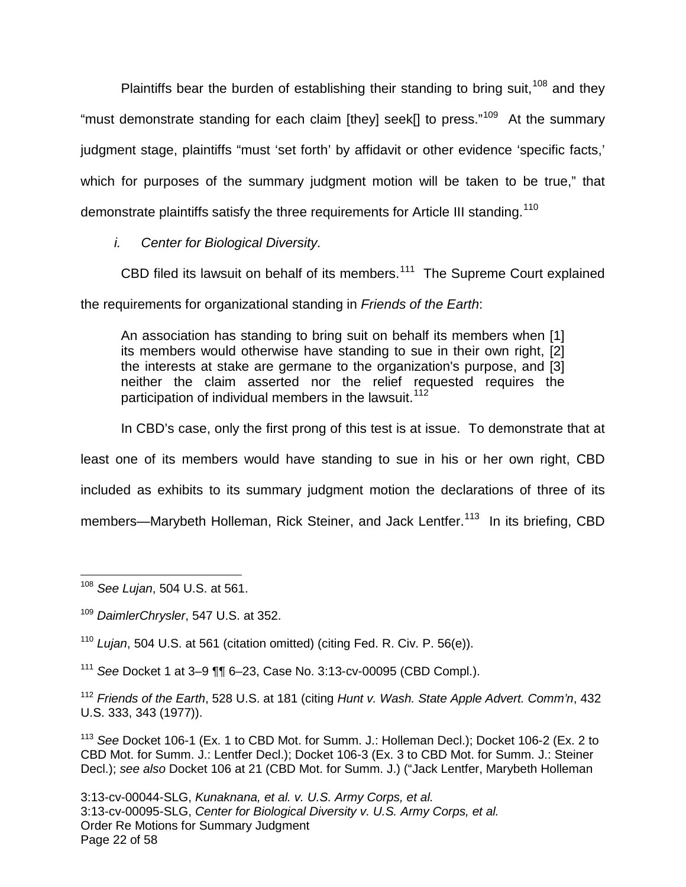Plaintiffs bear the burden of establishing their standing to bring suit,  $108$  and they "must demonstrate standing for each claim [they] seek[] to press."<sup>[109](#page-21-1)</sup> At the summary judgment stage, plaintiffs "must 'set forth' by affidavit or other evidence 'specific facts,' which for purposes of the summary judgment motion will be taken to be true," that demonstrate plaintiffs satisfy the three requirements for Article III standing.<sup>[110](#page-21-2)</sup>

i. Center for Biological Diversity.

CBD filed its lawsuit on behalf of its members. $111$  The Supreme Court explained the requirements for organizational standing in Friends of the Earth:

An association has standing to bring suit on behalf its members when [1] its members would otherwise have standing to sue in their own right, [2] the interests at stake are germane to the organization's purpose, and [3] neither the claim asserted nor the relief requested requires the participation of individual members in the lawsuit.<sup>[112](#page-21-4)</sup>

In CBD's case, only the first prong of this test is at issue. To demonstrate that at least one of its members would have standing to sue in his or her own right, CBD included as exhibits to its summary judgment motion the declarations of three of its members—Marybeth Holleman, Rick Steiner, and Jack Lentfer.<sup>[113](#page-21-5)</sup> In its briefing, CBD

<span id="page-21-2"></span><sup>110</sup> Lujan, 504 U.S. at 561 (citation omitted) (citing Fed. R. Civ. P. 56(e)).

<span id="page-21-3"></span><sup>111</sup> See Docket 1 at 3–9  $\P$ , 6–23, Case No. 3:13-cv-00095 (CBD Compl.).

<span id="page-21-4"></span> $112$  Friends of the Earth, 528 U.S. at 181 (citing Hunt v. Wash. State Apple Advert. Comm'n, 432 U.S. 333, 343 (1977)).

<span id="page-21-5"></span><sup>113</sup> See Docket 106-1 (Ex. 1 to CBD Mot. for Summ. J.: Holleman Decl.); Docket 106-2 (Ex. 2 to CBD Mot. for Summ. J.: Lentfer Decl.); Docket 106-3 (Ex. 3 to CBD Mot. for Summ. J.: Steiner Decl.); see also Docket 106 at 21 (CBD Mot. for Summ. J.) ("Jack Lentfer, Marybeth Holleman

<span id="page-21-0"></span><sup>&</sup>lt;sup>108</sup> See Lujan, 504 U.S. at 561.  $\overline{a}$ 

<span id="page-21-1"></span><sup>&</sup>lt;sup>109</sup> DaimlerChrysler, 547 U.S. at 352.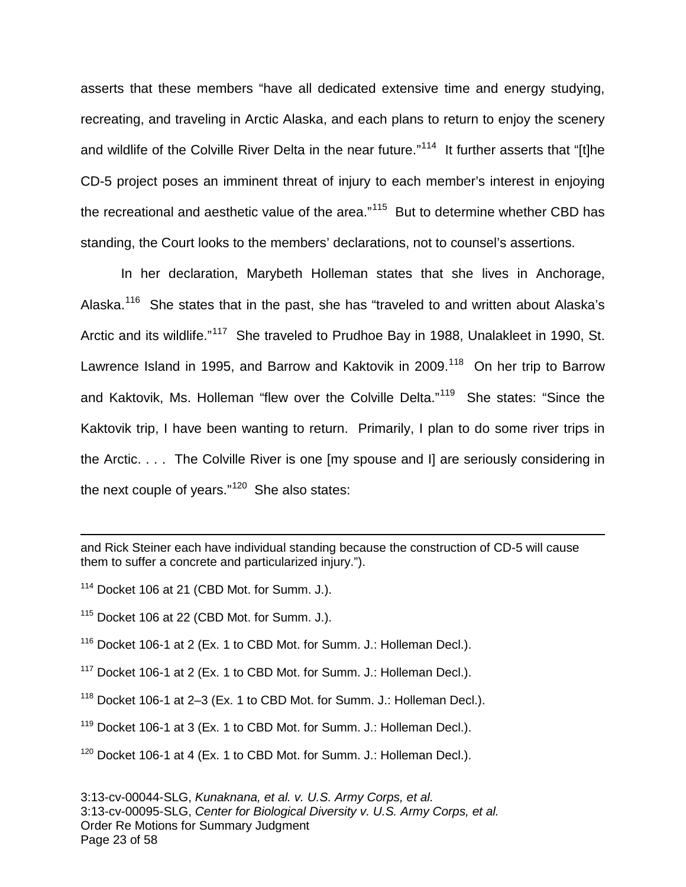asserts that these members "have all dedicated extensive time and energy studying, recreating, and traveling in Arctic Alaska, and each plans to return to enjoy the scenery and wildlife of the Colville River Delta in the near future."<sup>[114](#page-22-0)</sup> It further asserts that "[t]he CD-5 project poses an imminent threat of injury to each member's interest in enjoying the recreational and aesthetic value of the area."<sup>[115](#page-22-1)</sup> But to determine whether CBD has standing, the Court looks to the members' declarations, not to counsel's assertions.

In her declaration, Marybeth Holleman states that she lives in Anchorage, Alaska.<sup>[116](#page-22-2)</sup> She states that in the past, she has "traveled to and written about Alaska's Arctic and its wildlife."<sup>[117](#page-22-3)</sup> She traveled to Prudhoe Bay in 1988, Unalakleet in 1990, St. Lawrence Island in 1995, and Barrow and Kaktovik in 2009.<sup>[118](#page-22-4)</sup> On her trip to Barrow and Kaktovik, Ms. Holleman "flew over the Colville Delta."<sup>[119](#page-22-5)</sup> She states: "Since the Kaktovik trip, I have been wanting to return. Primarily, I plan to do some river trips in the Arctic. . . . The Colville River is one [my spouse and I] are seriously considering in the next couple of years." $120$  She also states:

and Rick Steiner each have individual standing because the construction of CD-5 will cause them to suffer a concrete and particularized injury.").

<span id="page-22-0"></span><sup>114</sup> Docket 106 at 21 (CBD Mot. for Summ. J.).

1

<span id="page-22-2"></span> $116$  Docket 106-1 at 2 (Ex. 1 to CBD Mot. for Summ. J.: Holleman Decl.).

<span id="page-22-3"></span> $117$  Docket 106-1 at 2 (Ex. 1 to CBD Mot. for Summ. J.: Holleman Decl.).

<span id="page-22-4"></span><sup>118</sup> Docket 106-1 at 2-3 (Ex. 1 to CBD Mot. for Summ. J.: Holleman Decl.).

<span id="page-22-5"></span><sup>119</sup> Docket 106-1 at 3 (Ex. 1 to CBD Mot. for Summ. J.: Holleman Decl.).

<span id="page-22-6"></span> $120$  Docket 106-1 at 4 (Ex. 1 to CBD Mot. for Summ. J.: Holleman Decl.).

<span id="page-22-1"></span> $115$  Docket 106 at 22 (CBD Mot. for Summ. J.).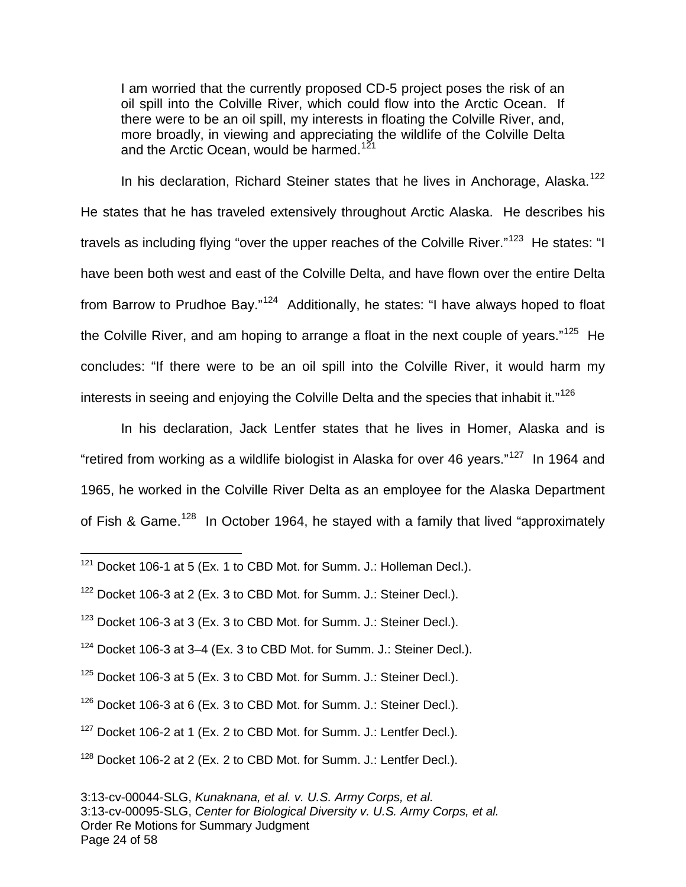I am worried that the currently proposed CD-5 project poses the risk of an oil spill into the Colville River, which could flow into the Arctic Ocean. If there were to be an oil spill, my interests in floating the Colville River, and, more broadly, in viewing and appreciating the wildlife of the Colville Delta and the Arctic Ocean, would be harmed.<sup>[121](#page-23-0)</sup>

In his declaration, Richard Steiner states that he lives in Anchorage, Alaska.<sup>[122](#page-23-1)</sup> He states that he has traveled extensively throughout Arctic Alaska. He describes his travels as including flying "over the upper reaches of the Colville River."<sup>[123](#page-23-2)</sup> He states: "I have been both west and east of the Colville Delta, and have flown over the entire Delta from Barrow to Prudhoe Bay."<sup>[124](#page-23-3)</sup> Additionally, he states: "I have always hoped to float the Colville River, and am hoping to arrange a float in the next couple of years."<sup>[125](#page-23-4)</sup> He concludes: "If there were to be an oil spill into the Colville River, it would harm my interests in seeing and enjoying the Colville Delta and the species that inhabit it."<sup>[126](#page-23-5)</sup>

In his declaration, Jack Lentfer states that he lives in Homer, Alaska and is "retired from working as a wildlife biologist in Alaska for over 46 years."<sup>[127](#page-23-6)</sup> In 1964 and 1965, he worked in the Colville River Delta as an employee for the Alaska Department of Fish & Game.<sup>[128](#page-23-7)</sup> In October 1964, he stayed with a family that lived "approximately

 $\overline{a}$ 

- <span id="page-23-2"></span> $123$  Docket 106-3 at 3 (Ex. 3 to CBD Mot. for Summ. J.: Steiner Decl.).
- <span id="page-23-3"></span> $124$  Docket 106-3 at 3-4 (Ex. 3 to CBD Mot. for Summ. J.: Steiner Decl.).
- <span id="page-23-4"></span> $125$  Docket 106-3 at 5 (Ex. 3 to CBD Mot. for Summ. J.: Steiner Decl.).
- <span id="page-23-5"></span> $126$  Docket 106-3 at 6 (Ex. 3 to CBD Mot. for Summ. J.: Steiner Decl.).
- <span id="page-23-6"></span> $127$  Docket 106-2 at 1 (Ex. 2 to CBD Mot. for Summ. J.: Lentfer Decl.).

<span id="page-23-0"></span> $121$  Docket 106-1 at 5 (Ex. 1 to CBD Mot. for Summ. J.: Holleman Decl.).

<span id="page-23-1"></span> $122$  Docket 106-3 at 2 (Ex. 3 to CBD Mot. for Summ. J.: Steiner Decl.).

<span id="page-23-7"></span> $128$  Docket 106-2 at 2 (Ex. 2 to CBD Mot. for Summ. J.: Lentfer Decl.).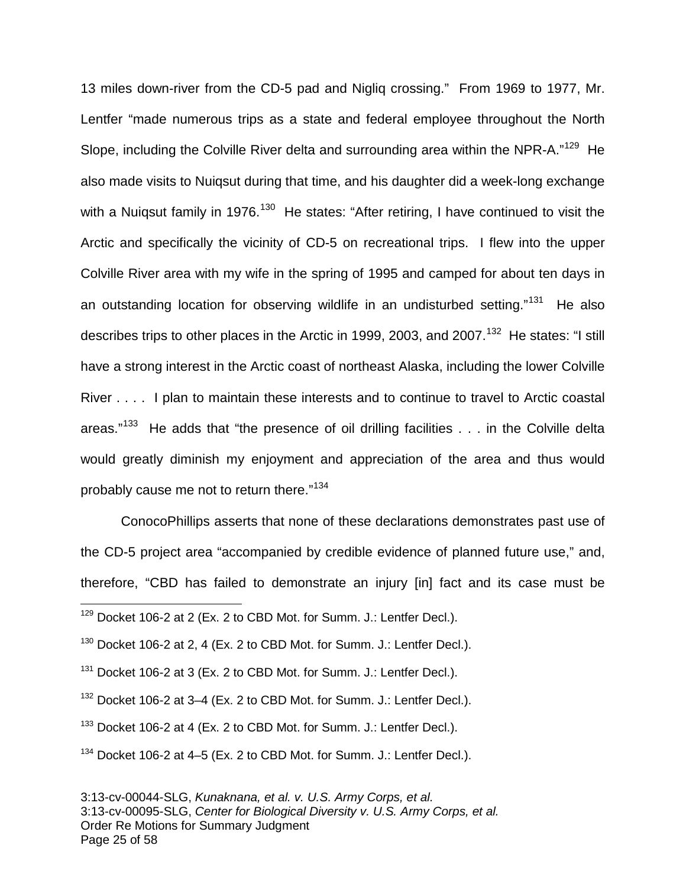13 miles down-river from the CD-5 pad and Nigliq crossing." From 1969 to 1977, Mr. Lentfer "made numerous trips as a state and federal employee throughout the North Slope, including the Colville River delta and surrounding area within the NPR-A."<sup>[129](#page-24-0)</sup> He also made visits to Nuiqsut during that time, and his daughter did a week-long exchange with a Nuiqsut family in 1976.<sup>[130](#page-24-1)</sup> He states: "After retiring, I have continued to visit the Arctic and specifically the vicinity of CD-5 on recreational trips. I flew into the upper Colville River area with my wife in the spring of 1995 and camped for about ten days in an outstanding location for observing wildlife in an undisturbed setting."<sup>[131](#page-24-2)</sup> He also describes trips to other places in the Arctic in 1999, 2003, and 2007.<sup>[132](#page-24-3)</sup> He states: "I still have a strong interest in the Arctic coast of northeast Alaska, including the lower Colville River . . . . I plan to maintain these interests and to continue to travel to Arctic coastal areas."<sup>[133](#page-24-4)</sup> He adds that "the presence of oil drilling facilities . . . in the Colville delta would greatly diminish my enjoyment and appreciation of the area and thus would probably cause me not to return there."[134](#page-24-5)

ConocoPhillips asserts that none of these declarations demonstrates past use of the CD-5 project area "accompanied by credible evidence of planned future use," and, therefore, "CBD has failed to demonstrate an injury [in] fact and its case must be

1

<span id="page-24-0"></span> $129$  Docket 106-2 at 2 (Ex. 2 to CBD Mot. for Summ. J.: Lentfer Decl.).

<span id="page-24-1"></span> $130$  Docket 106-2 at 2, 4 (Ex. 2 to CBD Mot. for Summ. J.: Lentfer Decl.).

<span id="page-24-2"></span> $131$  Docket 106-2 at 3 (Ex. 2 to CBD Mot. for Summ. J.: Lentfer Decl.).

<span id="page-24-3"></span><sup>132</sup> Docket 106-2 at 3-4 (Ex. 2 to CBD Mot. for Summ. J.: Lentfer Decl.).

<span id="page-24-4"></span><sup>&</sup>lt;sup>133</sup> Docket 106-2 at 4 (Ex. 2 to CBD Mot. for Summ. J.: Lentfer Decl.).

<span id="page-24-5"></span><sup>&</sup>lt;sup>134</sup> Docket 106-2 at 4–5 (Ex. 2 to CBD Mot. for Summ. J.: Lentfer Decl.).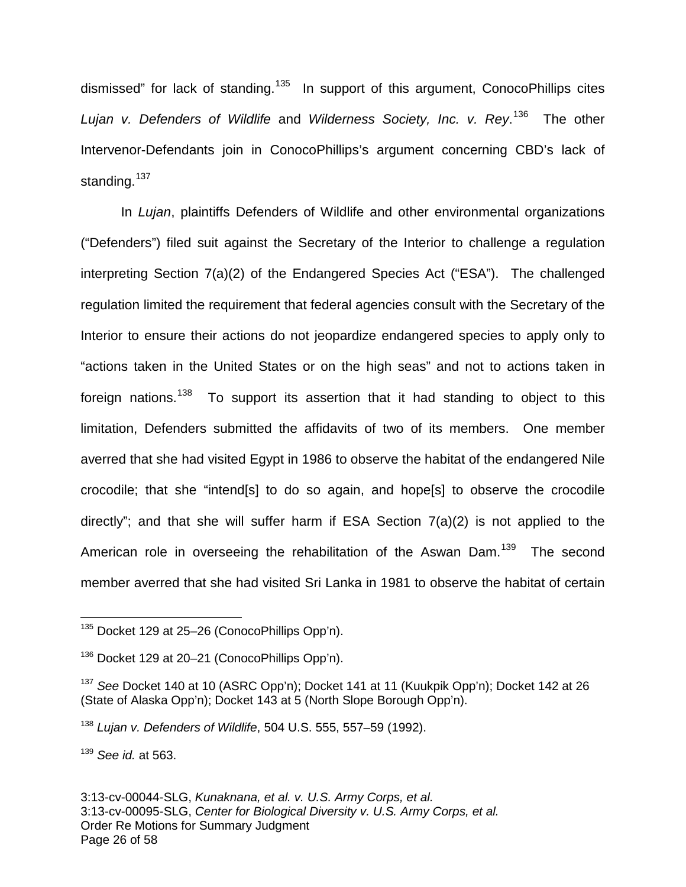dismissed" for lack of standing.<sup>[135](#page-25-0)</sup> In support of this argument, ConocoPhillips cites Lujan v. Defenders of Wildlife and Wilderness Society, Inc. v. Rey.<sup>[136](#page-25-1)</sup> The other Intervenor-Defendants join in ConocoPhillips's argument concerning CBD's lack of standing.<sup>[137](#page-25-2)</sup>

In Lujan, plaintiffs Defenders of Wildlife and other environmental organizations ("Defenders") filed suit against the Secretary of the Interior to challenge a regulation interpreting Section 7(a)(2) of the Endangered Species Act ("ESA"). The challenged regulation limited the requirement that federal agencies consult with the Secretary of the Interior to ensure their actions do not jeopardize endangered species to apply only to "actions taken in the United States or on the high seas" and not to actions taken in foreign nations.<sup>[138](#page-25-3)</sup> To support its assertion that it had standing to object to this limitation, Defenders submitted the affidavits of two of its members. One member averred that she had visited Egypt in 1986 to observe the habitat of the endangered Nile crocodile; that she "intend[s] to do so again, and hope[s] to observe the crocodile directly"; and that she will suffer harm if ESA Section 7(a)(2) is not applied to the American role in overseeing the rehabilitation of the Aswan Dam.<sup>[139](#page-25-4)</sup> The second member averred that she had visited Sri Lanka in 1981 to observe the habitat of certain

<span id="page-25-4"></span> $139$  See id. at 563.

3:13-cv-00044-SLG, Kunaknana, et al. v. U.S. Army Corps, et al. 3:13-cv-00095-SLG, Center for Biological Diversity v. U.S. Army Corps, et al. Order Re Motions for Summary Judgment Page 26 of 58

<span id="page-25-0"></span><sup>&</sup>lt;sup>135</sup> Docket 129 at 25–26 (ConocoPhillips Opp'n). 1

<span id="page-25-1"></span><sup>&</sup>lt;sup>136</sup> Docket 129 at 20–21 (ConocoPhillips Opp'n).

<span id="page-25-2"></span><sup>&</sup>lt;sup>137</sup> See Docket 140 at 10 (ASRC Opp'n); Docket 141 at 11 (Kuukpik Opp'n); Docket 142 at 26 (State of Alaska Opp'n); Docket 143 at 5 (North Slope Borough Opp'n).

<span id="page-25-3"></span><sup>138</sup> Lujan v. Defenders of Wildlife, 504 U.S. 555, 557–59 (1992).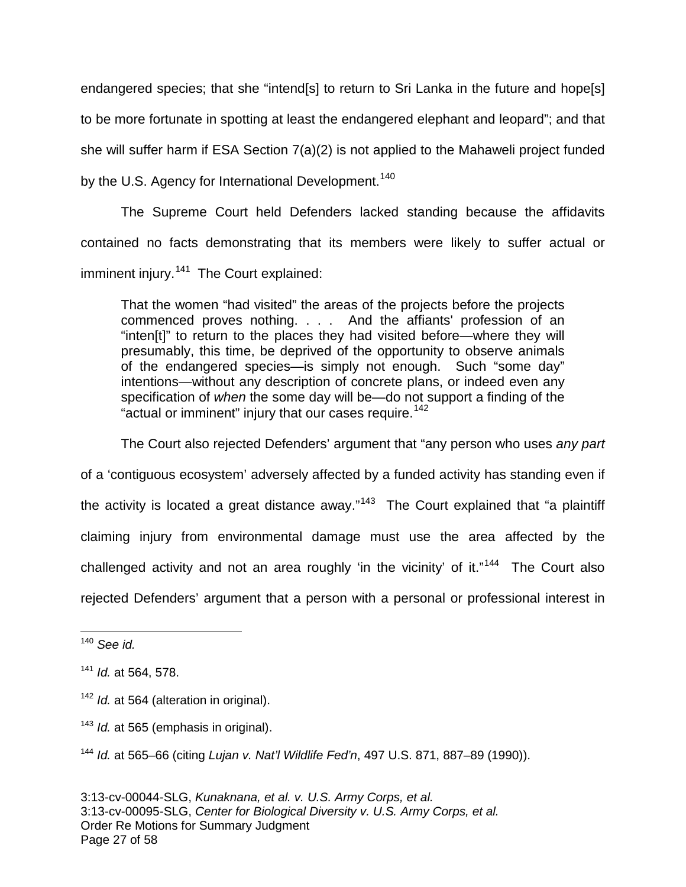endangered species; that she "intend[s] to return to Sri Lanka in the future and hope[s] to be more fortunate in spotting at least the endangered elephant and leopard"; and that she will suffer harm if ESA Section 7(a)(2) is not applied to the Mahaweli project funded by the U.S. Agency for International Development.<sup>[140](#page-26-0)</sup>

The Supreme Court held Defenders lacked standing because the affidavits contained no facts demonstrating that its members were likely to suffer actual or imminent injury.<sup>[141](#page-26-1)</sup> The Court explained:

That the women "had visited" the areas of the projects before the projects commenced proves nothing. . . . And the affiants' profession of an "inten[t]" to return to the places they had visited before—where they will presumably, this time, be deprived of the opportunity to observe animals of the endangered species—is simply not enough. Such "some day" intentions—without any description of concrete plans, or indeed even any specification of when the some day will be—do not support a finding of the "actual or imminent" injury that our cases require.<sup>[142](#page-26-2)</sup>

The Court also rejected Defenders' argument that "any person who uses any part of a 'contiguous ecosystem' adversely affected by a funded activity has standing even if the activity is located a great distance away."<sup>[143](#page-26-3)</sup> The Court explained that "a plaintiff claiming injury from environmental damage must use the area affected by the challenged activity and not an area roughly 'in the vicinity' of it."<sup>[144](#page-26-4)</sup> The Court also rejected Defenders' argument that a person with a personal or professional interest in

<span id="page-26-3"></span> $143$  *Id.* at 565 (emphasis in original).

<span id="page-26-4"></span><sup>144</sup> Id. at 565–66 (citing Lujan v. Nat'l Wildlife Fed'n, 497 U.S. 871, 887–89 (1990)).

<span id="page-26-0"></span> $140$  See id. 1

<span id="page-26-1"></span> $141$  *Id.* at 564, 578.

<span id="page-26-2"></span> $142$  *Id.* at 564 (alteration in original).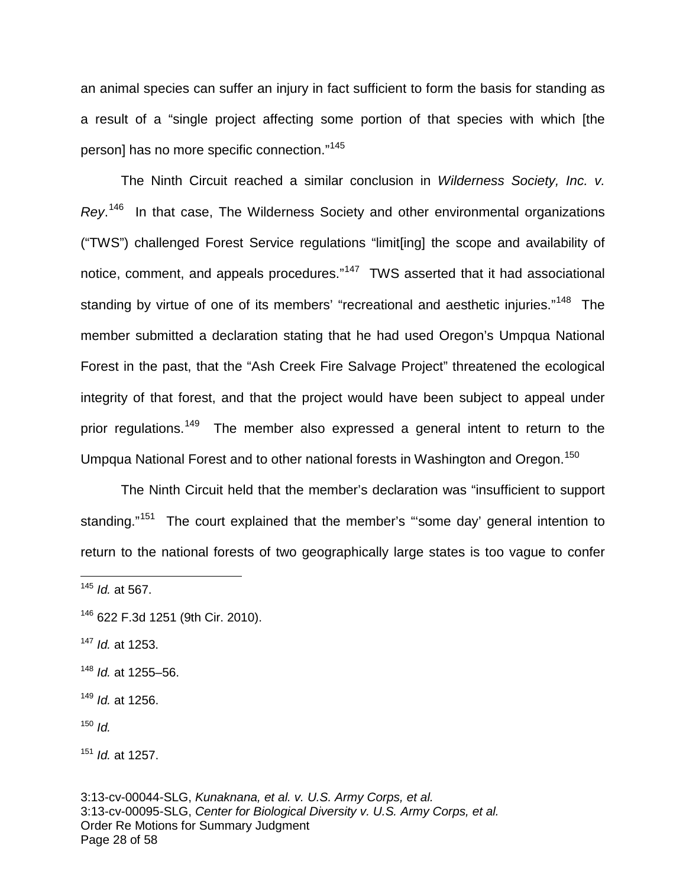an animal species can suffer an injury in fact sufficient to form the basis for standing as a result of a "single project affecting some portion of that species with which [the person] has no more specific connection."[145](#page-27-0)

The Ninth Circuit reached a similar conclusion in Wilderness Society, Inc. v. Rey.<sup>[146](#page-27-1)</sup> In that case, The Wilderness Society and other environmental organizations ("TWS") challenged Forest Service regulations "limit[ing] the scope and availability of notice, comment, and appeals procedures."<sup>[147](#page-27-2)</sup> TWS asserted that it had associational standing by virtue of one of its members' "recreational and aesthetic injuries."<sup>[148](#page-27-3)</sup> The member submitted a declaration stating that he had used Oregon's Umpqua National Forest in the past, that the "Ash Creek Fire Salvage Project" threatened the ecological integrity of that forest, and that the project would have been subject to appeal under prior regulations.<sup>[149](#page-27-4)</sup> The member also expressed a general intent to return to the Umpqua National Forest and to other national forests in Washington and Oregon.<sup>[150](#page-27-5)</sup>

The Ninth Circuit held that the member's declaration was "insufficient to support standing."<sup>[151](#page-27-6)</sup> The court explained that the member's "'some day' general intention to return to the national forests of two geographically large states is too vague to confer

1

<span id="page-27-2"></span> $147$  *Id.* at 1253.

<span id="page-27-0"></span><sup>&</sup>lt;sup>145</sup> *Id.* at 567.

<span id="page-27-1"></span><sup>146</sup> 622 F.3d 1251 (9th Cir. 2010).

<span id="page-27-3"></span> $148$  *Id.* at 1255–56.

<span id="page-27-4"></span> $149$  *Id.* at 1256.

<span id="page-27-5"></span> $150$  *Id.* 

<span id="page-27-6"></span> $151$  *Id.* at 1257.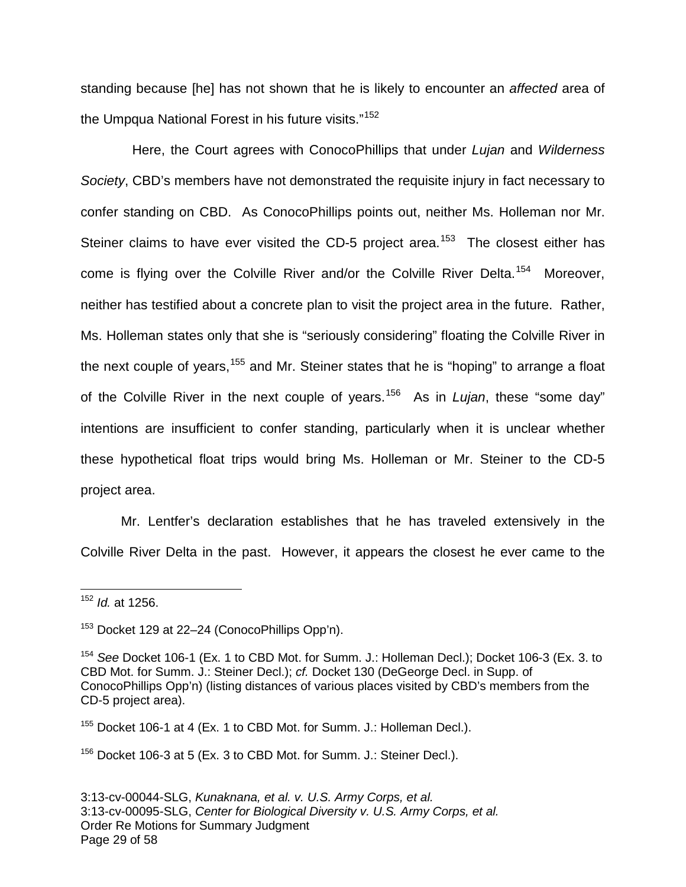standing because [he] has not shown that he is likely to encounter an affected area of the Umpqua National Forest in his future visits."<sup>[152](#page-28-0)</sup>

Here, the Court agrees with ConocoPhillips that under Lujan and Wilderness Society, CBD's members have not demonstrated the requisite injury in fact necessary to confer standing on CBD. As ConocoPhillips points out, neither Ms. Holleman nor Mr. Steiner claims to have ever visited the CD-5 project area.<sup>[153](#page-28-1)</sup> The closest either has come is flying over the Colville River and/or the Colville River Delta.<sup>[154](#page-28-2)</sup> Moreover, neither has testified about a concrete plan to visit the project area in the future. Rather, Ms. Holleman states only that she is "seriously considering" floating the Colville River in the next couple of years,<sup>[155](#page-28-3)</sup> and Mr. Steiner states that he is "hoping" to arrange a float of the Colville River in the next couple of years.<sup>[156](#page-28-4)</sup> As in Lujan, these "some day" intentions are insufficient to confer standing, particularly when it is unclear whether these hypothetical float trips would bring Ms. Holleman or Mr. Steiner to the CD-5 project area.

Mr. Lentfer's declaration establishes that he has traveled extensively in the Colville River Delta in the past. However, it appears the closest he ever came to the

<span id="page-28-3"></span><sup>155</sup> Docket 106-1 at 4 (Ex. 1 to CBD Mot. for Summ. J.: Holleman Decl.).

<span id="page-28-4"></span> $156$  Docket 106-3 at 5 (Ex. 3 to CBD Mot. for Summ. J.: Steiner Decl.).

<span id="page-28-0"></span> $152$  *Id.* at 1256. 1

<span id="page-28-1"></span><sup>153</sup> Docket 129 at 22–24 (ConocoPhillips Opp'n).

<span id="page-28-2"></span><sup>&</sup>lt;sup>154</sup> See Docket 106-1 (Ex. 1 to CBD Mot. for Summ. J.: Holleman Decl.); Docket 106-3 (Ex. 3. to CBD Mot. for Summ. J.: Steiner Decl.); cf. Docket 130 (DeGeorge Decl. in Supp. of ConocoPhillips Opp'n) (listing distances of various places visited by CBD's members from the CD-5 project area).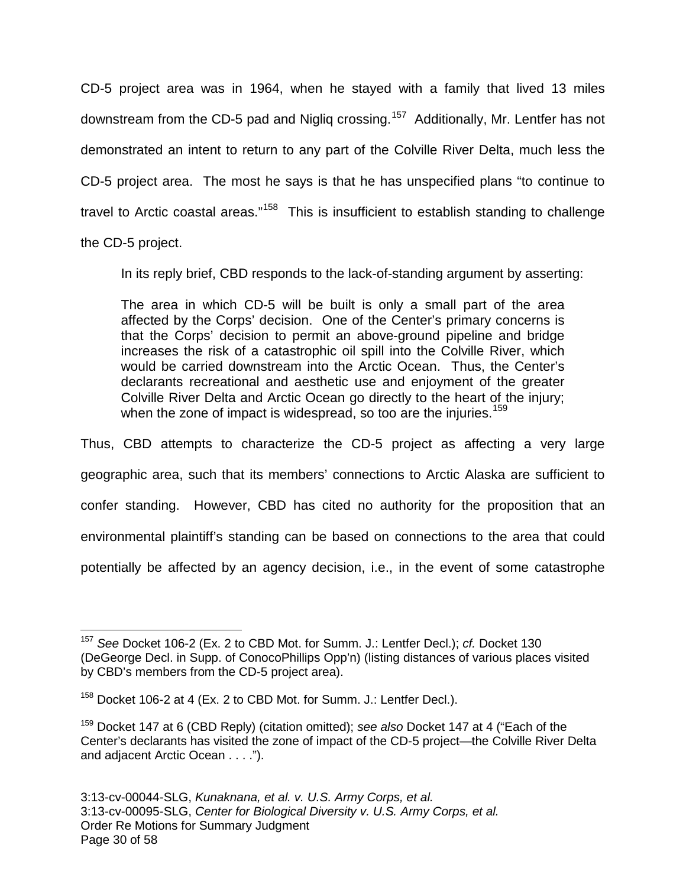CD-5 project area was in 1964, when he stayed with a family that lived 13 miles downstream from the CD-5 pad and Nigliq crossing.<sup>[157](#page-29-0)</sup> Additionally, Mr. Lentfer has not demonstrated an intent to return to any part of the Colville River Delta, much less the CD-5 project area. The most he says is that he has unspecified plans "to continue to travel to Arctic coastal areas."<sup>[158](#page-29-1)</sup> This is insufficient to establish standing to challenge

the CD-5 project.

1

In its reply brief, CBD responds to the lack-of-standing argument by asserting:

The area in which CD-5 will be built is only a small part of the area affected by the Corps' decision. One of the Center's primary concerns is that the Corps' decision to permit an above-ground pipeline and bridge increases the risk of a catastrophic oil spill into the Colville River, which would be carried downstream into the Arctic Ocean. Thus, the Center's declarants recreational and aesthetic use and enjoyment of the greater Colville River Delta and Arctic Ocean go directly to the heart of the injury; when the zone of impact is widespread, so too are the injuries.<sup>[159](#page-29-2)</sup>

Thus, CBD attempts to characterize the CD-5 project as affecting a very large geographic area, such that its members' connections to Arctic Alaska are sufficient to confer standing. However, CBD has cited no authority for the proposition that an environmental plaintiff's standing can be based on connections to the area that could potentially be affected by an agency decision, i.e., in the event of some catastrophe

<span id="page-29-0"></span><sup>&</sup>lt;sup>157</sup> See Docket 106-2 (Ex. 2 to CBD Mot. for Summ. J.: Lentfer Decl.); cf. Docket 130 (DeGeorge Decl. in Supp. of ConocoPhillips Opp'n) (listing distances of various places visited by CBD's members from the CD-5 project area).

<span id="page-29-1"></span> $158$  Docket 106-2 at 4 (Ex. 2 to CBD Mot. for Summ. J.: Lentfer Decl.).

<span id="page-29-2"></span> $159$  Docket 147 at 6 (CBD Reply) (citation omitted); see also Docket 147 at 4 ("Each of the Center's declarants has visited the zone of impact of the CD-5 project—the Colville River Delta and adjacent Arctic Ocean . . . .").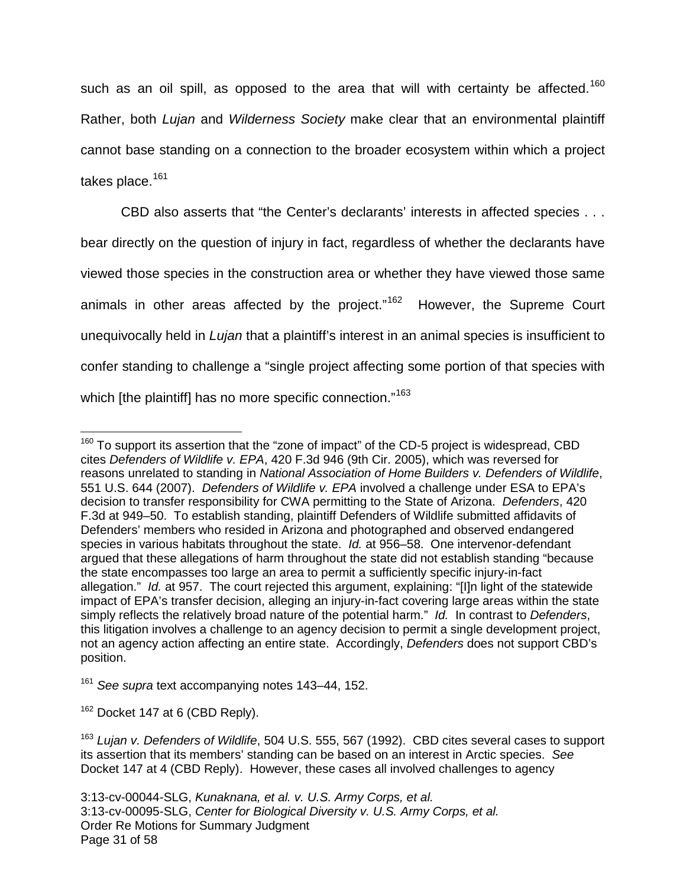such as an oil spill, as opposed to the area that will with certainty be affected.<sup>[160](#page-30-0)</sup> Rather, both Lujan and Wilderness Society make clear that an environmental plaintiff cannot base standing on a connection to the broader ecosystem within which a project takes place.<sup>[161](#page-30-1)</sup>

CBD also asserts that "the Center's declarants' interests in affected species . . . bear directly on the question of injury in fact, regardless of whether the declarants have viewed those species in the construction area or whether they have viewed those same animals in other areas affected by the project."<sup>[162](#page-30-2)</sup> However, the Supreme Court unequivocally held in Lujan that a plaintiff's interest in an animal species is insufficient to confer standing to challenge a "single project affecting some portion of that species with which [the plaintiff] has no more specific connection."<sup>[163](#page-30-3)</sup>

<span id="page-30-2"></span> $162$  Docket 147 at 6 (CBD Reply).

<span id="page-30-0"></span> $160$  To support its assertion that the "zone of impact" of the CD-5 project is widespread, CBD cites Defenders of Wildlife v. EPA, 420 F.3d 946 (9th Cir. 2005), which was reversed for reasons unrelated to standing in National Association of Home Builders v. Defenders of Wildlife, 551 U.S. 644 (2007). Defenders of Wildlife v. EPA involved a challenge under ESA to EPA's decision to transfer responsibility for CWA permitting to the State of Arizona. Defenders, 420 F.3d at 949–50. To establish standing, plaintiff Defenders of Wildlife submitted affidavits of Defenders' members who resided in Arizona and photographed and observed endangered species in various habitats throughout the state. Id. at 956–58. One intervenor-defendant argued that these allegations of harm throughout the state did not establish standing "because the state encompasses too large an area to permit a sufficiently specific injury-in-fact allegation." Id. at 957. The court rejected this argument, explaining: "[I]n light of the statewide impact of EPA's transfer decision, alleging an injury-in-fact covering large areas within the state simply reflects the relatively broad nature of the potential harm." Id. In contrast to Defenders, this litigation involves a challenge to an agency decision to permit a single development project, not an agency action affecting an entire state. Accordingly, Defenders does not support CBD's position. 1

<span id="page-30-1"></span><sup>&</sup>lt;sup>161</sup> See supra text accompanying notes 143–44, 152.

<span id="page-30-3"></span><sup>&</sup>lt;sup>163</sup> Lujan v. Defenders of Wildlife, 504 U.S. 555, 567 (1992). CBD cites several cases to support its assertion that its members' standing can be based on an interest in Arctic species. See Docket 147 at 4 (CBD Reply). However, these cases all involved challenges to agency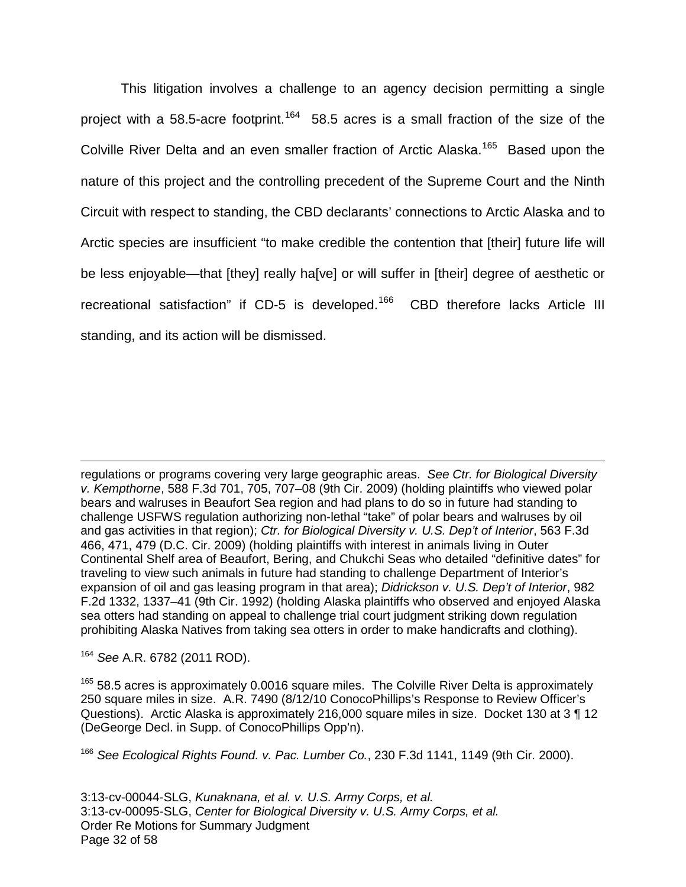This litigation involves a challenge to an agency decision permitting a single project with a 58.5-acre footprint.<sup>[164](#page-31-0)</sup> 58.5 acres is a small fraction of the size of the Colville River Delta and an even smaller fraction of Arctic Alaska.<sup>[165](#page-31-1)</sup> Based upon the nature of this project and the controlling precedent of the Supreme Court and the Ninth Circuit with respect to standing, the CBD declarants' connections to Arctic Alaska and to Arctic species are insufficient "to make credible the contention that [their] future life will be less enjoyable—that [they] really ha[ve] or will suffer in [their] degree of aesthetic or recreational satisfaction" if CD-5 is developed.<sup>[166](#page-31-2)</sup> CBD therefore lacks Article III standing, and its action will be dismissed.

regulations or programs covering very large geographic areas. See Ctr. for Biological Diversity v. Kempthorne, 588 F.3d 701, 705, 707–08 (9th Cir. 2009) (holding plaintiffs who viewed polar bears and walruses in Beaufort Sea region and had plans to do so in future had standing to challenge USFWS regulation authorizing non-lethal "take" of polar bears and walruses by oil and gas activities in that region); Ctr. for Biological Diversity v. U.S. Dep't of Interior, 563 F.3d 466, 471, 479 (D.C. Cir. 2009) (holding plaintiffs with interest in animals living in Outer Continental Shelf area of Beaufort, Bering, and Chukchi Seas who detailed "definitive dates" for traveling to view such animals in future had standing to challenge Department of Interior's expansion of oil and gas leasing program in that area); Didrickson v. U.S. Dep't of Interior, 982 F.2d 1332, 1337–41 (9th Cir. 1992) (holding Alaska plaintiffs who observed and enjoyed Alaska sea otters had standing on appeal to challenge trial court judgment striking down regulation prohibiting Alaska Natives from taking sea otters in order to make handicrafts and clothing).

<span id="page-31-0"></span><sup>164</sup> See A.R. 6782 (2011 ROD).

 $\overline{a}$ 

<span id="page-31-1"></span> $165$  58.5 acres is approximately 0.0016 square miles. The Colville River Delta is approximately 250 square miles in size. A.R. 7490 (8/12/10 ConocoPhillips's Response to Review Officer's Questions). Arctic Alaska is approximately 216,000 square miles in size. Docket 130 at 3 ¶ 12 (DeGeorge Decl. in Supp. of ConocoPhillips Opp'n).

<span id="page-31-2"></span><sup>166</sup> See Ecological Rights Found. v. Pac. Lumber Co., 230 F.3d 1141, 1149 (9th Cir. 2000).

3:13-cv-00044-SLG, Kunaknana, et al. v. U.S. Army Corps, et al. 3:13-cv-00095-SLG, Center for Biological Diversity v. U.S. Army Corps, et al. Order Re Motions for Summary Judgment Page 32 of 58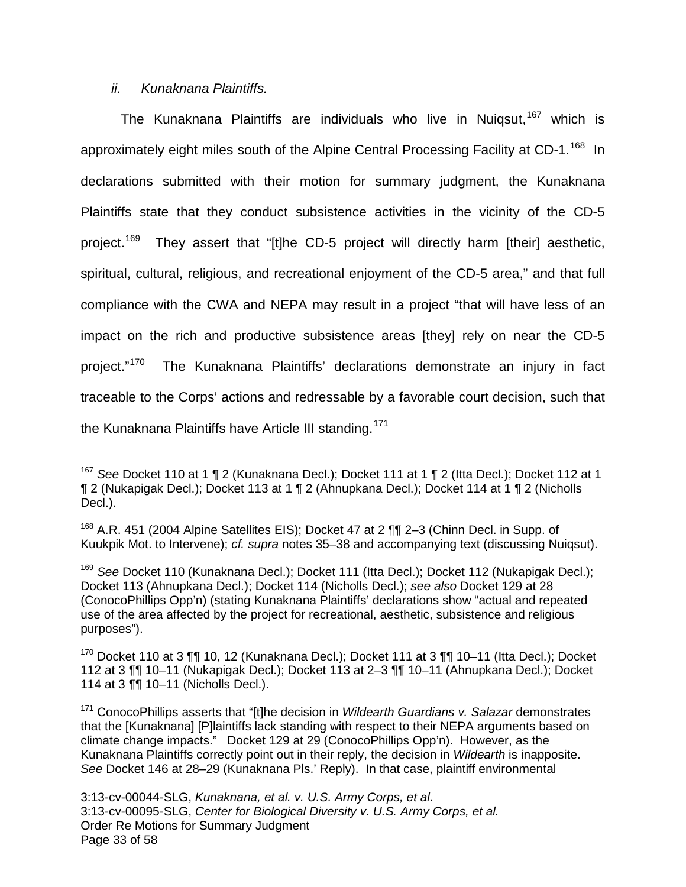#### ii. Kunaknana Plaintiffs.

 $\overline{a}$ 

The Kunaknana Plaintiffs are individuals who live in Nuiqsut,  $167$  which is approximately eight miles south of the Alpine Central Processing Facility at CD-1.<sup>[168](#page-32-1)</sup> In declarations submitted with their motion for summary judgment, the Kunaknana Plaintiffs state that they conduct subsistence activities in the vicinity of the CD-5 project.<sup>[169](#page-32-2)</sup> They assert that "[t]he CD-5 project will directly harm [their] aesthetic, spiritual, cultural, religious, and recreational enjoyment of the CD-5 area," and that full compliance with the CWA and NEPA may result in a project "that will have less of an impact on the rich and productive subsistence areas [they] rely on near the CD-5 project."[170](#page-32-3) The Kunaknana Plaintiffs' declarations demonstrate an injury in fact traceable to the Corps' actions and redressable by a favorable court decision, such that the Kunaknana Plaintiffs have Article III standing.<sup>[171](#page-32-4)</sup>

<span id="page-32-0"></span><sup>&</sup>lt;sup>167</sup> See Docket 110 at 1 ¶ 2 (Kunaknana Decl.); Docket 111 at 1 ¶ 2 (Itta Decl.); Docket 112 at 1 ¶ 2 (Nukapigak Decl.); Docket 113 at 1 ¶ 2 (Ahnupkana Decl.); Docket 114 at 1 ¶ 2 (Nicholls Decl.).

<span id="page-32-1"></span><sup>&</sup>lt;sup>168</sup> A.R. 451 (2004 Alpine Satellites EIS); Docket 47 at 2 ¶¶ 2–3 (Chinn Decl. in Supp. of Kuukpik Mot. to Intervene); cf. supra notes 35–38 and accompanying text (discussing Nuiqsut).

<span id="page-32-2"></span><sup>&</sup>lt;sup>169</sup> See Docket 110 (Kunaknana Decl.); Docket 111 (Itta Decl.); Docket 112 (Nukapigak Decl.); Docket 113 (Ahnupkana Decl.); Docket 114 (Nicholls Decl.); see also Docket 129 at 28 (ConocoPhillips Opp'n) (stating Kunaknana Plaintiffs' declarations show "actual and repeated use of the area affected by the project for recreational, aesthetic, subsistence and religious purposes").

<span id="page-32-3"></span> $170$  Docket 110 at 3  $\P\P$  10, 12 (Kunaknana Decl.); Docket 111 at 3  $\P\P$  10–11 (Itta Decl.); Docket 112 at 3 ¶¶ 10–11 (Nukapigak Decl.); Docket 113 at 2–3 ¶¶ 10–11 (Ahnupkana Decl.); Docket 114 at 3 ¶¶ 10–11 (Nicholls Decl.).

<span id="page-32-4"></span> $171$  ConocoPhillips asserts that "[t]he decision in *Wildearth Guardians v. Salazar* demonstrates that the [Kunaknana] [P]laintiffs lack standing with respect to their NEPA arguments based on climate change impacts." Docket 129 at 29 (ConocoPhillips Opp'n). However, as the Kunaknana Plaintiffs correctly point out in their reply, the decision in Wildearth is inapposite. See Docket 146 at 28–29 (Kunaknana Pls.' Reply). In that case, plaintiff environmental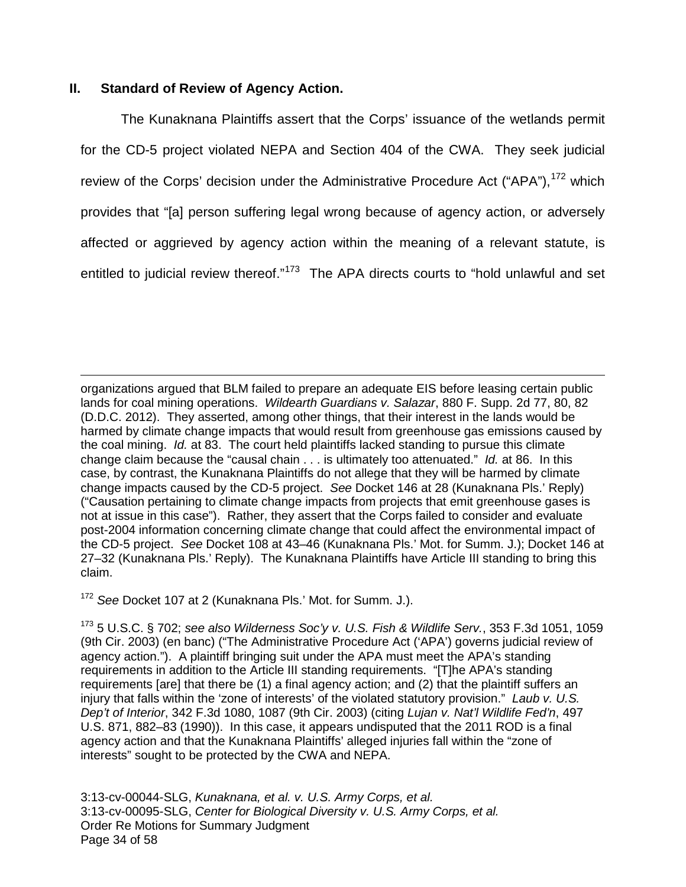### **II. Standard of Review of Agency Action.**

The Kunaknana Plaintiffs assert that the Corps' issuance of the wetlands permit for the CD-5 project violated NEPA and Section 404 of the CWA. They seek judicial review of the Corps' decision under the Administrative Procedure Act ("APA"), <sup>[172](#page-33-0)</sup> which provides that "[a] person suffering legal wrong because of agency action, or adversely affected or aggrieved by agency action within the meaning of a relevant statute, is entitled to judicial review thereof."<sup>[173](#page-33-1)</sup> The APA directs courts to "hold unlawful and set

organizations argued that BLM failed to prepare an adequate EIS before leasing certain public lands for coal mining operations. Wildearth Guardians v. Salazar, 880 F. Supp. 2d 77, 80, 82 (D.D.C. 2012). They asserted, among other things, that their interest in the lands would be harmed by climate change impacts that would result from greenhouse gas emissions caused by the coal mining. Id. at 83. The court held plaintiffs lacked standing to pursue this climate change claim because the "causal chain  $\ldots$  is ultimately too attenuated." Id. at 86. In this case, by contrast, the Kunaknana Plaintiffs do not allege that they will be harmed by climate change impacts caused by the CD-5 project. See Docket 146 at 28 (Kunaknana Pls.' Reply) ("Causation pertaining to climate change impacts from projects that emit greenhouse gases is not at issue in this case"). Rather, they assert that the Corps failed to consider and evaluate post-2004 information concerning climate change that could affect the environmental impact of the CD-5 project. See Docket 108 at 43–46 (Kunaknana Pls.' Mot. for Summ. J.); Docket 146 at 27–32 (Kunaknana Pls.' Reply). The Kunaknana Plaintiffs have Article III standing to bring this claim. 1

<span id="page-33-0"></span><sup>172</sup> See Docket 107 at 2 (Kunaknana Pls.' Mot. for Summ. J.).

<span id="page-33-1"></span> $173$  5 U.S.C. § 702; see also Wilderness Soc'y v. U.S. Fish & Wildlife Serv., 353 F.3d 1051, 1059 (9th Cir. 2003) (en banc) ("The Administrative Procedure Act ('APA') governs judicial review of agency action."). A plaintiff bringing suit under the APA must meet the APA's standing requirements in addition to the Article III standing requirements. "[T]he APA's standing requirements [are] that there be (1) a final agency action; and (2) that the plaintiff suffers an injury that falls within the 'zone of interests' of the violated statutory provision." Laub v. U.S. Dep't of Interior, 342 F.3d 1080, 1087 (9th Cir. 2003) (citing Lujan v. Nat'l Wildlife Fed'n, 497 U.S. 871, 882–83 (1990)). In this case, it appears undisputed that the 2011 ROD is a final agency action and that the Kunaknana Plaintiffs' alleged injuries fall within the "zone of interests" sought to be protected by the CWA and NEPA.

3:13-cv-00044-SLG, Kunaknana, et al. v. U.S. Army Corps, et al. 3:13-cv-00095-SLG, Center for Biological Diversity v. U.S. Army Corps, et al. Order Re Motions for Summary Judgment Page 34 of 58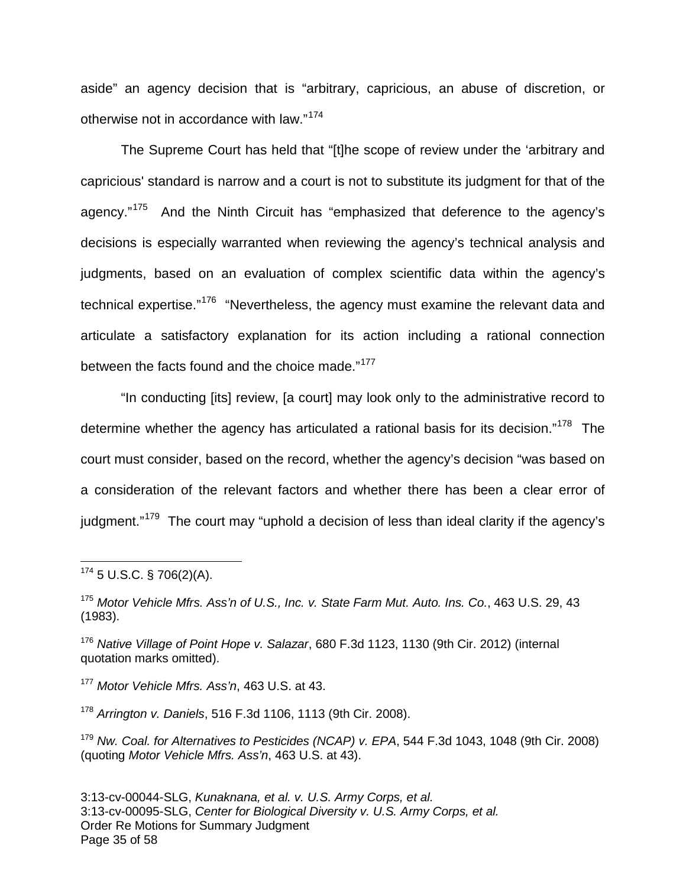aside" an agency decision that is "arbitrary, capricious, an abuse of discretion, or otherwise not in accordance with law."[174](#page-34-0)

The Supreme Court has held that "[t]he scope of review under the 'arbitrary and capricious' standard is narrow and a court is not to substitute its judgment for that of the agency."<sup>[175](#page-34-1)</sup> And the Ninth Circuit has "emphasized that deference to the agency's decisions is especially warranted when reviewing the agency's technical analysis and judgments, based on an evaluation of complex scientific data within the agency's technical expertise."<sup>[176](#page-34-2)</sup> "Nevertheless, the agency must examine the relevant data and articulate a satisfactory explanation for its action including a rational connection between the facts found and the choice made."<sup>[177](#page-34-3)</sup>

"In conducting [its] review, [a court] may look only to the administrative record to determine whether the agency has articulated a rational basis for its decision."<sup>[178](#page-34-4)</sup> The court must consider, based on the record, whether the agency's decision "was based on a consideration of the relevant factors and whether there has been a clear error of judgment."<sup>[179](#page-34-5)</sup> The court may "uphold a decision of less than ideal clarity if the agency's

1

<span id="page-34-3"></span><sup>177</sup> Motor Vehicle Mfrs. Ass'n, 463 U.S. at 43.

<span id="page-34-4"></span><sup>178</sup> Arrington v. Daniels, 516 F.3d 1106, 1113 (9th Cir. 2008).

<span id="page-34-5"></span><sup>179</sup> Nw. Coal. for Alternatives to Pesticides (NCAP) v. EPA, 544 F.3d 1043, 1048 (9th Cir. 2008) (quoting Motor Vehicle Mfrs. Ass'n, 463 U.S. at 43).

<span id="page-34-0"></span> $174$  5 U.S.C. § 706(2)(A).

<span id="page-34-1"></span><sup>&</sup>lt;sup>175</sup> Motor Vehicle Mfrs. Ass'n of U.S., Inc. v. State Farm Mut. Auto. Ins. Co., 463 U.S. 29, 43 (1983).

<span id="page-34-2"></span><sup>&</sup>lt;sup>176</sup> Native Village of Point Hope v. Salazar, 680 F.3d 1123, 1130 (9th Cir. 2012) (internal quotation marks omitted).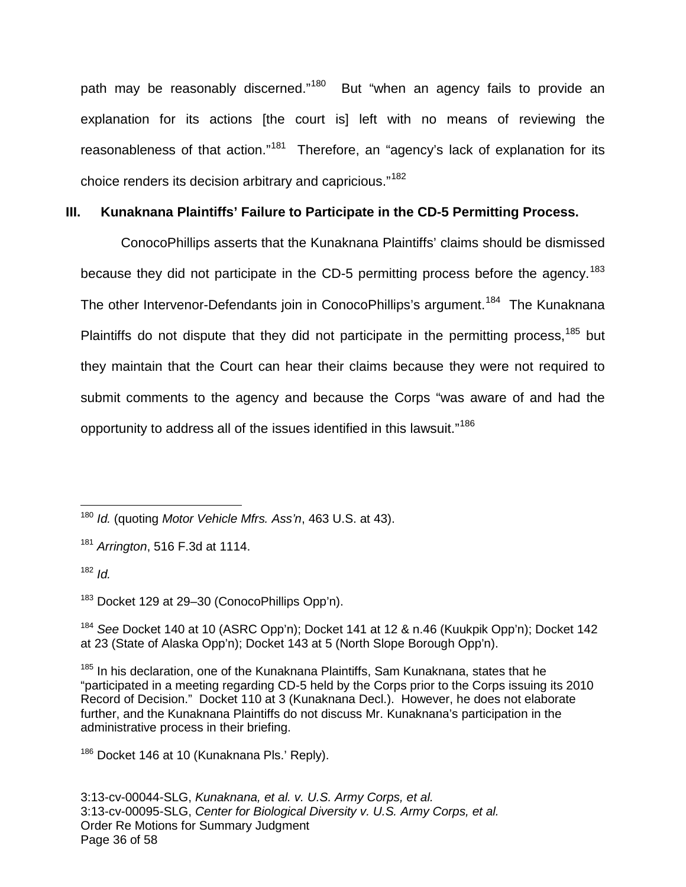path may be reasonably discerned."<sup>[180](#page-35-0)</sup> But "when an agency fails to provide an explanation for its actions [the court is] left with no means of reviewing the reasonableness of that action."<sup>[181](#page-35-1)</sup> Therefore, an "agency's lack of explanation for its choice renders its decision arbitrary and capricious."<sup>[182](#page-35-2)</sup>

### **III. Kunaknana Plaintiffs' Failure to Participate in the CD-5 Permitting Process.**

ConocoPhillips asserts that the Kunaknana Plaintiffs' claims should be dismissed because they did not participate in the CD-5 permitting process before the agency.<sup>[183](#page-35-3)</sup> The other Intervenor-Defendants join in ConocoPhillips's argument.<sup>[184](#page-35-4)</sup> The Kunaknana Plaintiffs do not dispute that they did not participate in the permitting process.<sup>[185](#page-35-5)</sup> but they maintain that the Court can hear their claims because they were not required to submit comments to the agency and because the Corps "was aware of and had the opportunity to address all of the issues identified in this lawsuit."<sup>[186](#page-35-6)</sup>

<span id="page-35-1"></span> $181$  Arrington, 516 F.3d at 1114.

<span id="page-35-2"></span> $182$  *Id.* 

1

<span id="page-35-3"></span><sup>183</sup> Docket 129 at 29–30 (ConocoPhillips Opp'n).

<span id="page-35-4"></span><sup>184</sup> See Docket 140 at 10 (ASRC Opp'n); Docket 141 at 12 & n.46 (Kuukpik Opp'n); Docket 142 at 23 (State of Alaska Opp'n); Docket 143 at 5 (North Slope Borough Opp'n).

<span id="page-35-0"></span> $180$  Id. (quoting Motor Vehicle Mfrs. Ass'n, 463 U.S. at 43).

<span id="page-35-5"></span><sup>&</sup>lt;sup>185</sup> In his declaration, one of the Kunaknana Plaintiffs, Sam Kunaknana, states that he "participated in a meeting regarding CD-5 held by the Corps prior to the Corps issuing its 2010 Record of Decision." Docket 110 at 3 (Kunaknana Decl.). However, he does not elaborate further, and the Kunaknana Plaintiffs do not discuss Mr. Kunaknana's participation in the administrative process in their briefing.

<span id="page-35-6"></span><sup>&</sup>lt;sup>186</sup> Docket 146 at 10 (Kunaknana Pls.' Reply).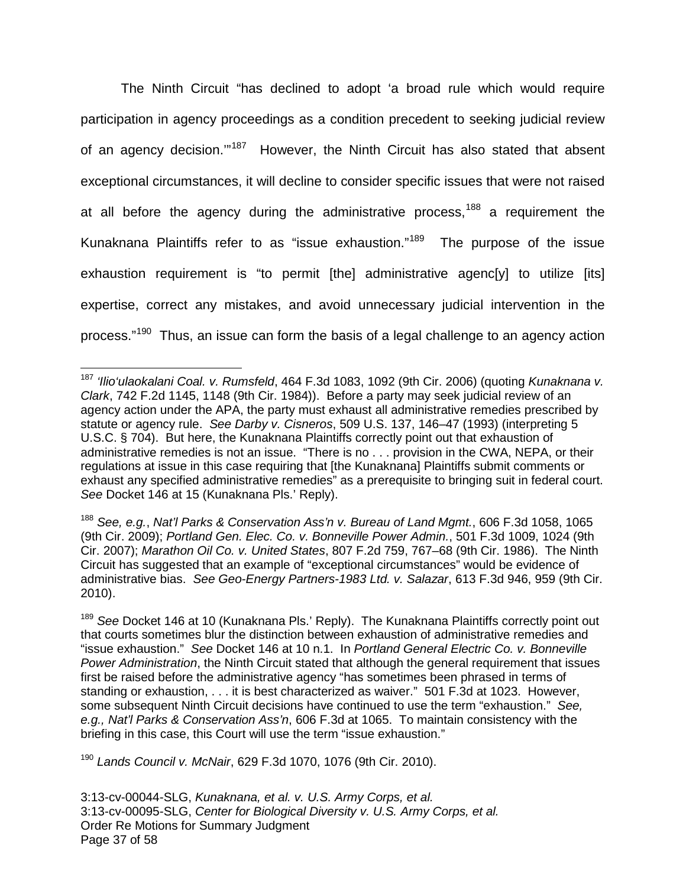The Ninth Circuit "has declined to adopt 'a broad rule which would require participation in agency proceedings as a condition precedent to seeking judicial review of an agency decision."<sup>[187](#page-36-0)</sup> However, the Ninth Circuit has also stated that absent exceptional circumstances, it will decline to consider specific issues that were not raised at all before the agency during the administrative process,<sup>[188](#page-36-1)</sup> a requirement the Kunaknana Plaintiffs refer to as "issue exhaustion."[189](#page-36-2) The purpose of the issue exhaustion requirement is "to permit [the] administrative agenc[y] to utilize [its] expertise, correct any mistakes, and avoid unnecessary judicial intervention in the process."<sup>[190](#page-36-3)</sup> Thus, an issue can form the basis of a legal challenge to an agency action

<span id="page-36-1"></span><sup>188</sup> See, e.g., Nat'l Parks & Conservation Ass'n v. Bureau of Land Mgmt., 606 F.3d 1058, 1065 (9th Cir. 2009); Portland Gen. Elec. Co. v. Bonneville Power Admin., 501 F.3d 1009, 1024 (9th Cir. 2007); Marathon Oil Co. v. United States, 807 F.2d 759, 767–68 (9th Cir. 1986). The Ninth Circuit has suggested that an example of "exceptional circumstances" would be evidence of administrative bias. See Geo-Energy Partners-1983 Ltd. v. Salazar, 613 F.3d 946, 959 (9th Cir. 2010).

<span id="page-36-2"></span><sup>189</sup> See Docket 146 at 10 (Kunaknana Pls.' Reply). The Kunaknana Plaintiffs correctly point out that courts sometimes blur the distinction between exhaustion of administrative remedies and "issue exhaustion." See Docket 146 at 10 n.1. In Portland General Electric Co. v. Bonneville Power Administration, the Ninth Circuit stated that although the general requirement that issues first be raised before the administrative agency "has sometimes been phrased in terms of standing or exhaustion, . . . it is best characterized as waiver." 501 F.3d at 1023. However, some subsequent Ninth Circuit decisions have continued to use the term "exhaustion." See, e.g., Nat'l Parks & Conservation Ass'n, 606 F.3d at 1065. To maintain consistency with the briefing in this case, this Court will use the term "issue exhaustion."

<span id="page-36-3"></span> $190$  Lands Council v. McNair, 629 F.3d 1070, 1076 (9th Cir. 2010).

3:13-cv-00044-SLG, Kunaknana, et al. v. U.S. Army Corps, et al. 3:13-cv-00095-SLG, Center for Biological Diversity v. U.S. Army Corps, et al. Order Re Motions for Summary Judgment Page 37 of 58

<span id="page-36-0"></span><sup>&</sup>lt;sup>187</sup> 'Ilio'ulaokalani Coal. v. Rumsfeld, 464 F.3d 1083, 1092 (9th Cir. 2006) (quoting Kunaknana v. Clark, 742 F.2d 1145, 1148 (9th Cir. 1984)). Before a party may seek judicial review of an agency action under the APA, the party must exhaust all administrative remedies prescribed by statute or agency rule. See Darby v. Cisneros, 509 U.S. 137, 146–47 (1993) (interpreting 5 U.S.C. § 704). But here, the Kunaknana Plaintiffs correctly point out that exhaustion of administrative remedies is not an issue. "There is no . . . provision in the CWA, NEPA, or their regulations at issue in this case requiring that [the Kunaknana] Plaintiffs submit comments or exhaust any specified administrative remedies" as a prerequisite to bringing suit in federal court. See Docket 146 at 15 (Kunaknana Pls.' Reply). 1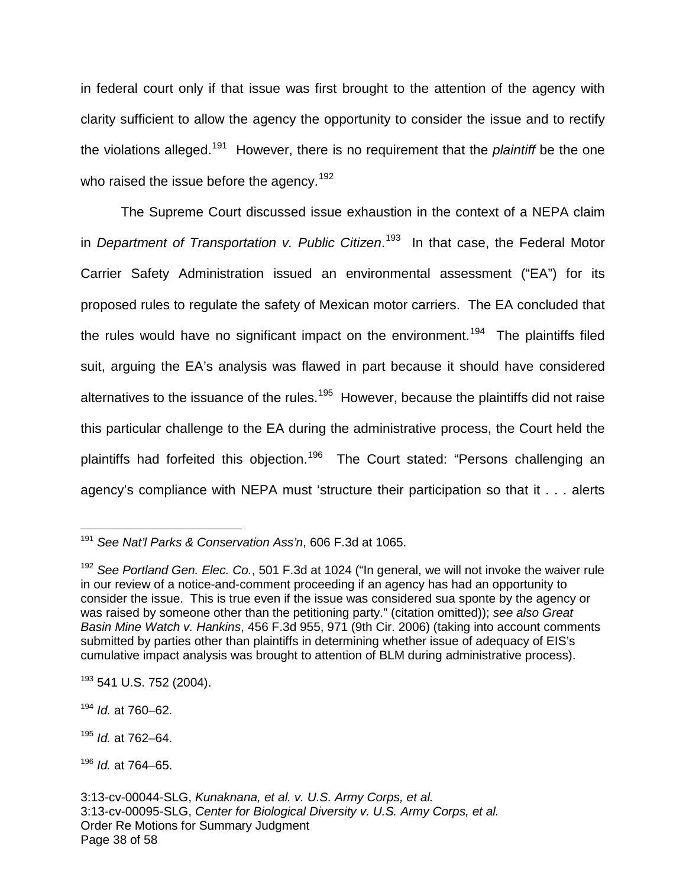in federal court only if that issue was first brought to the attention of the agency with clarity sufficient to allow the agency the opportunity to consider the issue and to rectify the violations alleged.<sup>[191](#page-37-0)</sup> However, there is no requirement that the *plaintiff* be the one who raised the issue before the agency.<sup>[192](#page-37-1)</sup>

The Supreme Court discussed issue exhaustion in the context of a NEPA claim in Department of Transportation v. Public Citizen.<sup>[193](#page-37-2)</sup> In that case, the Federal Motor Carrier Safety Administration issued an environmental assessment ("EA") for its proposed rules to regulate the safety of Mexican motor carriers. The EA concluded that the rules would have no significant impact on the environment.<sup>[194](#page-37-3)</sup> The plaintiffs filed suit, arguing the EA's analysis was flawed in part because it should have considered alternatives to the issuance of the rules.<sup>[195](#page-37-4)</sup> However, because the plaintiffs did not raise this particular challenge to the EA during the administrative process, the Court held the plaintiffs had forfeited this objection.<sup>[196](#page-37-5)</sup> The Court stated: "Persons challenging an agency's compliance with NEPA must 'structure their participation so that it . . . alerts

<span id="page-37-0"></span><sup>&</sup>lt;sup>191</sup> See Nat'l Parks & Conservation Ass'n, 606 F.3d at 1065. 1

<span id="page-37-1"></span> $192$  See Portland Gen. Elec. Co., 501 F.3d at 1024 ("In general, we will not invoke the waiver rule in our review of a notice-and-comment proceeding if an agency has had an opportunity to consider the issue. This is true even if the issue was considered sua sponte by the agency or was raised by someone other than the petitioning party." (citation omitted)); see also Great Basin Mine Watch v. Hankins, 456 F.3d 955, 971 (9th Cir. 2006) (taking into account comments submitted by parties other than plaintiffs in determining whether issue of adequacy of EIS's cumulative impact analysis was brought to attention of BLM during administrative process).

<span id="page-37-2"></span><sup>&</sup>lt;sup>193</sup> 541 U.S. 752 (2004).

<span id="page-37-3"></span> $194$  *Id.* at 760–62.

<span id="page-37-4"></span> $195$  *Id.* at 762–64.

<span id="page-37-5"></span> $196$  *Id.* at 764–65.

<sup>3:13-</sup>cv-00044-SLG, Kunaknana, et al. v. U.S. Army Corps, et al. 3:13-cv-00095-SLG, Center for Biological Diversity v. U.S. Army Corps, et al. Order Re Motions for Summary Judgment Page 38 of 58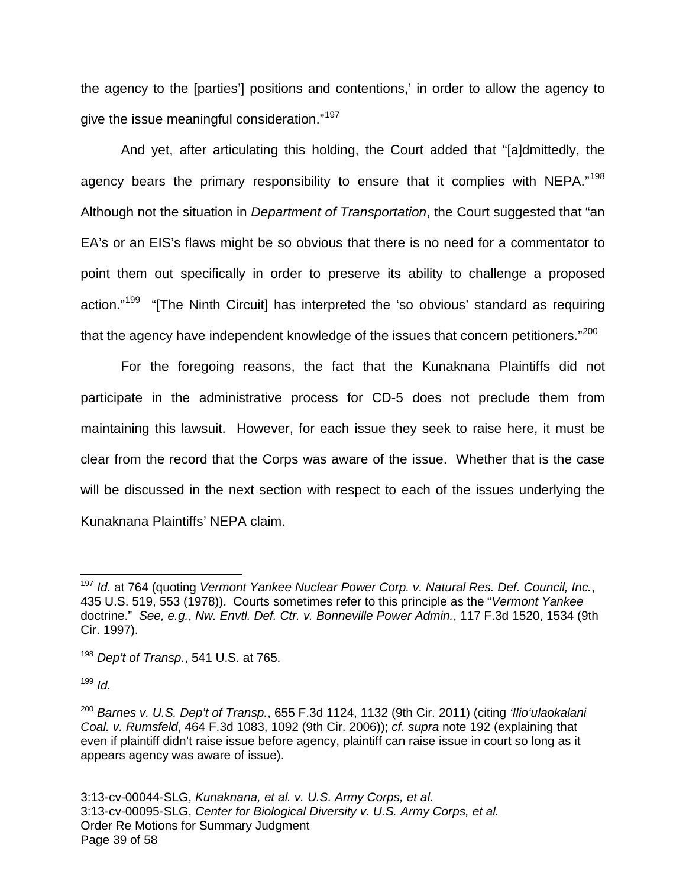the agency to the [parties'] positions and contentions,' in order to allow the agency to give the issue meaningful consideration."<sup>[197](#page-38-0)</sup>

And yet, after articulating this holding, the Court added that "[a]dmittedly, the agency bears the primary responsibility to ensure that it complies with NEPA."<sup>[198](#page-38-1)</sup> Although not the situation in *Department of Transportation*, the Court suggested that "an EA's or an EIS's flaws might be so obvious that there is no need for a commentator to point them out specifically in order to preserve its ability to challenge a proposed action."<sup>[199](#page-38-2)</sup> "[The Ninth Circuit] has interpreted the 'so obvious' standard as requiring that the agency have independent knowledge of the issues that concern petitioners."<sup>[200](#page-38-3)</sup>

For the foregoing reasons, the fact that the Kunaknana Plaintiffs did not participate in the administrative process for CD-5 does not preclude them from maintaining this lawsuit. However, for each issue they seek to raise here, it must be clear from the record that the Corps was aware of the issue. Whether that is the case will be discussed in the next section with respect to each of the issues underlying the Kunaknana Plaintiffs' NEPA claim.

<span id="page-38-2"></span> $199$  *Id.* 

1

<span id="page-38-0"></span><sup>&</sup>lt;sup>197</sup> Id. at 764 (quoting Vermont Yankee Nuclear Power Corp. v. Natural Res. Def. Council, Inc., 435 U.S. 519, 553 (1978)). Courts sometimes refer to this principle as the "Vermont Yankee doctrine." See, e.g., Nw. Envtl. Def. Ctr. v. Bonneville Power Admin., 117 F.3d 1520, 1534 (9th Cir. 1997).

<span id="page-38-1"></span> $198$  Dep't of Transp., 541 U.S. at 765.

<span id="page-38-3"></span> $200$  Barnes v. U.S. Dep't of Transp., 655 F.3d 1124, 1132 (9th Cir. 2011) (citing 'Ilio'ulaokalani Coal. v. Rumsfeld, 464 F.3d 1083, 1092 (9th Cir. 2006)); cf. supra note 192 (explaining that even if plaintiff didn't raise issue before agency, plaintiff can raise issue in court so long as it appears agency was aware of issue).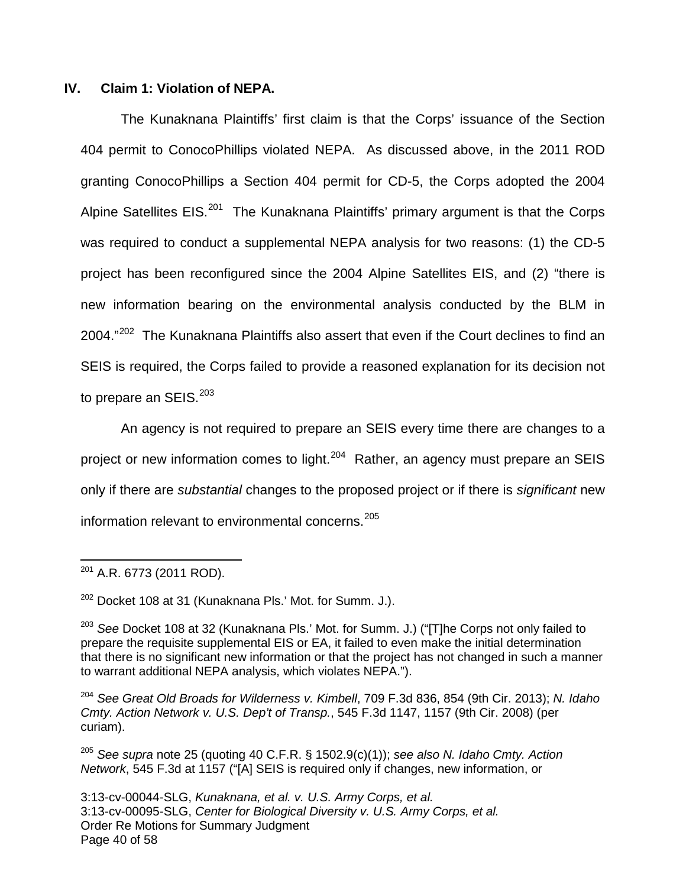#### **IV. Claim 1: Violation of NEPA.**

The Kunaknana Plaintiffs' first claim is that the Corps' issuance of the Section 404 permit to ConocoPhillips violated NEPA. As discussed above, in the 2011 ROD granting ConocoPhillips a Section 404 permit for CD-5, the Corps adopted the 2004 Alpine Satellites EIS.<sup>[201](#page-39-0)</sup> The Kunaknana Plaintiffs' primary argument is that the Corps was required to conduct a supplemental NEPA analysis for two reasons: (1) the CD-5 project has been reconfigured since the 2004 Alpine Satellites EIS, and (2) "there is new information bearing on the environmental analysis conducted by the BLM in 2004."<sup>[202](#page-39-1)</sup> The Kunaknana Plaintiffs also assert that even if the Court declines to find an SEIS is required, the Corps failed to provide a reasoned explanation for its decision not to prepare an SEIS. $^{203}$  $^{203}$  $^{203}$ 

An agency is not required to prepare an SEIS every time there are changes to a project or new information comes to light.<sup>[204](#page-39-3)</sup> Rather, an agency must prepare an SEIS only if there are substantial changes to the proposed project or if there is significant new information relevant to environmental concerns.<sup>[205](#page-39-4)</sup>

<span id="page-39-1"></span><sup>202</sup> Docket 108 at 31 (Kunaknana Pls.' Mot. for Summ. J.).

<span id="page-39-0"></span> $201$  A.R. 6773 (2011 ROD).  $\overline{a}$ 

<span id="page-39-2"></span> $203$  See Docket 108 at 32 (Kunaknana Pls.' Mot. for Summ. J.) ("T]he Corps not only failed to prepare the requisite supplemental EIS or EA, it failed to even make the initial determination that there is no significant new information or that the project has not changed in such a manner to warrant additional NEPA analysis, which violates NEPA.").

<span id="page-39-3"></span><sup>&</sup>lt;sup>204</sup> See Great Old Broads for Wilderness v. Kimbell, 709 F.3d 836, 854 (9th Cir. 2013); N. Idaho Cmty. Action Network v. U.S. Dep't of Transp., 545 F.3d 1147, 1157 (9th Cir. 2008) (per curiam).

<span id="page-39-4"></span><sup>&</sup>lt;sup>205</sup> See supra note 25 (quoting 40 C.F.R. § 1502.9(c)(1)); see also N. Idaho Cmty. Action Network, 545 F.3d at 1157 ("[A] SEIS is required only if changes, new information, or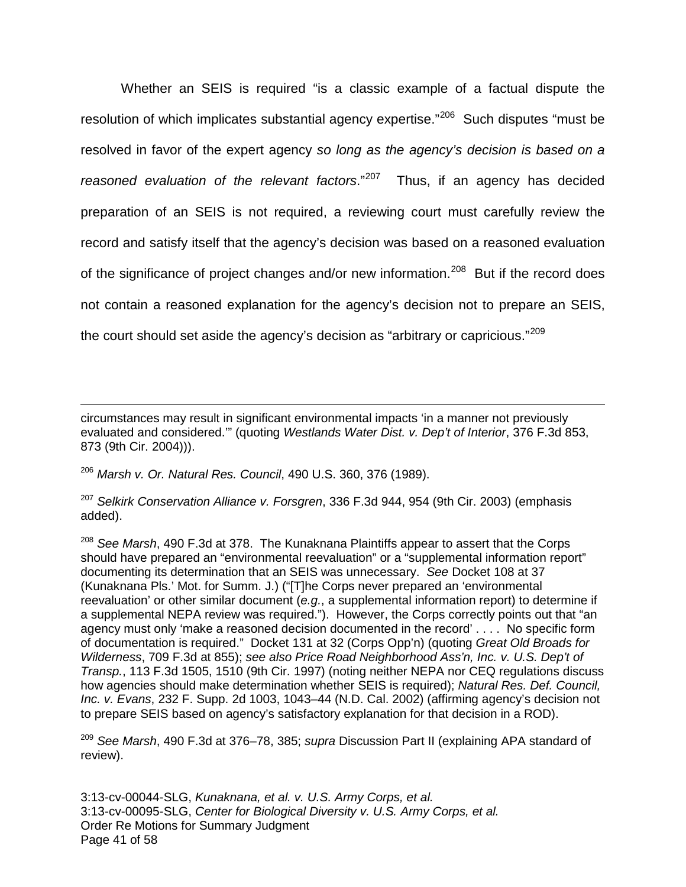Whether an SEIS is required "is a classic example of a factual dispute the resolution of which implicates substantial agency expertise."<sup>[206](#page-40-0)</sup> Such disputes "must be resolved in favor of the expert agency so long as the agency's decision is based on a reasoned evaluation of the relevant factors."<sup>[207](#page-40-1)</sup> Thus, if an agency has decided preparation of an SEIS is not required, a reviewing court must carefully review the record and satisfy itself that the agency's decision was based on a reasoned evaluation of the significance of project changes and/or new information.<sup>[208](#page-40-2)</sup> But if the record does not contain a reasoned explanation for the agency's decision not to prepare an SEIS, the court should set aside the agency's decision as "arbitrary or capricious."<sup>[209](#page-40-3)</sup>

circumstances may result in significant environmental impacts 'in a manner not previously evaluated and considered."" (quoting Westlands Water Dist. v. Dep't of Interior, 376 F.3d 853, 873 (9th Cir. 2004))).

<span id="page-40-0"></span><sup>206</sup> Marsh v. Or. Natural Res. Council, 490 U.S. 360, 376 (1989).

1

<span id="page-40-1"></span><sup>207</sup> Selkirk Conservation Alliance v. Forsgren, 336 F.3d 944, 954 (9th Cir. 2003) (emphasis added).

<span id="page-40-2"></span> $208$  See Marsh, 490 F.3d at 378. The Kunaknana Plaintiffs appear to assert that the Corps should have prepared an "environmental reevaluation" or a "supplemental information report" documenting its determination that an SEIS was unnecessary. See Docket 108 at 37 (Kunaknana Pls.' Mot. for Summ. J.) ("[T]he Corps never prepared an 'environmental reevaluation' or other similar document (e.g., a supplemental information report) to determine if a supplemental NEPA review was required."). However, the Corps correctly points out that "an agency must only 'make a reasoned decision documented in the record' . . . . No specific form of documentation is required." Docket 131 at 32 (Corps Opp'n) (quoting Great Old Broads for Wilderness, 709 F.3d at 855); see also Price Road Neighborhood Ass'n, Inc. v. U.S. Dep't of Transp., 113 F.3d 1505, 1510 (9th Cir. 1997) (noting neither NEPA nor CEQ regulations discuss how agencies should make determination whether SEIS is required); Natural Res. Def. Council. Inc. v. Evans, 232 F. Supp. 2d 1003, 1043–44 (N.D. Cal. 2002) (affirming agency's decision not to prepare SEIS based on agency's satisfactory explanation for that decision in a ROD).

<span id="page-40-3"></span><sup>209</sup> See Marsh, 490 F.3d at 376–78, 385; supra Discussion Part II (explaining APA standard of review).

3:13-cv-00044-SLG, Kunaknana, et al. v. U.S. Army Corps, et al. 3:13-cv-00095-SLG, Center for Biological Diversity v. U.S. Army Corps, et al. Order Re Motions for Summary Judgment Page 41 of 58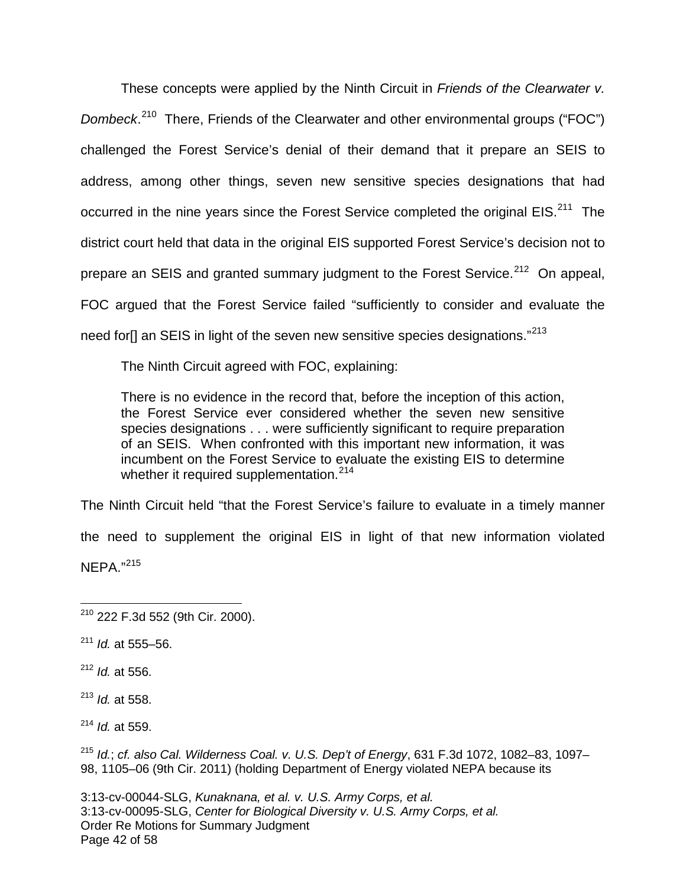These concepts were applied by the Ninth Circuit in Friends of the Clearwater v. Dombeck.<sup>[210](#page-41-0)</sup> There, Friends of the Clearwater and other environmental groups ("FOC") challenged the Forest Service's denial of their demand that it prepare an SEIS to address, among other things, seven new sensitive species designations that had occurred in the nine years since the Forest Service completed the original  $EIS.<sup>211</sup>$  $EIS.<sup>211</sup>$  $EIS.<sup>211</sup>$  The district court held that data in the original EIS supported Forest Service's decision not to prepare an SEIS and granted summary judgment to the Forest Service.<sup>[212](#page-41-2)</sup> On appeal, FOC argued that the Forest Service failed "sufficiently to consider and evaluate the need for<sup>[]</sup> an SEIS in light of the seven new sensitive species designations."<sup>[213](#page-41-3)</sup>

The Ninth Circuit agreed with FOC, explaining:

There is no evidence in the record that, before the inception of this action, the Forest Service ever considered whether the seven new sensitive species designations . . . were sufficiently significant to require preparation of an SEIS. When confronted with this important new information, it was incumbent on the Forest Service to evaluate the existing EIS to determine whether it required supplementation.<sup>[214](#page-41-4)</sup>

The Ninth Circuit held "that the Forest Service's failure to evaluate in a timely manner

the need to supplement the original EIS in light of that new information violated

NEPA." [215](#page-41-5)

<span id="page-41-2"></span> $212$  *Id.* at 556.

<span id="page-41-3"></span> $213$  *Id.* at 558.

<span id="page-41-4"></span> $214$  *Id.* at 559.

<span id="page-41-5"></span> $215$  Id.; cf. also Cal. Wilderness Coal. v. U.S. Dep't of Energy, 631 F.3d 1072, 1082-83, 1097-98, 1105–06 (9th Cir. 2011) (holding Department of Energy violated NEPA because its

<span id="page-41-0"></span><sup>210</sup> 222 F.3d 552 (9th Cir. 2000). 1

<span id="page-41-1"></span> $211$  *Id.* at 555–56.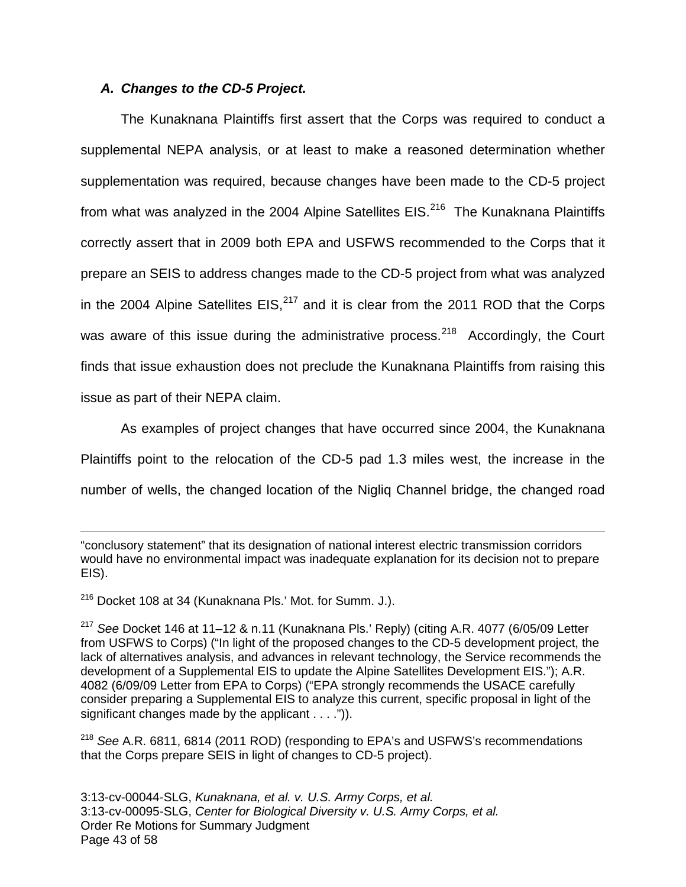#### **A. Changes to the CD-5 Project.**

The Kunaknana Plaintiffs first assert that the Corps was required to conduct a supplemental NEPA analysis, or at least to make a reasoned determination whether supplementation was required, because changes have been made to the CD-5 project from what was analyzed in the 2004 Alpine Satellites EIS.<sup>[216](#page-42-0)</sup> The Kunaknana Plaintiffs correctly assert that in 2009 both EPA and USFWS recommended to the Corps that it prepare an SEIS to address changes made to the CD-5 project from what was analyzed in the 2004 Alpine Satellites  $EIS<sub>1</sub><sup>217</sup>$  $EIS<sub>1</sub><sup>217</sup>$  $EIS<sub>1</sub><sup>217</sup>$  and it is clear from the 2011 ROD that the Corps was aware of this issue during the administrative process.<sup>[218](#page-42-2)</sup> Accordingly, the Court finds that issue exhaustion does not preclude the Kunaknana Plaintiffs from raising this issue as part of their NEPA claim.

As examples of project changes that have occurred since 2004, the Kunaknana Plaintiffs point to the relocation of the CD-5 pad 1.3 miles west, the increase in the number of wells, the changed location of the Nigliq Channel bridge, the changed road

"conclusory statement" that its designation of national interest electric transmission corridors would have no environmental impact was inadequate explanation for its decision not to prepare EIS).

<span id="page-42-0"></span><sup>216</sup> Docket 108 at 34 (Kunaknana Pls.' Mot. for Summ. J.).

1

<span id="page-42-1"></span><sup>217</sup> See Docket 146 at 11–12 & n.11 (Kunaknana Pls.' Reply) (citing A.R. 4077 (6/05/09 Letter from USFWS to Corps) ("In light of the proposed changes to the CD-5 development project, the lack of alternatives analysis, and advances in relevant technology, the Service recommends the development of a Supplemental EIS to update the Alpine Satellites Development EIS."); A.R. 4082 (6/09/09 Letter from EPA to Corps) ("EPA strongly recommends the USACE carefully consider preparing a Supplemental EIS to analyze this current, specific proposal in light of the significant changes made by the applicant . . . .")).

<span id="page-42-2"></span> $218$  See A.R. 6811, 6814 (2011 ROD) (responding to EPA's and USFWS's recommendations that the Corps prepare SEIS in light of changes to CD-5 project).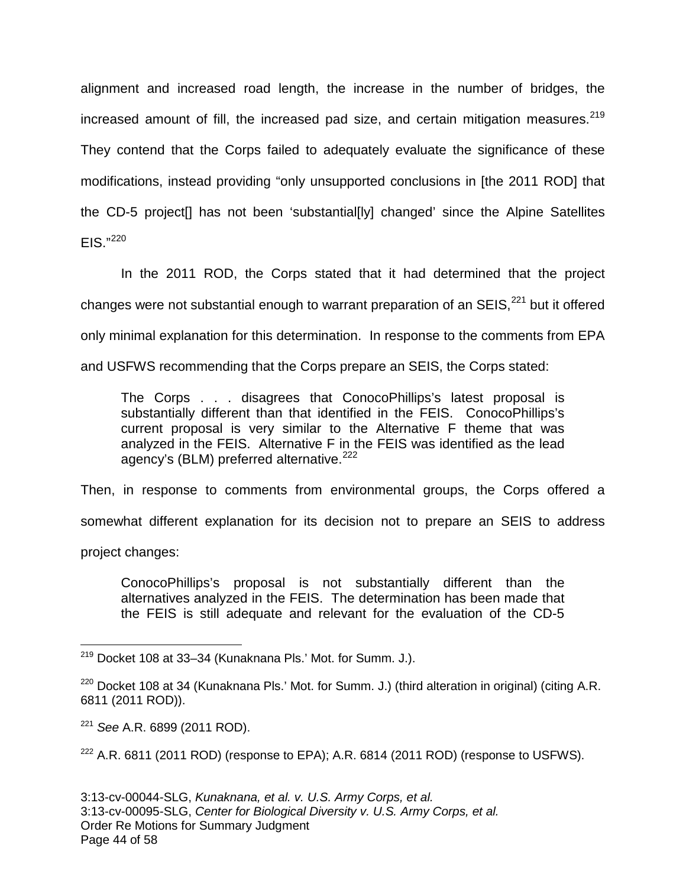alignment and increased road length, the increase in the number of bridges, the increased amount of fill, the increased pad size, and certain mitigation measures. $^{219}$  $^{219}$  $^{219}$ They contend that the Corps failed to adequately evaluate the significance of these modifications, instead providing "only unsupported conclusions in [the 2011 ROD] that the CD-5 project[] has not been 'substantial[ly] changed' since the Alpine Satellites  $EIS."^{220}$  $EIS."^{220}$  $EIS."^{220}$ 

In the 2011 ROD, the Corps stated that it had determined that the project changes were not substantial enough to warrant preparation of an  $SEIS<sup>221</sup>$  $SEIS<sup>221</sup>$  $SEIS<sup>221</sup>$  but it offered only minimal explanation for this determination. In response to the comments from EPA and USFWS recommending that the Corps prepare an SEIS, the Corps stated:

The Corps . . . disagrees that ConocoPhillips's latest proposal is substantially different than that identified in the FEIS. ConocoPhillips's current proposal is very similar to the Alternative F theme that was analyzed in the FEIS. Alternative F in the FEIS was identified as the lead agency's (BLM) preferred alternative.<sup>[222](#page-43-3)</sup>

Then, in response to comments from environmental groups, the Corps offered a

somewhat different explanation for its decision not to prepare an SEIS to address

project changes:

1

ConocoPhillips's proposal is not substantially different than the alternatives analyzed in the FEIS. The determination has been made that the FEIS is still adequate and relevant for the evaluation of the CD-5

<span id="page-43-0"></span><sup>&</sup>lt;sup>219</sup> Docket 108 at 33–34 (Kunaknana Pls.' Mot. for Summ. J.).

<span id="page-43-1"></span> $220$  Docket 108 at 34 (Kunaknana Pls.' Mot. for Summ. J.) (third alteration in original) (citing A.R. 6811 (2011 ROD)).

<span id="page-43-2"></span><sup>&</sup>lt;sup>221</sup> See A.R. 6899 (2011 ROD).

<span id="page-43-3"></span> $222$  A.R. 6811 (2011 ROD) (response to EPA); A.R. 6814 (2011 ROD) (response to USFWS).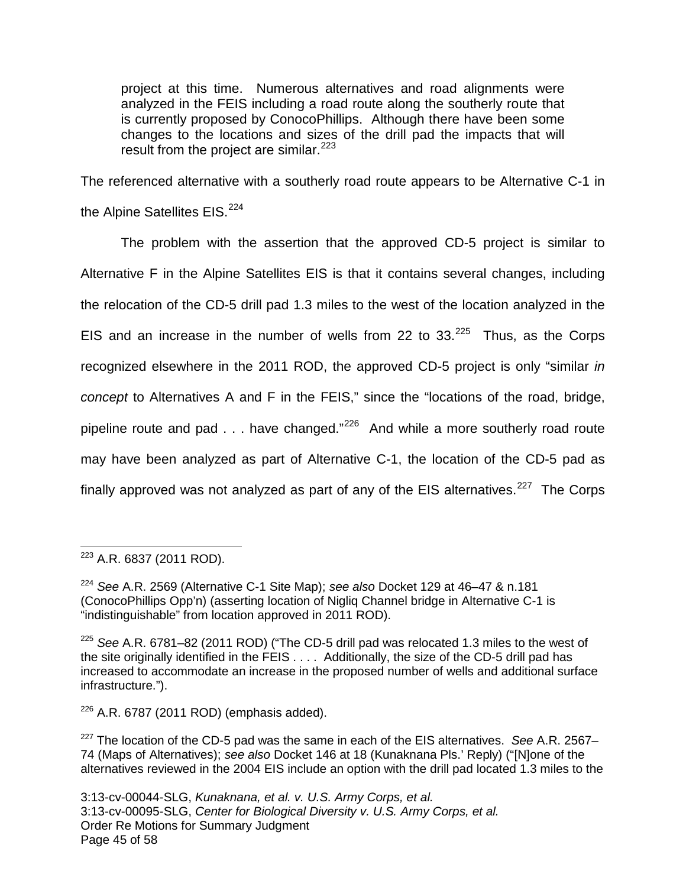project at this time. Numerous alternatives and road alignments were analyzed in the FEIS including a road route along the southerly route that is currently proposed by ConocoPhillips. Although there have been some changes to the locations and sizes of the drill pad the impacts that will result from the project are similar. $^{223}$  $^{223}$  $^{223}$ 

The referenced alternative with a southerly road route appears to be Alternative C-1 in the Alpine Satellites EIS.<sup>[224](#page-44-1)</sup>

The problem with the assertion that the approved CD-5 project is similar to Alternative F in the Alpine Satellites EIS is that it contains several changes, including the relocation of the CD-5 drill pad 1.3 miles to the west of the location analyzed in the EIS and an increase in the number of wells from 22 to  $33.^{225}$  $33.^{225}$  $33.^{225}$  Thus, as the Corps recognized elsewhere in the 2011 ROD, the approved CD-5 project is only "similar in concept to Alternatives A and F in the FEIS," since the "locations of the road, bridge, pipeline route and pad  $\ldots$  have changed."<sup>[226](#page-44-3)</sup> And while a more southerly road route may have been analyzed as part of Alternative C-1, the location of the CD-5 pad as finally approved was not analyzed as part of any of the EIS alternatives.<sup>[227](#page-44-4)</sup> The Corps

<span id="page-44-3"></span> $226$  A.R. 6787 (2011 ROD) (emphasis added).

<span id="page-44-0"></span> $^{223}$  A.R. 6837 (2011 ROD). 1

<span id="page-44-1"></span> $224$  See A.R. 2569 (Alternative C-1 Site Map); see also Docket 129 at 46–47 & n.181 (ConocoPhillips Opp'n) (asserting location of Nigliq Channel bridge in Alternative C-1 is "indistinguishable" from location approved in 2011 ROD).

<span id="page-44-2"></span> $225$  See A.R. 6781–82 (2011 ROD) ("The CD-5 drill pad was relocated 1.3 miles to the west of the site originally identified in the  $\overrightarrow{F}$ EIS . . . . Additionally, the size of the CD-5 drill pad has increased to accommodate an increase in the proposed number of wells and additional surface infrastructure.").

<span id="page-44-4"></span> $227$  The location of the CD-5 pad was the same in each of the EIS alternatives. See A.R. 2567– 74 (Maps of Alternatives); see also Docket 146 at 18 (Kunaknana Pls.' Reply) ("[N]one of the alternatives reviewed in the 2004 EIS include an option with the drill pad located 1.3 miles to the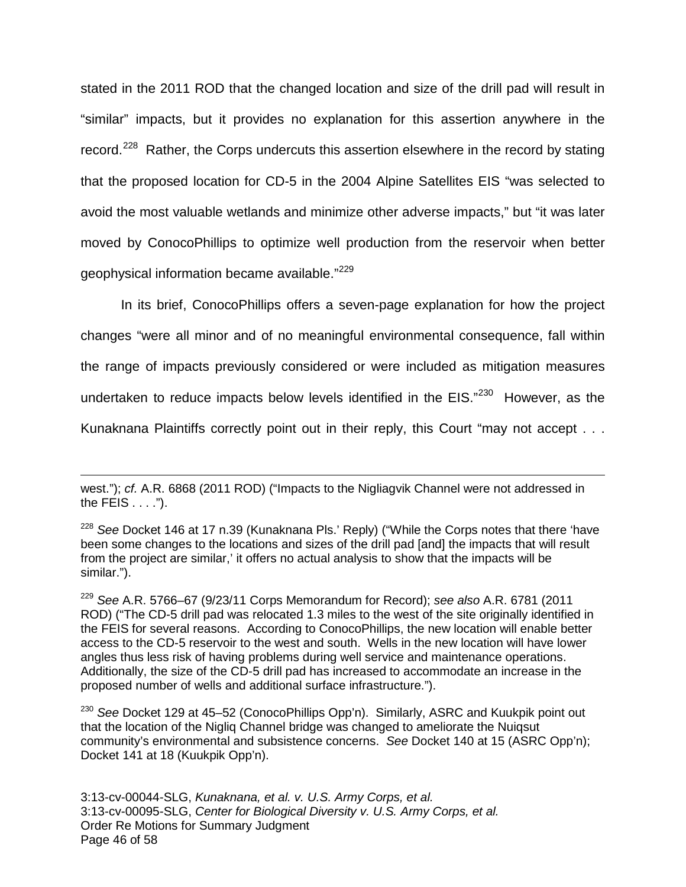stated in the 2011 ROD that the changed location and size of the drill pad will result in "similar" impacts, but it provides no explanation for this assertion anywhere in the record.<sup>[228](#page-45-0)</sup> Rather, the Corps undercuts this assertion elsewhere in the record by stating that the proposed location for CD-5 in the 2004 Alpine Satellites EIS "was selected to avoid the most valuable wetlands and minimize other adverse impacts," but "it was later moved by ConocoPhillips to optimize well production from the reservoir when better geophysical information became available."[229](#page-45-1)

In its brief, ConocoPhillips offers a seven-page explanation for how the project changes "were all minor and of no meaningful environmental consequence, fall within the range of impacts previously considered or were included as mitigation measures undertaken to reduce impacts below levels identified in the EIS."<sup>[230](#page-45-2)</sup> However, as the Kunaknana Plaintiffs correctly point out in their reply, this Court "may not accept . . .

1

<span id="page-45-1"></span> $229$  See A.R. 5766-67 (9/23/11 Corps Memorandum for Record); see also A.R. 6781 (2011 ROD) ("The CD-5 drill pad was relocated 1.3 miles to the west of the site originally identified in the FEIS for several reasons. According to ConocoPhillips, the new location will enable better access to the CD-5 reservoir to the west and south. Wells in the new location will have lower angles thus less risk of having problems during well service and maintenance operations. Additionally, the size of the CD-5 drill pad has increased to accommodate an increase in the proposed number of wells and additional surface infrastructure.").

<span id="page-45-2"></span><sup>230</sup> See Docket 129 at 45–52 (ConocoPhillips Opp'n). Similarly, ASRC and Kuukpik point out that the location of the Nigliq Channel bridge was changed to ameliorate the Nuiqsut community's environmental and subsistence concerns. See Docket 140 at 15 (ASRC Opp'n); Docket 141 at 18 (Kuukpik Opp'n).

3:13-cv-00044-SLG, Kunaknana, et al. v. U.S. Army Corps, et al. 3:13-cv-00095-SLG, Center for Biological Diversity v. U.S. Army Corps, et al. Order Re Motions for Summary Judgment Page 46 of 58

west."); cf. A.R. 6868 (2011 ROD) ("Impacts to the Nigliagvik Channel were not addressed in the FEIS . . . .").

<span id="page-45-0"></span> $228$  See Docket 146 at 17 n.39 (Kunaknana Pls.' Reply) ("While the Corps notes that there 'have been some changes to the locations and sizes of the drill pad [and] the impacts that will result from the project are similar,' it offers no actual analysis to show that the impacts will be similar.").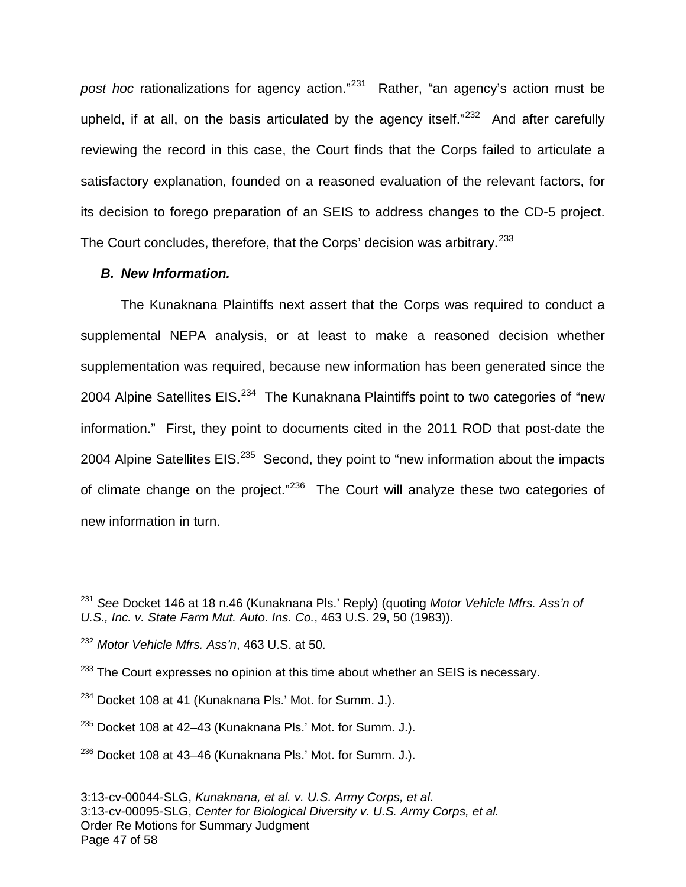post hoc rationalizations for agency action."<sup>[231](#page-46-0)</sup> Rather, "an agency's action must be upheld, if at all, on the basis articulated by the agency itself. $n^{232}$  $n^{232}$  $n^{232}$  And after carefully reviewing the record in this case, the Court finds that the Corps failed to articulate a satisfactory explanation, founded on a reasoned evaluation of the relevant factors, for its decision to forego preparation of an SEIS to address changes to the CD-5 project. The Court concludes, therefore, that the Corps' decision was arbitrary.<sup>[233](#page-46-2)</sup>

#### **B. New Information.**

The Kunaknana Plaintiffs next assert that the Corps was required to conduct a supplemental NEPA analysis, or at least to make a reasoned decision whether supplementation was required, because new information has been generated since the 2004 Alpine Satellites EIS.<sup>[234](#page-46-3)</sup> The Kunaknana Plaintiffs point to two categories of "new information." First, they point to documents cited in the 2011 ROD that post-date the 2004 Alpine Satellites EIS. $^{235}$  $^{235}$  $^{235}$  Second, they point to "new information about the impacts of climate change on the project."<sup>[236](#page-46-5)</sup> The Court will analyze these two categories of new information in turn.

1

<span id="page-46-0"></span> $231$  See Docket 146 at 18 n.46 (Kunaknana Pls.' Reply) (quoting Motor Vehicle Mfrs. Ass'n of U.S., Inc. v. State Farm Mut. Auto. Ins. Co., 463 U.S. 29, 50 (1983)).

<span id="page-46-1"></span><sup>&</sup>lt;sup>232</sup> Motor Vehicle Mfrs. Ass'n, 463 U.S. at 50.

<span id="page-46-2"></span> $233$  The Court expresses no opinion at this time about whether an SEIS is necessary.

<span id="page-46-3"></span><sup>&</sup>lt;sup>234</sup> Docket 108 at 41 (Kunaknana Pls.' Mot. for Summ. J.).

<span id="page-46-4"></span><sup>&</sup>lt;sup>235</sup> Docket 108 at 42–43 (Kunaknana Pls.' Mot. for Summ. J.).

<span id="page-46-5"></span><sup>236</sup> Docket 108 at 43–46 (Kunaknana Pls.' Mot. for Summ. J.).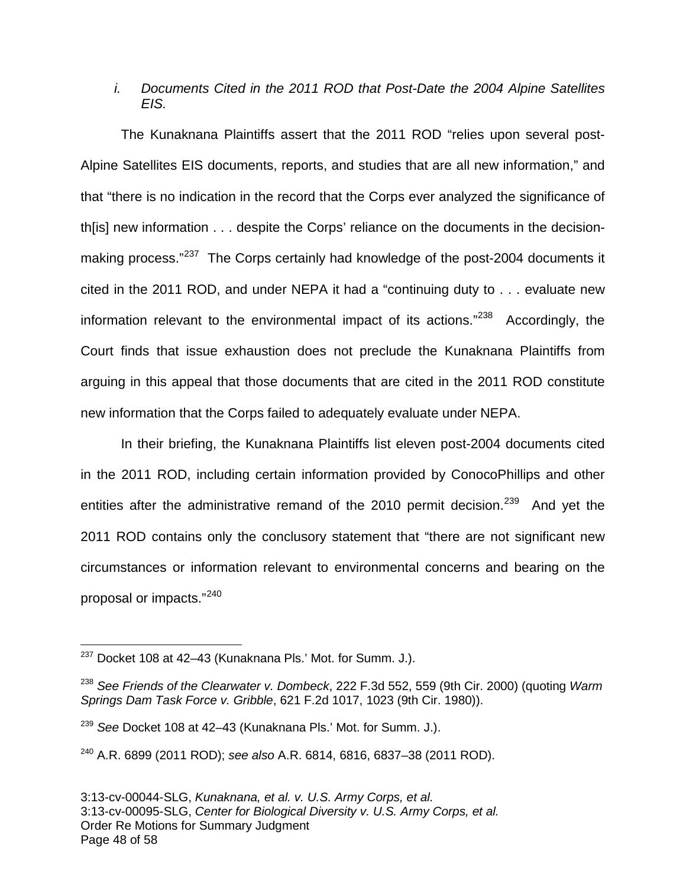### i. Documents Cited in the 2011 ROD that Post-Date the 2004 Alpine Satellites EIS.

The Kunaknana Plaintiffs assert that the 2011 ROD "relies upon several post-Alpine Satellites EIS documents, reports, and studies that are all new information," and that "there is no indication in the record that the Corps ever analyzed the significance of th[is] new information . . . despite the Corps' reliance on the documents in the decision-making process."<sup>[237](#page-47-0)</sup> The Corps certainly had knowledge of the post-2004 documents it cited in the 2011 ROD, and under NEPA it had a "continuing duty to . . . evaluate new information relevant to the environmental impact of its actions."<sup>[238](#page-47-1)</sup> Accordingly, the Court finds that issue exhaustion does not preclude the Kunaknana Plaintiffs from arguing in this appeal that those documents that are cited in the 2011 ROD constitute new information that the Corps failed to adequately evaluate under NEPA.

In their briefing, the Kunaknana Plaintiffs list eleven post-2004 documents cited in the 2011 ROD, including certain information provided by ConocoPhillips and other entities after the administrative remand of the 2010 permit decision.<sup>[239](#page-47-2)</sup> And yet the 2011 ROD contains only the conclusory statement that "there are not significant new circumstances or information relevant to environmental concerns and bearing on the proposal or impacts."[240](#page-47-3)

 $\overline{a}$ 

<span id="page-47-0"></span> $^{237}$  Docket 108 at 42–43 (Kunaknana Pls.' Mot. for Summ. J.).

<span id="page-47-1"></span> $^{238}$  See Friends of the Clearwater v. Dombeck, 222 F.3d 552, 559 (9th Cir. 2000) (quoting Warm Springs Dam Task Force v. Gribble, 621 F.2d 1017, 1023 (9th Cir. 1980)).

<span id="page-47-2"></span><sup>&</sup>lt;sup>239</sup> See Docket 108 at 42–43 (Kunaknana Pls.' Mot. for Summ. J.).

<span id="page-47-3"></span> $240$  A.R. 6899 (2011 ROD); see also A.R. 6814, 6816, 6837-38 (2011 ROD).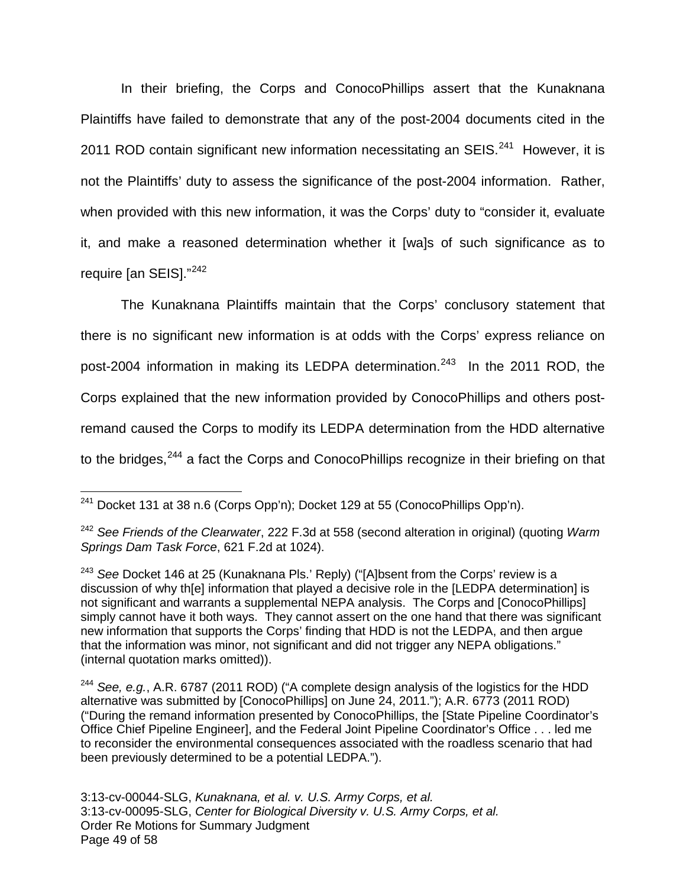In their briefing, the Corps and ConocoPhillips assert that the Kunaknana Plaintiffs have failed to demonstrate that any of the post-2004 documents cited in the 2011 ROD contain significant new information necessitating an SEIS. $^{241}$  $^{241}$  $^{241}$  However, it is not the Plaintiffs' duty to assess the significance of the post-2004 information. Rather, when provided with this new information, it was the Corps' duty to "consider it, evaluate it, and make a reasoned determination whether it [wa]s of such significance as to require [an SEIS]."<sup>[242](#page-48-1)</sup>

The Kunaknana Plaintiffs maintain that the Corps' conclusory statement that there is no significant new information is at odds with the Corps' express reliance on post-2004 information in making its LEDPA determination.<sup>[243](#page-48-2)</sup> In the 2011 ROD, the Corps explained that the new information provided by ConocoPhillips and others postremand caused the Corps to modify its LEDPA determination from the HDD alternative to the bridges,<sup>[244](#page-48-3)</sup> a fact the Corps and ConocoPhillips recognize in their briefing on that

<span id="page-48-0"></span> $241$  Docket 131 at 38 n.6 (Corps Opp'n); Docket 129 at 55 (ConocoPhillips Opp'n). 1

<span id="page-48-1"></span> $242$  See Friends of the Clearwater, 222 F.3d at 558 (second alteration in original) (quoting Warm Springs Dam Task Force, 621 F.2d at 1024).

<span id="page-48-2"></span><sup>&</sup>lt;sup>243</sup> See Docket 146 at 25 (Kunaknana Pls.' Reply) ("[A]bsent from the Corps' review is a discussion of why th[e] information that played a decisive role in the [LEDPA determination] is not significant and warrants a supplemental NEPA analysis. The Corps and [ConocoPhillips] simply cannot have it both ways. They cannot assert on the one hand that there was significant new information that supports the Corps' finding that HDD is not the LEDPA, and then argue that the information was minor, not significant and did not trigger any NEPA obligations." (internal quotation marks omitted)).

<span id="page-48-3"></span><sup>&</sup>lt;sup>244</sup> See, e.g., A.R. 6787 (2011 ROD) ("A complete design analysis of the logistics for the HDD alternative was submitted by [ConocoPhillips] on June 24, 2011."); A.R. 6773 (2011 ROD) ("During the remand information presented by ConocoPhillips, the [State Pipeline Coordinator's Office Chief Pipeline Engineer], and the Federal Joint Pipeline Coordinator's Office . . . led me to reconsider the environmental consequences associated with the roadless scenario that had been previously determined to be a potential LEDPA.").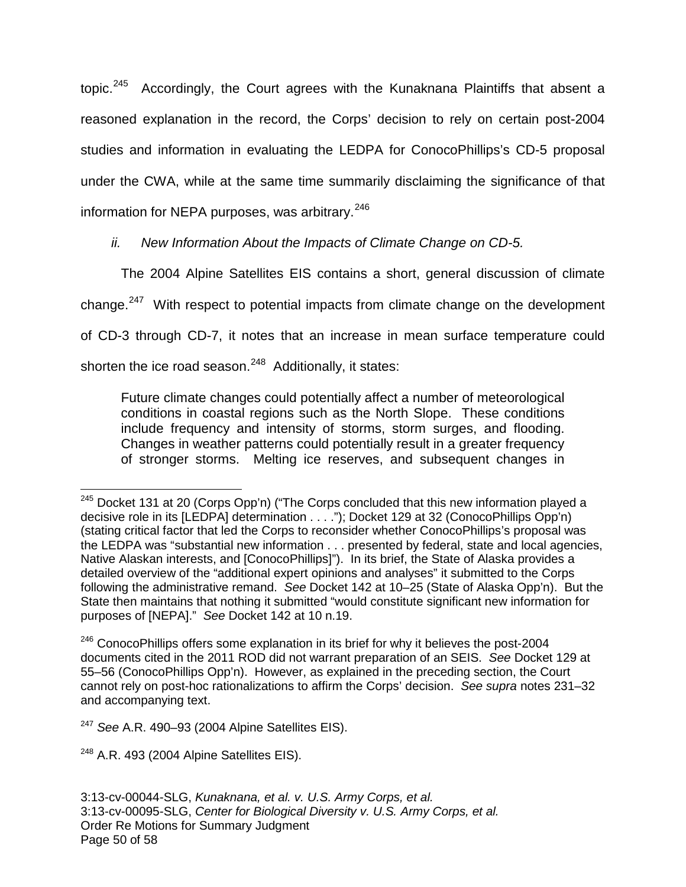topic. [245](#page-49-0) Accordingly, the Court agrees with the Kunaknana Plaintiffs that absent a reasoned explanation in the record, the Corps' decision to rely on certain post-2004 studies and information in evaluating the LEDPA for ConocoPhillips's CD-5 proposal under the CWA, while at the same time summarily disclaiming the significance of that information for NEPA purposes, was arbitrary. $^{246}$  $^{246}$  $^{246}$ 

ii. New Information About the Impacts of Climate Change on CD-5.

The 2004 Alpine Satellites EIS contains a short, general discussion of climate change.<sup>[247](#page-49-2)</sup> With respect to potential impacts from climate change on the development of CD-3 through CD-7, it notes that an increase in mean surface temperature could shorten the ice road season.<sup>[248](#page-49-3)</sup> Additionally, it states:

Future climate changes could potentially affect a number of meteorological conditions in coastal regions such as the North Slope. These conditions include frequency and intensity of storms, storm surges, and flooding. Changes in weather patterns could potentially result in a greater frequency of stronger storms. Melting ice reserves, and subsequent changes in

<span id="page-49-0"></span> $245$  Docket 131 at 20 (Corps Opp'n) ("The Corps concluded that this new information played a decisive role in its [LEDPA] determination . . . ."); Docket 129 at 32 (ConocoPhillips Opp'n) (stating critical factor that led the Corps to reconsider whether ConocoPhillips's proposal was the LEDPA was "substantial new information . . . presented by federal, state and local agencies, Native Alaskan interests, and [ConocoPhillips]"). In its brief, the State of Alaska provides a detailed overview of the "additional expert opinions and analyses" it submitted to the Corps following the administrative remand. See Docket 142 at 10–25 (State of Alaska Opp'n). But the State then maintains that nothing it submitted "would constitute significant new information for purposes of [NEPA]." See Docket 142 at 10 n.19. 1

<span id="page-49-1"></span><sup>&</sup>lt;sup>246</sup> ConocoPhillips offers some explanation in its brief for why it believes the post-2004 documents cited in the 2011 ROD did not warrant preparation of an SEIS. See Docket 129 at 55–56 (ConocoPhillips Opp'n). However, as explained in the preceding section, the Court cannot rely on post-hoc rationalizations to affirm the Corps' decision. See supra notes 231–32 and accompanying text.

<span id="page-49-2"></span> $247$  See A.R. 490-93 (2004 Alpine Satellites EIS).

<span id="page-49-3"></span> $248$  A.R. 493 (2004 Alpine Satellites EIS).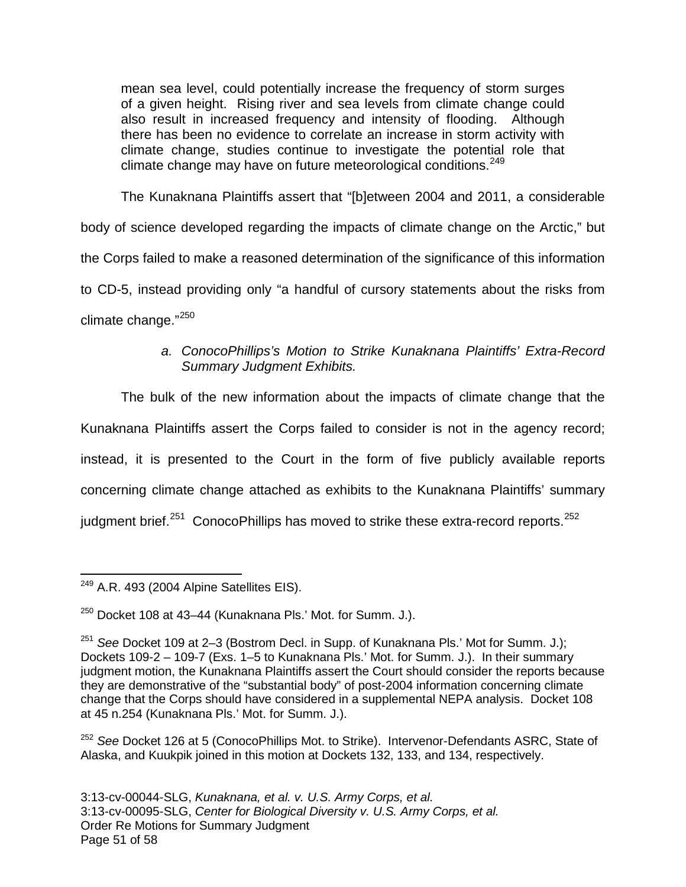mean sea level, could potentially increase the frequency of storm surges of a given height. Rising river and sea levels from climate change could also result in increased frequency and intensity of flooding. Although there has been no evidence to correlate an increase in storm activity with climate change, studies continue to investigate the potential role that climate change may have on future meteorological conditions.<sup>[249](#page-50-0)</sup>

The Kunaknana Plaintiffs assert that "[b]etween 2004 and 2011, a considerable body of science developed regarding the impacts of climate change on the Arctic," but the Corps failed to make a reasoned determination of the significance of this information to CD-5, instead providing only "a handful of cursory statements about the risks from climate change."[250](#page-50-1)

> a. ConocoPhillips's Motion to Strike Kunaknana Plaintiffs' Extra-Record Summary Judgment Exhibits.

The bulk of the new information about the impacts of climate change that the Kunaknana Plaintiffs assert the Corps failed to consider is not in the agency record; instead, it is presented to the Court in the form of five publicly available reports concerning climate change attached as exhibits to the Kunaknana Plaintiffs' summary judgment brief.<sup>[251](#page-50-2)</sup> ConocoPhillips has moved to strike these extra-record reports.<sup>[252](#page-50-3)</sup>

<span id="page-50-3"></span><sup>252</sup> See Docket 126 at 5 (ConocoPhillips Mot. to Strike). Intervenor-Defendants ASRC, State of Alaska, and Kuukpik joined in this motion at Dockets 132, 133, and 134, respectively.

<span id="page-50-0"></span> $^{249}$  A.R. 493 (2004 Alpine Satellites EIS). 1

<span id="page-50-1"></span> $250$  Docket 108 at 43–44 (Kunaknana Pls.' Mot. for Summ. J.).

<span id="page-50-2"></span> $251$  See Docket 109 at 2–3 (Bostrom Decl. in Supp. of Kunaknana Pls.' Mot for Summ. J.); Dockets 109-2 – 109-7 (Exs. 1–5 to Kunaknana Pls.' Mot. for Summ. J.). In their summary judgment motion, the Kunaknana Plaintiffs assert the Court should consider the reports because they are demonstrative of the "substantial body" of post-2004 information concerning climate change that the Corps should have considered in a supplemental NEPA analysis. Docket 108 at 45 n.254 (Kunaknana Pls.' Mot. for Summ. J.).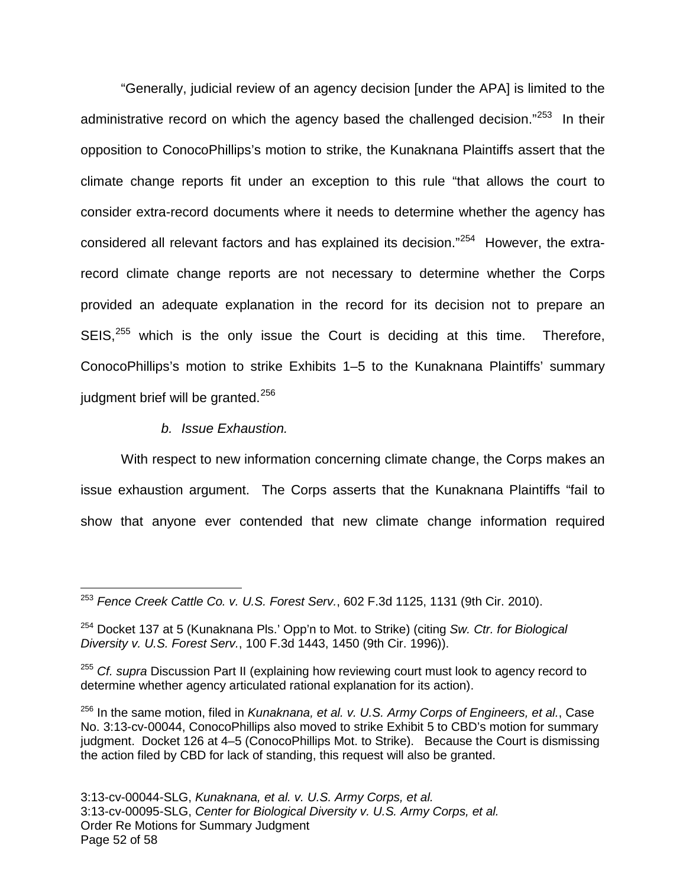"Generally, judicial review of an agency decision [under the APA] is limited to the administrative record on which the agency based the challenged decision."<sup>[253](#page-51-0)</sup> In their opposition to ConocoPhillips's motion to strike, the Kunaknana Plaintiffs assert that the climate change reports fit under an exception to this rule "that allows the court to consider extra-record documents where it needs to determine whether the agency has considered all relevant factors and has explained its decision."<sup>[254](#page-51-1)</sup> However, the extrarecord climate change reports are not necessary to determine whether the Corps provided an adequate explanation in the record for its decision not to prepare an  $SEIS<sub>1</sub><sup>255</sup>$  $SEIS<sub>1</sub><sup>255</sup>$  $SEIS<sub>1</sub><sup>255</sup>$  which is the only issue the Court is deciding at this time. Therefore, ConocoPhillips's motion to strike Exhibits 1–5 to the Kunaknana Plaintiffs' summary judgment brief will be granted.<sup>[256](#page-51-3)</sup>

b. Issue Exhaustion.

With respect to new information concerning climate change, the Corps makes an issue exhaustion argument. The Corps asserts that the Kunaknana Plaintiffs "fail to show that anyone ever contended that new climate change information required

<span id="page-51-0"></span> $253$  Fence Creek Cattle Co. v. U.S. Forest Serv., 602 F.3d 1125, 1131 (9th Cir. 2010).  $\overline{a}$ 

<span id="page-51-1"></span> $254$  Docket 137 at 5 (Kunaknana Pls.' Opp'n to Mot. to Strike) (citing Sw. Ctr. for Biological Diversity v. U.S. Forest Serv., 100 F.3d 1443, 1450 (9th Cir. 1996)).

<span id="page-51-2"></span><sup>&</sup>lt;sup>255</sup> Cf. supra Discussion Part II (explaining how reviewing court must look to agency record to determine whether agency articulated rational explanation for its action).

<span id="page-51-3"></span> $256$  In the same motion, filed in Kunaknana, et al. v. U.S. Army Corps of Engineers, et al., Case No. 3:13-cv-00044, ConocoPhillips also moved to strike Exhibit 5 to CBD's motion for summary judgment. Docket 126 at 4–5 (ConocoPhillips Mot. to Strike). Because the Court is dismissing the action filed by CBD for lack of standing, this request will also be granted.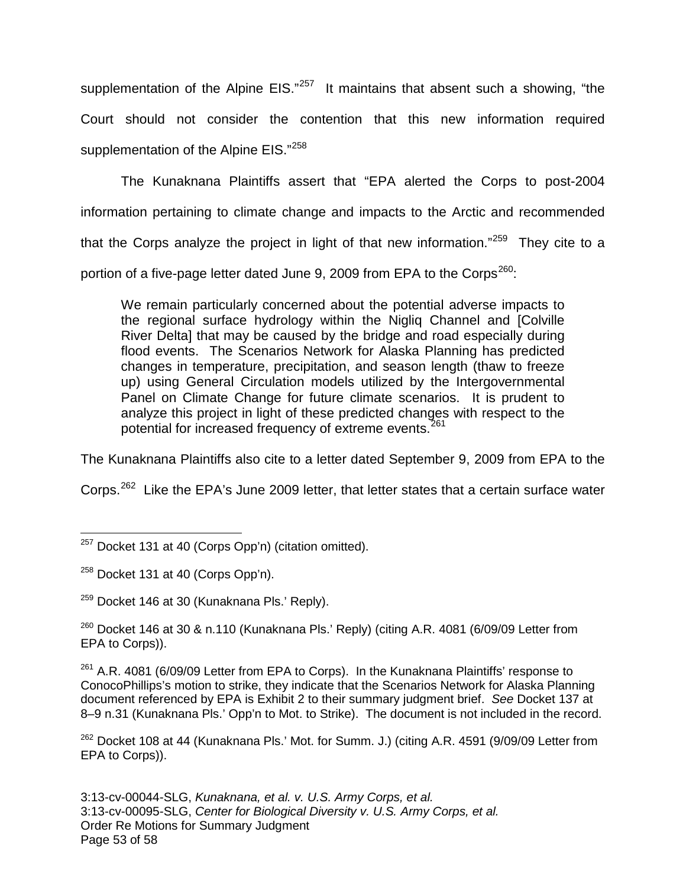supplementation of the Alpine EIS."<sup>[257](#page-52-0)</sup> It maintains that absent such a showing, "the Court should not consider the contention that this new information required supplementation of the Alpine EIS."<sup>[258](#page-52-1)</sup>

The Kunaknana Plaintiffs assert that "EPA alerted the Corps to post-2004 information pertaining to climate change and impacts to the Arctic and recommended that the Corps analyze the project in light of that new information."<sup>[259](#page-52-2)</sup> They cite to a portion of a five-page letter dated June 9, 2009 from EPA to the Corps<sup>[260](#page-52-3)</sup>:

We remain particularly concerned about the potential adverse impacts to the regional surface hydrology within the Nigliq Channel and [Colville River Delta] that may be caused by the bridge and road especially during flood events. The Scenarios Network for Alaska Planning has predicted changes in temperature, precipitation, and season length (thaw to freeze up) using General Circulation models utilized by the Intergovernmental Panel on Climate Change for future climate scenarios. It is prudent to analyze this project in light of these predicted changes with respect to the potential for increased frequency of extreme events.<sup>[261](#page-52-4)</sup>

The Kunaknana Plaintiffs also cite to a letter dated September 9, 2009 from EPA to the

Corps.<sup>[262](#page-52-5)</sup> Like the EPA's June 2009 letter, that letter states that a certain surface water

<span id="page-52-3"></span> $260$  Docket 146 at 30 & n.110 (Kunaknana Pls.' Reply) (citing A.R. 4081 (6/09/09 Letter from EPA to Corps)).

<span id="page-52-4"></span><sup>261</sup> A.R. 4081 (6/09/09 Letter from EPA to Corps). In the Kunaknana Plaintiffs' response to ConocoPhillips's motion to strike, they indicate that the Scenarios Network for Alaska Planning document referenced by EPA is Exhibit 2 to their summary judgment brief. See Docket 137 at 8–9 n.31 (Kunaknana Pls.' Opp'n to Mot. to Strike). The document is not included in the record.

<span id="page-52-5"></span><sup>262</sup> Docket 108 at 44 (Kunaknana Pls.' Mot. for Summ. J.) (citing A.R. 4591 (9/09/09 Letter from EPA to Corps)).

3:13-cv-00044-SLG, Kunaknana, et al. v. U.S. Army Corps, et al. 3:13-cv-00095-SLG, Center for Biological Diversity v. U.S. Army Corps, et al. Order Re Motions for Summary Judgment Page 53 of 58

<span id="page-52-0"></span> $257$  Docket 131 at 40 (Corps Opp'n) (citation omitted). 1

<span id="page-52-1"></span><sup>&</sup>lt;sup>258</sup> Docket 131 at 40 (Corps Opp'n).

<span id="page-52-2"></span> $259$  Docket 146 at 30 (Kunaknana Pls.' Reply).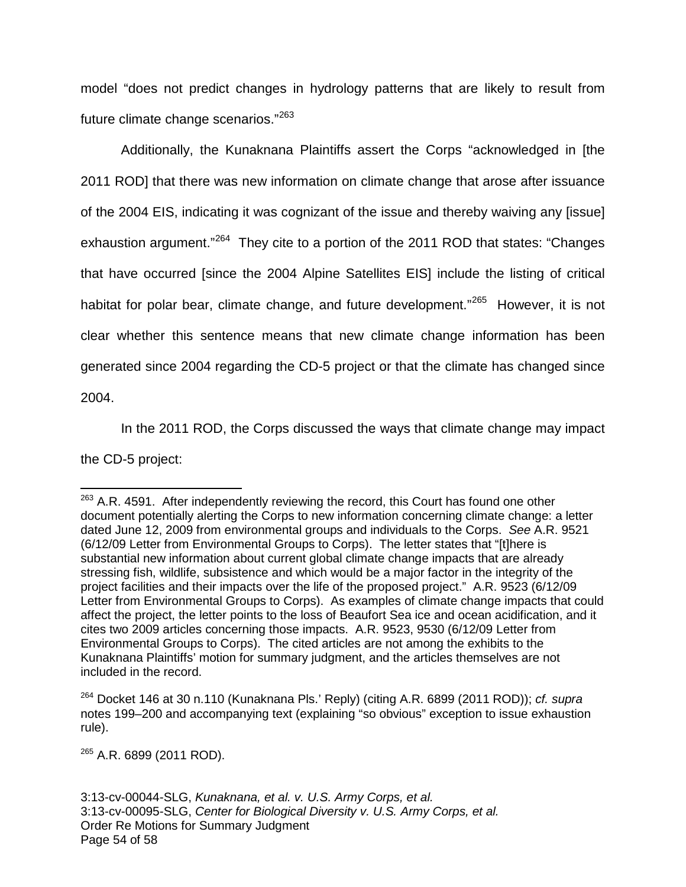model "does not predict changes in hydrology patterns that are likely to result from future climate change scenarios."<sup>[263](#page-53-0)</sup>

Additionally, the Kunaknana Plaintiffs assert the Corps "acknowledged in [the 2011 ROD] that there was new information on climate change that arose after issuance of the 2004 EIS, indicating it was cognizant of the issue and thereby waiving any [issue] exhaustion argument."<sup>[264](#page-53-1)</sup> They cite to a portion of the 2011 ROD that states: "Changes that have occurred [since the 2004 Alpine Satellites EIS] include the listing of critical habitat for polar bear, climate change, and future development."<sup>[265](#page-53-2)</sup> However, it is not clear whether this sentence means that new climate change information has been generated since 2004 regarding the CD-5 project or that the climate has changed since 2004.

In the 2011 ROD, the Corps discussed the ways that climate change may impact the CD-5 project:

<span id="page-53-2"></span><sup>265</sup> A.R. 6899 (2011 ROD).

 $\overline{a}$ 

<span id="page-53-0"></span> $263$  A.R. 4591. After independently reviewing the record, this Court has found one other document potentially alerting the Corps to new information concerning climate change: a letter dated June 12, 2009 from environmental groups and individuals to the Corps. See A.R. 9521 (6/12/09 Letter from Environmental Groups to Corps). The letter states that "[t]here is substantial new information about current global climate change impacts that are already stressing fish, wildlife, subsistence and which would be a major factor in the integrity of the project facilities and their impacts over the life of the proposed project." A.R. 9523 (6/12/09 Letter from Environmental Groups to Corps). As examples of climate change impacts that could affect the project, the letter points to the loss of Beaufort Sea ice and ocean acidification, and it cites two 2009 articles concerning those impacts. A.R. 9523, 9530 (6/12/09 Letter from Environmental Groups to Corps). The cited articles are not among the exhibits to the Kunaknana Plaintiffs' motion for summary judgment, and the articles themselves are not included in the record.

<span id="page-53-1"></span> $264$  Docket 146 at 30 n.110 (Kunaknana Pls.' Reply) (citing A.R. 6899 (2011 ROD)); cf. supra notes 199–200 and accompanying text (explaining "so obvious" exception to issue exhaustion rule).

<sup>3:13-</sup>cv-00044-SLG, Kunaknana, et al. v. U.S. Army Corps, et al. 3:13-cv-00095-SLG, Center for Biological Diversity v. U.S. Army Corps, et al. Order Re Motions for Summary Judgment Page 54 of 58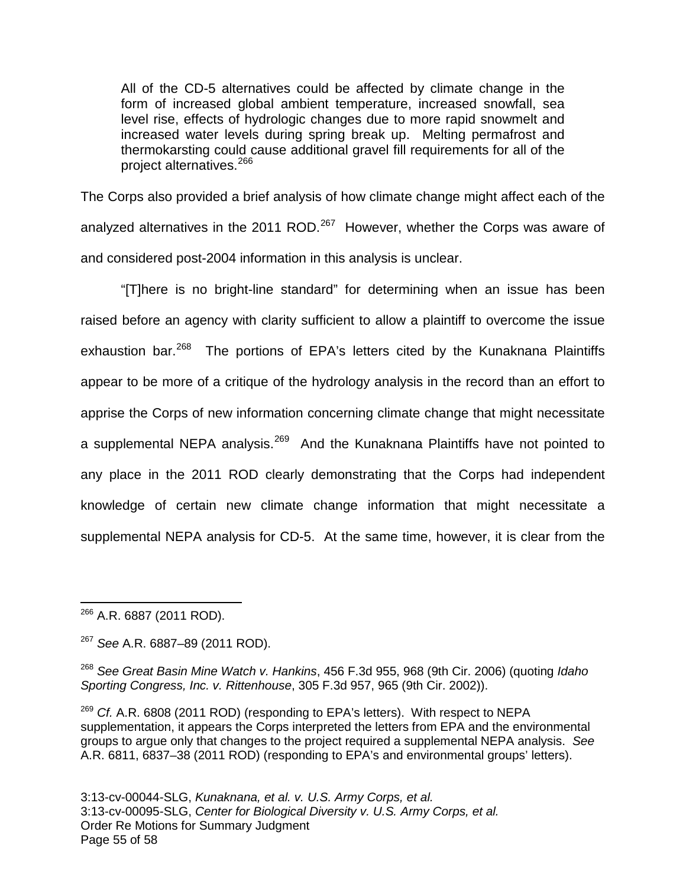All of the CD-5 alternatives could be affected by climate change in the form of increased global ambient temperature, increased snowfall, sea level rise, effects of hydrologic changes due to more rapid snowmelt and increased water levels during spring break up. Melting permafrost and thermokarsting could cause additional gravel fill requirements for all of the project alternatives.[266](#page-54-0)

The Corps also provided a brief analysis of how climate change might affect each of the analyzed alternatives in the 2011 ROD. $^{267}$  $^{267}$  $^{267}$  However, whether the Corps was aware of and considered post-2004 information in this analysis is unclear.

"[T]here is no bright-line standard" for determining when an issue has been raised before an agency with clarity sufficient to allow a plaintiff to overcome the issue exhaustion bar.<sup>[268](#page-54-2)</sup> The portions of EPA's letters cited by the Kunaknana Plaintiffs appear to be more of a critique of the hydrology analysis in the record than an effort to apprise the Corps of new information concerning climate change that might necessitate a supplemental NEPA analysis.<sup>[269](#page-54-3)</sup> And the Kunaknana Plaintiffs have not pointed to any place in the 2011 ROD clearly demonstrating that the Corps had independent knowledge of certain new climate change information that might necessitate a supplemental NEPA analysis for CD-5. At the same time, however, it is clear from the

<span id="page-54-0"></span><sup>266</sup> A.R. 6887 (2011 ROD). 1

<span id="page-54-1"></span><sup>267</sup> See A.R. 6887–89 (2011 ROD).

<span id="page-54-2"></span> $268$  See Great Basin Mine Watch v. Hankins, 456 F.3d 955, 968 (9th Cir. 2006) (quoting Idaho Sporting Congress, Inc. v. Rittenhouse, 305 F.3d 957, 965 (9th Cir. 2002)).

<span id="page-54-3"></span> $269$  Cf. A.R. 6808 (2011 ROD) (responding to EPA's letters). With respect to NEPA supplementation, it appears the Corps interpreted the letters from EPA and the environmental groups to argue only that changes to the project required a supplemental NEPA analysis. See A.R. 6811, 6837–38 (2011 ROD) (responding to EPA's and environmental groups' letters).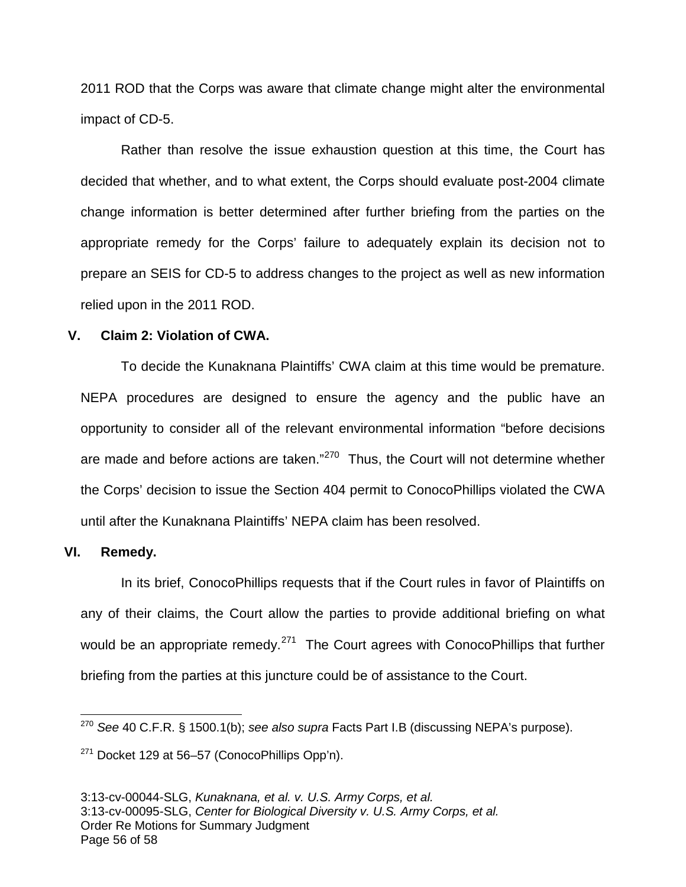2011 ROD that the Corps was aware that climate change might alter the environmental impact of CD-5.

Rather than resolve the issue exhaustion question at this time, the Court has decided that whether, and to what extent, the Corps should evaluate post-2004 climate change information is better determined after further briefing from the parties on the appropriate remedy for the Corps' failure to adequately explain its decision not to prepare an SEIS for CD-5 to address changes to the project as well as new information relied upon in the 2011 ROD.

#### **V. Claim 2: Violation of CWA.**

To decide the Kunaknana Plaintiffs' CWA claim at this time would be premature. NEPA procedures are designed to ensure the agency and the public have an opportunity to consider all of the relevant environmental information "before decisions are made and before actions are taken."<sup>[270](#page-55-0)</sup> Thus, the Court will not determine whether the Corps' decision to issue the Section 404 permit to ConocoPhillips violated the CWA until after the Kunaknana Plaintiffs' NEPA claim has been resolved.

#### **VI. Remedy.**

1

In its brief, ConocoPhillips requests that if the Court rules in favor of Plaintiffs on any of their claims, the Court allow the parties to provide additional briefing on what would be an appropriate remedy.<sup>[271](#page-55-1)</sup> The Court agrees with ConocoPhillips that further briefing from the parties at this juncture could be of assistance to the Court.

<span id="page-55-0"></span><sup>&</sup>lt;sup>270</sup> See 40 C.F.R. § 1500.1(b); see also supra Facts Part I.B (discussing NEPA's purpose).

<span id="page-55-1"></span> $271$  Docket 129 at 56–57 (ConocoPhillips Opp'n).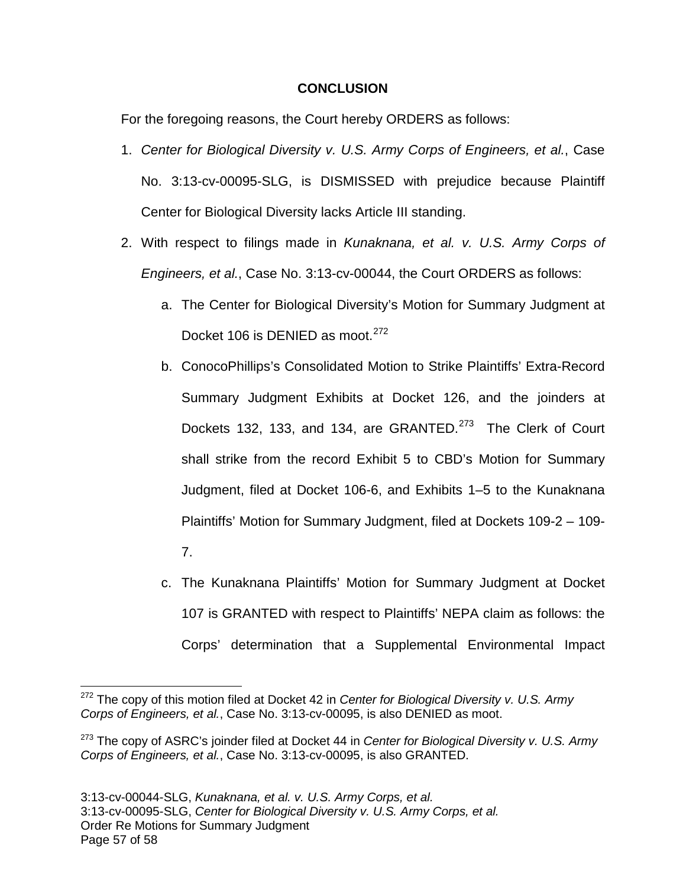### **CONCLUSION**

For the foregoing reasons, the Court hereby ORDERS as follows:

- 1. Center for Biological Diversity v. U.S. Army Corps of Engineers, et al., Case No. 3:13-cv-00095-SLG, is DISMISSED with prejudice because Plaintiff Center for Biological Diversity lacks Article III standing.
- 2. With respect to filings made in Kunaknana, et al. v. U.S. Army Corps of Engineers, et al., Case No. 3:13-cv-00044, the Court ORDERS as follows:
	- a. The Center for Biological Diversity's Motion for Summary Judgment at Docket 106 is DENIED as moot.<sup>[272](#page-56-0)</sup>
	- b. ConocoPhillips's Consolidated Motion to Strike Plaintiffs' Extra-Record Summary Judgment Exhibits at Docket 126, and the joinders at Dockets 132, 133, and 134, are GRANTED.<sup>[273](#page-56-1)</sup> The Clerk of Court shall strike from the record Exhibit 5 to CBD's Motion for Summary Judgment, filed at Docket 106-6, and Exhibits 1–5 to the Kunaknana Plaintiffs' Motion for Summary Judgment, filed at Dockets 109-2 – 109-
		- 7.

 $\overline{a}$ 

c. The Kunaknana Plaintiffs' Motion for Summary Judgment at Docket 107 is GRANTED with respect to Plaintiffs' NEPA claim as follows: the Corps' determination that a Supplemental Environmental Impact

<span id="page-56-0"></span> $272$  The copy of this motion filed at Docket 42 in Center for Biological Diversity v. U.S. Army Corps of Engineers, et al., Case No. 3:13-cv-00095, is also DENIED as moot.

<span id="page-56-1"></span> $273$  The copy of ASRC's joinder filed at Docket 44 in Center for Biological Diversity v. U.S. Army Corps of Engineers, et al., Case No. 3:13-cv-00095, is also GRANTED.